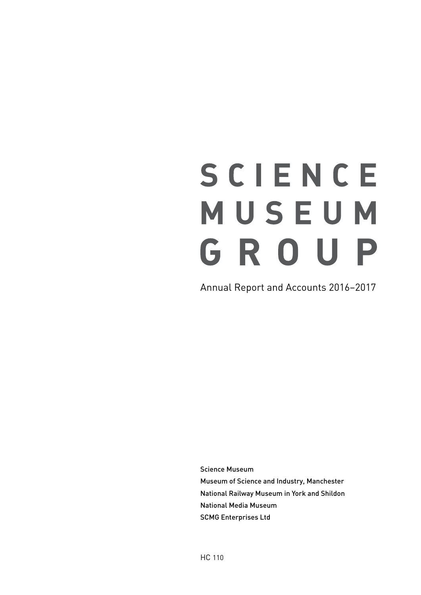# SCIENCE MUSEUM GROUP

Annual Report and Accounts 2016−2017

Science Museum Museum of Science and Industry, Manchester National Railway Museum in York and Shildon National Media Museum SCMG Enterprises Ltd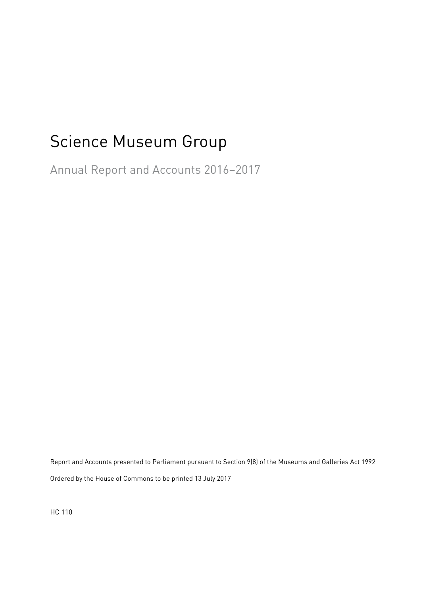# Science Museum Group

Annual Report and Accounts 2016−2017

Report and Accounts presented to Parliament pursuant to Section 9(8) of the Museums and Galleries Act 1992 Ordered by the House of Commons to be printed 13 July 2017

HC 110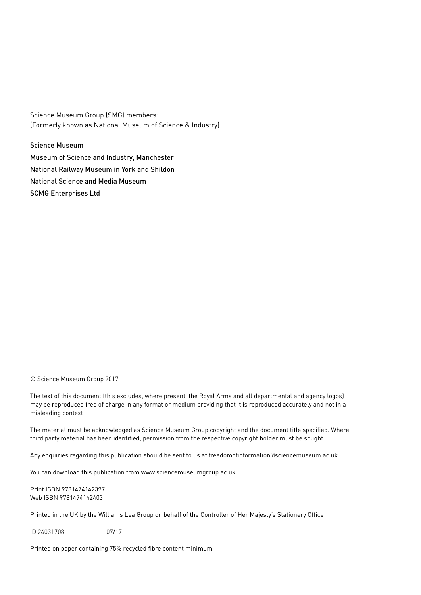Science Museum Group (SMG) members: (Formerly known as National Museum of Science & Industry)

Science Museum Museum of Science and Industry, Manchester National Railway Museum in York and Shildon National Science and Media Museum SCMG Enterprises Ltd

© Science Museum Group 2017

The text of this document (this excludes, where present, the Royal Arms and all departmental and agency logos) may be reproduced free of charge in any format or medium providing that it is reproduced accurately and not in a misleading context

The material must be acknowledged as Science Museum Group copyright and the document title specified. Where third party material has been identified, permission from the respective copyright holder must be sought.

Any enquiries regarding this publication should be sent to us at freedomofinformation@sciencemuseum.ac.uk

You can download this publication from www.sciencemuseumgroup.ac.uk.

Print ISBN 9781474142397 Web ISBN 9781474142403

Printed in the UK by the Williams Lea Group on behalf of the Controller of Her Majesty's Stationery Office

ID 24031708 07/17

Printed on paper containing 75% recycled fibre content minimum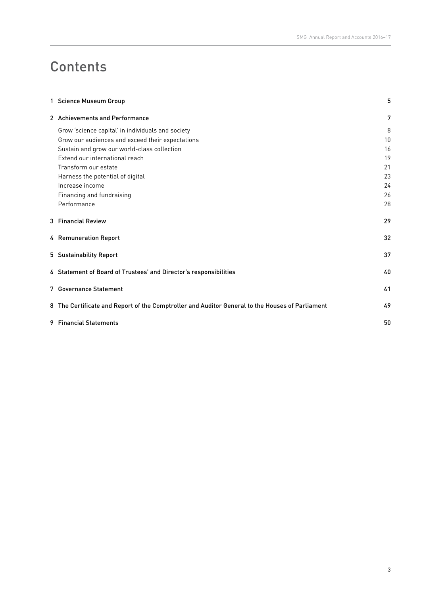# **Contents**

| 1 Science Museum Group                                                                          | 5  |
|-------------------------------------------------------------------------------------------------|----|
| 2 Achievements and Performance                                                                  | 7  |
| Grow 'science capital' in individuals and society                                               | 8  |
| Grow our audiences and exceed their expectations                                                | 10 |
| Sustain and grow our world-class collection                                                     | 16 |
| Extend our international reach                                                                  | 19 |
| Transform our estate                                                                            | 21 |
| Harness the potential of digital                                                                | 23 |
| Increase income                                                                                 | 24 |
| Financing and fundraising                                                                       | 26 |
| Performance                                                                                     | 28 |
| 3 Financial Review                                                                              | 29 |
| 4 Remuneration Report                                                                           | 32 |
| 5 Sustainability Report                                                                         | 37 |
| 6 Statement of Board of Trustees' and Director's responsibilities                               | 40 |
| 7 Governance Statement                                                                          | 41 |
| 8 The Certificate and Report of the Comptroller and Auditor General to the Houses of Parliament | 49 |
| 9 Financial Statements                                                                          | 50 |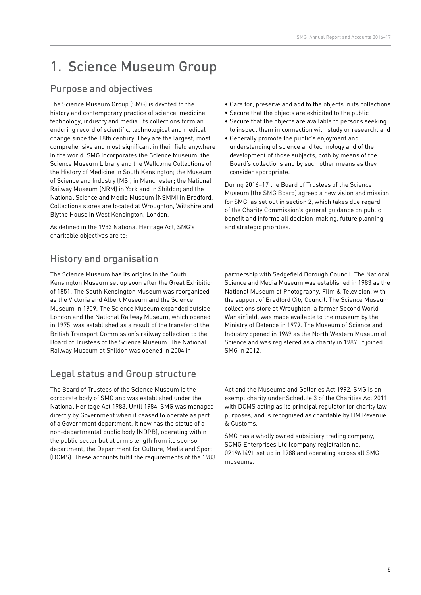# 1. Science Museum Group

# Purpose and objectives

The Science Museum Group (SMG) is devoted to the history and contemporary practice of science, medicine, technology, industry and media. Its collections form an enduring record of scientific, technological and medical change since the 18th century. They are the largest, most comprehensive and most significant in their field anywhere in the world. SMG incorporates the Science Museum, the Science Museum Library and the Wellcome Collections of the History of Medicine in South Kensington; the Museum of Science and Industry (MSI) in Manchester; the National Railway Museum (NRM) in York and in Shildon; and the National Science and Media Museum (NSMM) in Bradford. Collections stores are located at Wroughton, Wiltshire and Blythe House in West Kensington, London.

As defined in the 1983 National Heritage Act, SMG's charitable objectives are to:

# History and organisation

The Science Museum has its origins in the South Kensington Museum set up soon after the Great Exhibition of 1851. The South Kensington Museum was reorganised as the Victoria and Albert Museum and the Science Museum in 1909. The Science Museum expanded outside London and the National Railway Museum, which opened in 1975, was established as a result of the transfer of the British Transport Commission's railway collection to the Board of Trustees of the Science Museum. The National Railway Museum at Shildon was opened in 2004 in

# Legal status and Group structure

The Board of Trustees of the Science Museum is the corporate body of SMG and was established under the National Heritage Act 1983. Until 1984, SMG was managed directly by Government when it ceased to operate as part of a Government department. It now has the status of a non-departmental public body (NDPB), operating within the public sector but at arm's length from its sponsor department, the Department for Culture, Media and Sport (DCMS). These accounts fulfil the requirements of the 1983

- Care for, preserve and add to the objects in its collections
- Secure that the objects are exhibited to the public
- Secure that the objects are available to persons seeking to inspect them in connection with study or research, and
- Generally promote the public's enjoyment and understanding of science and technology and of the development of those subjects, both by means of the Board's collections and by such other means as they consider appropriate.

During 2016–17 the Board of Trustees of the Science Museum (the SMG Board) agreed a new vision and mission for SMG, as set out in section 2, which takes due regard of the Charity Commission's general guidance on public benefit and informs all decision-making, future planning and strategic priorities.

partnership with Sedgefield Borough Council. The National Science and Media Museum was established in 1983 as the National Museum of Photography, Film & Television, with the support of Bradford City Council. The Science Museum collections store at Wroughton, a former Second World War airfield, was made available to the museum by the Ministry of Defence in 1979. The Museum of Science and Industry opened in 1969 as the North Western Museum of Science and was registered as a charity in 1987; it joined SMG in 2012.

Act and the Museums and Galleries Act 1992. SMG is an exempt charity under Schedule 3 of the Charities Act 2011, with DCMS acting as its principal regulator for charity law purposes, and is recognised as charitable by HM Revenue & Customs.

SMG has a wholly owned subsidiary trading company, SCMG Enterprises Ltd (company registration no. 02196149), set up in 1988 and operating across all SMG museums.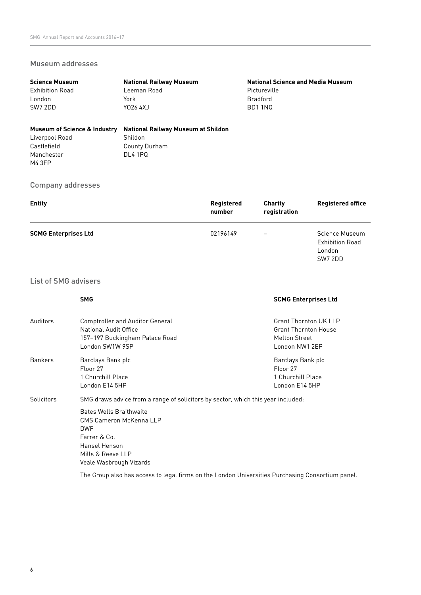#### Museum addresses

| <b>Science Museum</b>                   | <b>National Railway Museum</b>     | <b>National Science and Media Museum</b> |
|-----------------------------------------|------------------------------------|------------------------------------------|
| <b>Exhibition Road</b>                  | Leeman Road                        | Pictureville                             |
| London                                  | York                               | Bradford                                 |
| SW7 2DD                                 | Y026 4XJ                           | BD1 1NQ                                  |
|                                         |                                    |                                          |
| <b>Museum of Science &amp; Industry</b> | National Railway Museum at Shildon |                                          |
| Liverpool Road                          | Shildon                            |                                          |

Shildon County Durham DL4 1PQ

#### Company addresses

Castlefield Manchester M4 3FP

| <b>Entity</b>               | Registered<br>number | <b>Charity</b><br>registration | <b>Registered office</b>                                      |
|-----------------------------|----------------------|--------------------------------|---------------------------------------------------------------|
| <b>SCMG Enterprises Ltd</b> | 02196149             |                                | Science Museum<br><b>Exhibition Road</b><br>London<br>SW7 2DD |

#### List of SMG advisers

|                   | <b>SMG</b>                                                                                                                                                                                                                                   | <b>SCMG Enterprises Ltd</b>                                                                           |
|-------------------|----------------------------------------------------------------------------------------------------------------------------------------------------------------------------------------------------------------------------------------------|-------------------------------------------------------------------------------------------------------|
| Auditors          | <b>Comptroller and Auditor General</b><br>National Audit Office<br>157-197 Buckingham Palace Road<br>London SW1W 9SP                                                                                                                         | <b>Grant Thornton UK LLP</b><br><b>Grant Thornton House</b><br><b>Melton Street</b><br>London NW1 2EP |
| <b>Bankers</b>    | Barclays Bank plc<br>Floor 27<br>1 Churchill Place<br>London E14 5HP                                                                                                                                                                         | Barclays Bank plc<br>Floor 27<br>1 Churchill Place<br>London E14 5HP                                  |
| <b>Solicitors</b> | SMG draws advice from a range of solicitors by sector, which this year included:<br><b>Bates Wells Braithwaite</b><br>CMS Cameron McKenna LLP<br><b>DWF</b><br>Farrer & Co.<br>Hansel Henson<br>Mills & Reeve LLP<br>Veale Wasbrough Vizards |                                                                                                       |

The Group also has access to legal firms on the London Universities Purchasing Consortium panel.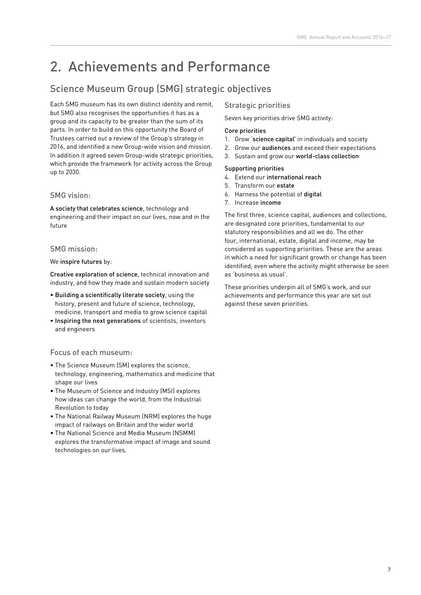# 2. Achievements and Performance

# Science Museum Group (SMG) strategic objectives

Each SMG museum has its own distinct identity and remit, but SMG also recognises the opportunities it has as a group and its capacity to be greater than the sum of its parts. In order to build on this opportunity the Board of Trustees carried out a review of the Group's strategy in 2016, and identified a new Group-wide vision and mission. In addition it agreed seven Group-wide strategic priorities, which provide the framework for activity across the Group up to 2030.

#### SMG vision:

A society that celebrates science, technology and engineering and their impact on our lives, now and in the future

#### SMG mission:

#### We inspire futures by:

Creative exploration of science, technical innovation and industry, and how they made and sustain modern society

- Building a scientifically literate society, using the history, present and future of science, technology, medicine, transport and media to grow science capital
- Inspiring the next generations of scientists, inventors and engineers

#### Focus of each museum:

- The Science Museum (SM) explores the science, technology, engineering, mathematics and medicine that shape our lives
- The Museum of Science and Industry (MSI) explores how ideas can change the world, from the Industrial Revolution to today
- The National Railway Museum (NRM) explores the huge impact of railways on Britain and the wider world
- The National Science and Media Museum (NSMM) explores the transformative impact of image and sound technologies on our lives.

#### Strategic priorities

Seven key priorities drive SMG activity:

#### Core priorities

- 1. Grow 'science capital' in individuals and society
- 2. Grow our audiences and exceed their expectations
- 3. Sustain and grow our world-class collection

#### Supporting priorities

- 4. Extend our international reach
- 5. Transform our estate
- 6. Harness the potential of digital
- 7. Increase income

The first three, science capital, audiences and collections, are designated core priorities, fundamental to our statutory responsibilities and all we do. The other four, international, estate, digital and income, may be considered as supporting priorities. These are the areas in which a need for significant growth or change has been identified, even where the activity might otherwise be seen as 'business as usual'.

These priorities underpin all of SMG's work, and our achievements and performance this year are set out against these seven priorities.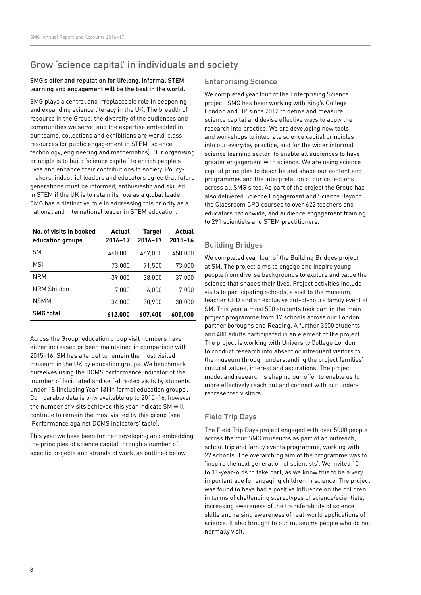## Grow 'science capital' in individuals and society

#### SMG's offer and reputation for lifelong, informal STEM learning and engagement will be the best in the world.

SMG plays a central and irreplaceable role in deepening and expanding science literacy in the UK. The breadth of resource in the Group, the diversity of the audiences and communities we serve, and the expertise embedded in our teams, collections and exhibitions are world-class resources for public engagement in STEM (science, technology, engineering and mathematics). Our organising principle is to build 'science capital' to enrich people's lives and enhance their contributions to society. Policymakers, industrial leaders and educators agree that future generations must be informed, enthusiastic and skilled in STEM if the UK is to retain its role as a global leader. SMG has a distinctive role in addressing this priority as a national and international leader in STEM education.

| No. of visits in booked<br>education groups | Actual<br>2016-17 | <b>Target</b><br>2016-17 | Actual<br>2015-16 |
|---------------------------------------------|-------------------|--------------------------|-------------------|
| <b>SM</b>                                   | 460,000           | 467.000                  | 458.000           |
| <b>MSI</b>                                  | 73.000            | 71.500                   | 73.000            |
| NRM                                         | 39.000            | 38,000                   | 37.000            |
| <b>NRM Shildon</b>                          | 7,000             | 6,000                    | 7,000             |
| <b>NSMM</b>                                 | 34.000            | 30,900                   | 30.000            |
| <b>SMG</b> total                            | 612,000           | 607,400                  | 605.000           |

Across the Group, education group visit numbers have either increased or been maintained in comparison with 2015–16. SM has a target to remain the most visited museum in the UK by education groups. We benchmark ourselves using the DCMS performance indicator of the 'number of facilitated and self-directed visits by students under 18 (including Year 13) in formal education groups'. Comparable data is only available up to 2015–16, however the number of visits achieved this year indicate SM will continue to remain the most visited by this group (see 'Performance against DCMS indicators' table).

This year we have been further developing and embedding the principles of science capital through a number of specific projects and strands of work, as outlined below.

#### Enterprising Science

We completed year four of the Enterprising Science project. SMG has been working with King's College London and BP since 2012 to define and measure science capital and devise effective ways to apply the research into practice. We are developing new tools and workshops to integrate science capital principles into our everyday practice, and for the wider informal science learning sector, to enable all audiences to have greater engagement with science. We are using science capital principles to describe and shape our content and programmes and the interpretation of our collections across all SMG sites. As part of the project the Group has also delivered Science Engagement and Science Beyond the Classroom CPD courses to over 622 teachers and educators nationwide, and audience engagement training to 291 scientists and STEM practitioners.

#### Building Bridges

We completed year four of the Building Bridges project at SM. The project aims to engage and inspire young people from diverse backgrounds to explore and value the science that shapes their lives. Project activities include visits to participating schools, a visit to the museum, teacher CPD and an exclusive out-of-hours family event at SM. This year almost 500 students took part in the main project programme from 17 schools across our London partner boroughs and Reading. A further 3500 students and 400 adults participated in an element of the project. The project is working with University College London to conduct research into absent or infrequent visitors to the museum through understanding the project families' cultural values, interest and aspirations. The project model and research is shaping our offer to enable us to more effectively reach out and connect with our underrepresented visitors.

#### Field Trip Days

The Field Trip Days project engaged with over 5000 people across the four SMG museums as part of an outreach, school trip and family events programme, working with 22 schools. The overarching aim of the programme was to 'inspire the next generation of scientists'. We invited 10 to 11-year-olds to take part, as we know this to be a very important age for engaging children in science. The project was found to have had a positive influence on the children in terms of challenging stereotypes of science/scientists, increasing awareness of the transferability of science skills and raising awareness of real-world applications of science. It also brought to our museums people who do not normally visit.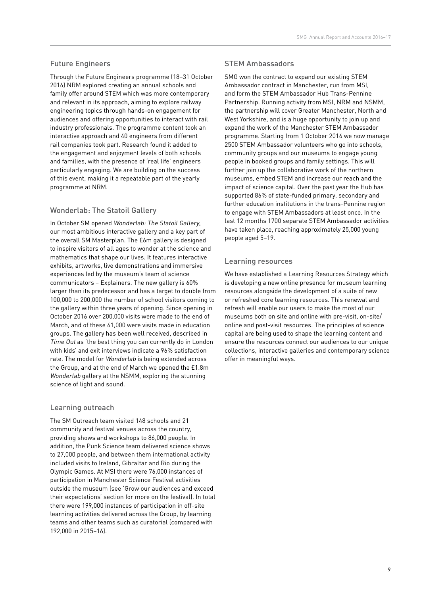#### Future Engineers

Through the Future Engineers programme (18–31 October 2016) NRM explored creating an annual schools and family offer around STEM which was more contemporary and relevant in its approach, aiming to explore railway engineering topics through hands-on engagement for audiences and offering opportunities to interact with rail industry professionals. The programme content took an interactive approach and 40 engineers from different rail companies took part. Research found it added to the engagement and enjoyment levels of both schools and families, with the presence of 'real life' engineers particularly engaging. We are building on the success of this event, making it a repeatable part of the yearly programme at NRM.

#### Wonderlab: The Statoil Gallery

In October SM opened Wonderlab: The Statoil Gallery, our most ambitious interactive gallery and a key part of the overall SM Masterplan. The £6m gallery is designed to inspire visitors of all ages to wonder at the science and mathematics that shape our lives. It features interactive exhibits, artworks, live demonstrations and immersive experiences led by the museum's team of science communicators – Explainers. The new gallery is 60% larger than its predecessor and has a target to double from 100,000 to 200,000 the number of school visitors coming to the gallery within three years of opening. Since opening in October 2016 over 200,000 visits were made to the end of March, and of these 61,000 were visits made in education groups. The gallery has been well received, described in Time Out as 'the best thing you can currently do in London with kids' and exit interviews indicate a 96% satisfaction rate. The model for Wonderlab is being extended across the Group, and at the end of March we opened the £1.8m Wonderlab gallery at the NSMM, exploring the stunning science of light and sound.

#### Learning outreach

The SM Outreach team visited 148 schools and 21 community and festival venues across the country, providing shows and workshops to 86,000 people. In addition, the Punk Science team delivered science shows to 27,000 people, and between them international activity included visits to Ireland, Gibraltar and Rio during the Olympic Games. At MSI there were 76,000 instances of participation in Manchester Science Festival activities outside the museum (see 'Grow our audiences and exceed their expectations' section for more on the festival). In total there were 199,000 instances of participation in off-site learning activities delivered across the Group, by learning teams and other teams such as curatorial (compared with 192,000 in 2015–16).

#### STEM Ambassadors

SMG won the contract to expand our existing STEM Ambassador contract in Manchester, run from MSI, and form the STEM Ambassador Hub Trans-Pennine Partnership. Running activity from MSI, NRM and NSMM, the partnership will cover Greater Manchester, North and West Yorkshire, and is a huge opportunity to join up and expand the work of the Manchester STEM Ambassador programme. Starting from 1 October 2016 we now manage 2500 STEM Ambassador volunteers who go into schools, community groups and our museums to engage young people in booked groups and family settings. This will further join up the collaborative work of the northern museums, embed STEM and increase our reach and the impact of science capital. Over the past year the Hub has supported 86% of state-funded primary, secondary and further education institutions in the trans-Pennine region to engage with STEM Ambassadors at least once. In the last 12 months 1700 separate STEM Ambassador activities have taken place, reaching approximately 25,000 young people aged 5–19.

#### Learning resources

We have established a Learning Resources Strategy which is developing a new online presence for museum learning resources alongside the development of a suite of new or refreshed core learning resources. This renewal and refresh will enable our users to make the most of our museums both on site and online with pre-visit, on-site/ online and post-visit resources. The principles of science capital are being used to shape the learning content and ensure the resources connect our audiences to our unique collections, interactive galleries and contemporary science offer in meaningful ways.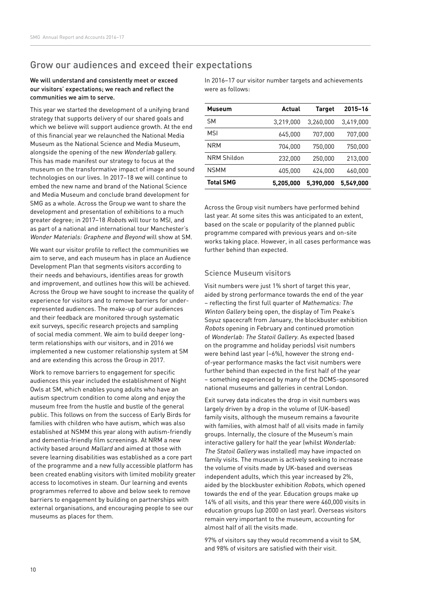### Grow our audiences and exceed their expectations

#### We will understand and consistently meet or exceed our visitors' expectations; we reach and reflect the communities we aim to serve.

This year we started the development of a unifying brand strategy that supports delivery of our shared goals and which we believe will support audience growth. At the end of this financial year we relaunched the National Media Museum as the National Science and Media Museum, alongside the opening of the new Wonderlab gallery. This has made manifest our strategy to focus at the museum on the transformative impact of image and sound technologies on our lives. In 2017–18 we will continue to embed the new name and brand of the National Science and Media Museum and conclude brand development for SMG as a whole. Across the Group we want to share the development and presentation of exhibitions to a much greater degree; in 2017–18 Robots will tour to MSI, and as part of a national and international tour Manchester's Wonder Materials: Graphene and Beyond will show at SM.

We want our visitor profile to reflect the communities we aim to serve, and each museum has in place an Audience Development Plan that segments visitors according to their needs and behaviours, identifies areas for growth and improvement, and outlines how this will be achieved. Across the Group we have sought to increase the quality of experience for visitors and to remove barriers for underrepresented audiences. The make-up of our audiences and their feedback are monitored through systematic exit surveys, specific research projects and sampling of social media comment. We aim to build deeper longterm relationships with our visitors, and in 2016 we implemented a new customer relationship system at SM and are extending this across the Group in 2017.

Work to remove barriers to engagement for specific audiences this year included the establishment of Night Owls at SM, which enables young adults who have an autism spectrum condition to come along and enjoy the museum free from the hustle and bustle of the general public. This follows on from the success of Early Birds for families with children who have autism, which was also established at NSMM this year along with autism-friendly and dementia-friendly film screenings. At NRM a new activity based around Mallard and aimed at those with severe learning disabilities was established as a core part of the programme and a new fully accessible platform has been created enabling visitors with limited mobility greater access to locomotives in steam. Our learning and events programmes referred to above and below seek to remove barriers to engagement by building on partnerships with external organisations, and encouraging people to see our museums as places for them.

In 2016–17 our visitor number targets and achievements were as follows:

| <b>Museum</b>    | Actual    | Target    | $2015 - 16$ |
|------------------|-----------|-----------|-------------|
| <b>SM</b>        | 3.219.000 | 3.260.000 | 3.419.000   |
| MSI              | 645.000   | 707.000   | 707.000     |
| <b>NRM</b>       | 704.000   | 750.000   | 750.000     |
| NRM Shildon      | 232.000   | 250.000   | 213,000     |
| <b>NSMM</b>      | 405.000   | 424.000   | 460.000     |
| <b>Total SMG</b> | 5,205,000 | 5.390.000 | 5,549,000   |

Across the Group visit numbers have performed behind last year. At some sites this was anticipated to an extent, based on the scale or popularity of the planned public programme compared with previous years and on-site works taking place. However, in all cases performance was further behind than expected.

#### Science Museum visitors

Visit numbers were just 1% short of target this year, aided by strong performance towards the end of the year – reflecting the first full quarter of Mathematics: The Winton Gallery being open, the display of Tim Peake's Soyuz spacecraft from January, the blockbuster exhibition Robots opening in February and continued promotion of Wonderlab: The Statoil Gallery. As expected (based on the programme and holiday periods) visit numbers were behind last year (–6%), however the strong endof-year performance masks the fact visit numbers were further behind than expected in the first half of the year – something experienced by many of the DCMS-sponsored national museums and galleries in central London.

Exit survey data indicates the drop in visit numbers was largely driven by a drop in the volume of (UK-based) family visits, although the museum remains a favourite with families, with almost half of all visits made in family groups. Internally, the closure of the Museum's main interactive gallery for half the year (whilst Wonderlab: The Statoil Gallery was installed) may have impacted on family visits. The museum is actively seeking to increase the volume of visits made by UK-based and overseas independent adults, which this year increased by 2%, aided by the blockbuster exhibition Robots, which opened towards the end of the year. Education groups make up 14% of all visits, and this year there were 460,000 visits in education groups (up 2000 on last year). Overseas visitors remain very important to the museum, accounting for almost half of all the visits made.

97% of visitors say they would recommend a visit to SM, and 98% of visitors are satisfied with their visit.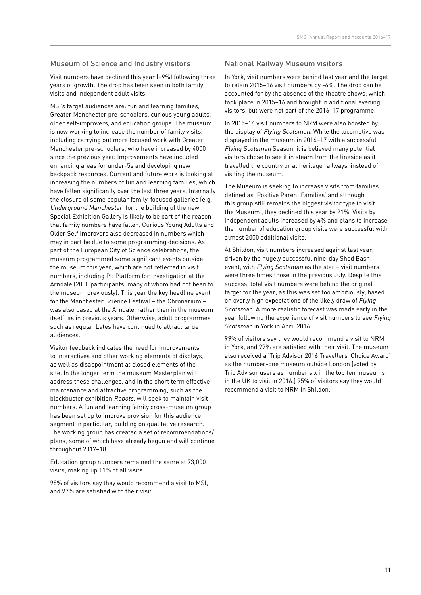#### Museum of Science and Industry visitors

Visit numbers have declined this year (–9%) following three years of growth. The drop has been seen in both family visits and independent adult visits.

MSI's target audiences are: fun and learning families, Greater Manchester pre-schoolers, curious young adults, older self-improvers, and education groups. The museum is now working to increase the number of family visits, including carrying out more focused work with Greater Manchester pre-schoolers, who have increased by 4000 since the previous year. Improvements have included enhancing areas for under-5s and developing new backpack resources. Current and future work is looking at increasing the numbers of fun and learning families, which have fallen significantly over the last three years. Internally the closure of some popular family-focused galleries (e.g. Underground Manchester) for the building of the new Special Exhibition Gallery is likely to be part of the reason that family numbers have fallen. Curious Young Adults and Older Self Improvers also decreased in numbers which may in part be due to some programming decisions. As part of the European City of Science celebrations, the museum programmed some significant events outside the museum this year, which are not reflected in visit numbers, including Pi: Platform for Investigation at the Arndale (2000 participants, many of whom had not been to the museum previously). This year the key headline event for the Manchester Science Festival – the Chronarium – was also based at the Arndale, rather than in the museum itself, as in previous years. Otherwise, adult programmes such as regular Lates have continued to attract large audiences.

Visitor feedback indicates the need for improvements to interactives and other working elements of displays, as well as disappointment at closed elements of the site. In the longer term the museum Masterplan will address these challenges, and in the short term effective maintenance and attractive programming, such as the blockbuster exhibition Robots, will seek to maintain visit numbers. A fun and learning family cross-museum group has been set up to improve provision for this audience segment in particular, building on qualitative research. The working group has created a set of recommendations/ plans, some of which have already begun and will continue throughout 2017–18.

Education group numbers remained the same at 73,000 visits, making up 11% of all visits.

98% of visitors say they would recommend a visit to MSI, and 97% are satisfied with their visit.

#### National Railway Museum visitors

In York, visit numbers were behind last year and the target to retain 2015–16 visit numbers by -6%. The drop can be accounted for by the absence of the theatre shows, which took place in 2015–16 and brought in additional evening visitors, but were not part of the 2016–17 programme.

In 2015–16 visit numbers to NRM were also boosted by the display of Flying Scotsman. While the locomotive was displayed in the museum in 2016–17 with a successful Flying Scotsman Season, it is believed many potential visitors chose to see it in steam from the lineside as it travelled the country or at heritage railways, instead of visiting the museum.

The Museum is seeking to increase visits from families defined as 'Positive Parent Families' and although this group still remains the biggest visitor type to visit the Museum , they declined this year by 21%. Visits by independent adults increased by 4% and plans to increase the number of education group visits were successful with almost 2000 additional visits.

At Shildon, visit numbers increased against last year, driven by the hugely successful nine-day Shed Bash event, with Flying Scotsman as the star – visit numbers were three times those in the previous July. Despite this success, total visit numbers were behind the original target for the year, as this was set too ambitiously, based on overly high expectations of the likely draw of Flying Scotsman. A more realistic forecast was made early in the year following the experience of visit numbers to see Flying Scotsman in York in April 2016.

99% of visitors say they would recommend a visit to NRM in York, and 99% are satisfied with their visit. The museum also received a 'Trip Advisor 2016 Travellers' Choice Award' as the number-one museum outside London (voted by Trip Advisor users as number six in the top ten museums in the UK to visit in 2016.) 95% of visitors say they would recommend a visit to NRM in Shildon.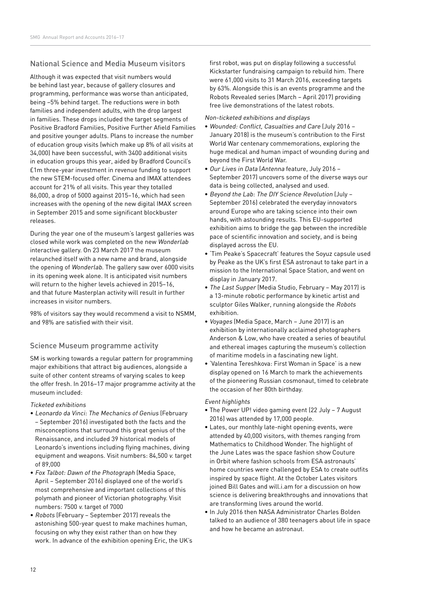#### National Science and Media Museum visitors

Although it was expected that visit numbers would be behind last year, because of gallery closures and programming, performance was worse than anticipated, being –5% behind target. The reductions were in both families and independent adults, with the drop largest in families. These drops included the target segments of Positive Bradford Families, Positive Further Afield Families and positive younger adults. Plans to increase the number of education group visits (which make up 8% of all visits at 34,000) have been successful, with 3400 additional visits in education groups this year, aided by Bradford Council's £1m three-year investment in revenue funding to support the new STEM-focused offer. Cinema and IMAX attendees account for 21% of all visits. This year they totalled 86,000, a drop of 5000 against 2015–16, which had seen increases with the opening of the new digital IMAX screen in September 2015 and some significant blockbuster releases.

During the year one of the museum's largest galleries was closed while work was completed on the new Wonderlab interactive gallery. On 23 March 2017 the museum relaunched itself with a new name and brand, alongside the opening of Wonderlab. The gallery saw over 6000 visits in its opening week alone. It is anticipated visit numbers will return to the higher levels achieved in 2015–16, and that future Masterplan activity will result in further increases in visitor numbers.

98% of visitors say they would recommend a visit to NSMM, and 98% are satisfied with their visit.

#### Science Museum programme activity

SM is working towards a regular pattern for programming major exhibitions that attract big audiences, alongside a suite of other content streams of varying scales to keep the offer fresh. In 2016–17 major programme activity at the museum included:

#### Ticketed exhibitions

- Leonardo da Vinci: The Mechanics of Genius (February – September 2016) investigated both the facts and the misconceptions that surround this great genius of the Renaissance, and included 39 historical models of Leonardo's inventions including flying machines, diving equipment and weapons. Visit numbers: 84,500 v. target of 89,000
- Fox Talbot: Dawn of the Photograph (Media Space, April – September 2016) displayed one of the world's most comprehensive and important collections of this polymath and pioneer of Victorian photography. Visit numbers: 7500 v. target of 7000
- Robots (February September 2017) reveals the astonishing 500-year quest to make machines human, focusing on why they exist rather than on how they work. In advance of the exhibition opening Eric, the UK's

first robot, was put on display following a successful Kickstarter fundraising campaign to rebuild him. There were 61,000 visits to 31 March 2016, exceeding targets by 63%. Alongside this is an events programme and the Robots Revealed series (March – April 2017) providing free live demonstrations of the latest robots.

#### Non-ticketed exhibitions and displays

- Wounded: Conflict, Casualties and Care (July 2016 January 2018) is the museum's contribution to the First World War centenary commemorations, exploring the huge medical and human impact of wounding during and beyond the First World War.
- Our Lives in Data (Antenna feature, July 2016 September 2017) uncovers some of the diverse ways our data is being collected, analysed and used.
- Beyond the Lab: The DIY Science Revolution (July September 2016) celebrated the everyday innovators around Europe who are taking science into their own hands, with astounding results. This EU-supported exhibition aims to bridge the gap between the incredible pace of scientific innovation and society, and is being displayed across the EU.
- 'Tim Peake's Spacecraft' features the Soyuz capsule used by Peake as the UK's first ESA astronaut to take part in a mission to the International Space Station, and went on display in January 2017.
- The Last Supper (Media Studio, February May 2017) is a 13-minute robotic performance by kinetic artist and sculptor Giles Walker, running alongside the Robots exhibition.
- Voyages (Media Space, March June 2017) is an exhibition by internationally acclaimed photographers Anderson & Low, who have created a series of beautiful and ethereal images capturing the museum's collection of maritime models in a fascinating new light.
- 'Valentina Tereshkova: First Woman in Space' is a new display opened on 16 March to mark the achievements of the pioneering Russian cosmonaut, timed to celebrate the occasion of her 80th birthday.

#### Event highlights

- The Power UP! video gaming event (22 July 7 August 2016) was attended by 17,000 people.
- Lates, our monthly late-night opening events, were attended by 40,000 visitors, with themes ranging from Mathematics to Childhood Wonder. The highlight of the June Lates was the space fashion show Couture in Orbit where fashion schools from ESA astronauts' home countries were challenged by ESA to create outfits inspired by space flight. At the October Lates visitors joined Bill Gates and will.i.am for a discussion on how science is delivering breakthroughs and innovations that are transforming lives around the world.
- In July 2016 then NASA Administrator Charles Bolden talked to an audience of 380 teenagers about life in space and how he became an astronaut.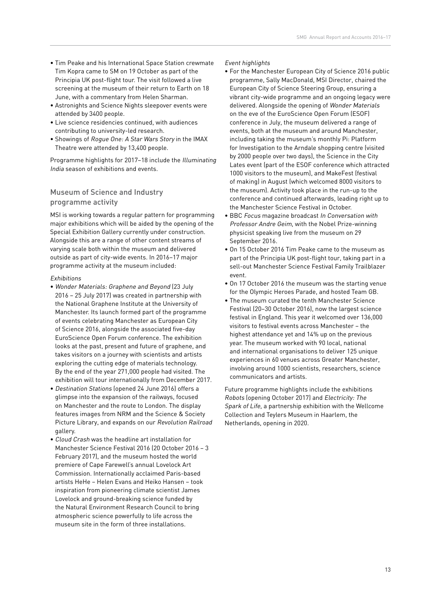- Tim Peake and his International Space Station crewmate Tim Kopra came to SM on 19 October as part of the Principia UK post-flight tour. The visit followed a live screening at the museum of their return to Earth on 18 June, with a commentary from Helen Sharman.
- Astronights and Science Nights sleepover events were attended by 3400 people.
- Live science residencies continued, with audiences contributing to university-led research.
- Showings of Roque One: A Star Wars Story in the IMAX Theatre were attended by 13,400 people.

Programme highlights for 2017–18 include the Illuminating India season of exhibitions and events.

#### Museum of Science and Industry programme activity

MSI is working towards a regular pattern for programming major exhibitions which will be aided by the opening of the Special Exhibition Gallery currently under construction. Alongside this are a range of other content streams of varying scale both within the museum and delivered outside as part of city-wide events. In 2016–17 major programme activity at the museum included:

#### Exhibitions

- Wonder Materials: Graphene and Beyond (23 July 2016 – 25 July 2017) was created in partnership with the National Graphene Institute at the University of Manchester. Its launch formed part of the programme of events celebrating Manchester as European City of Science 2016, alongside the associated five-day EuroScience Open Forum conference. The exhibition looks at the past, present and future of graphene, and takes visitors on a journey with scientists and artists exploring the cutting edge of materials technology. By the end of the year 271,000 people had visited. The exhibition will tour internationally from December 2017.
- Destination Stations (opened 24 June 2016) offers a glimpse into the expansion of the railways, focused on Manchester and the route to London. The display features images from NRM and the Science & Society Picture Library, and expands on our Revolution Railroad gallery.
- Cloud Crash was the headline art installation for Manchester Science Festival 2016 (20 October 2016 – 3 February 2017), and the museum hosted the world premiere of Cape Farewell's annual Lovelock Art Commission. Internationally acclaimed Paris-based artists HeHe – Helen Evans and Heiko Hansen – took inspiration from pioneering climate scientist James Lovelock and ground-breaking science funded by the Natural Environment Research Council to bring atmospheric science powerfully to life across the museum site in the form of three installations.

#### Event highlights

- For the Manchester European City of Science 2016 public programme, Sally MacDonald, MSI Director, chaired the European City of Science Steering Group, ensuring a vibrant city-wide programme and an ongoing legacy were delivered. Alongside the opening of Wonder Materials on the eve of the EuroScience Open Forum (ESOF) conference in July, the museum delivered a range of events, both at the museum and around Manchester, including taking the museum's monthly Pi: Platform for Investigation to the Arndale shopping centre (visited by 2000 people over two days), the Science in the City Lates event (part of the ESOF conference which attracted 1000 visitors to the museum), and MakeFest (festival of making) in August (which welcomed 8000 visitors to the museum). Activity took place in the run-up to the conference and continued afterwards, leading right up to the Manchester Science Festival in October.
- BBC Focus magazine broadcast In Conversation with Professor Andre Geim, with the Nobel Prize-winning physicist speaking live from the museum on 29 September 2016.
- On 15 October 2016 Tim Peake came to the museum as part of the Principia UK post-flight tour, taking part in a sell-out Manchester Science Festival Family Trailblazer event.
- On 17 October 2016 the museum was the starting venue for the Olympic Heroes Parade, and hosted Team GB.
- The museum curated the tenth Manchester Science Festival (20–30 October 2016), now the largest science festival in England. This year it welcomed over 136,000 visitors to festival events across Manchester – the highest attendance yet and 14% up on the previous year. The museum worked with 90 local, national and international organisations to deliver 125 unique experiences in 60 venues across Greater Manchester, involving around 1000 scientists, researchers, science communicators and artists.

Future programme highlights include the exhibitions Robots (opening October 2017) and Electricity: The Spark of Life, a partnership exhibition with the Wellcome Collection and Teylers Museum in Haarlem, the Netherlands, opening in 2020.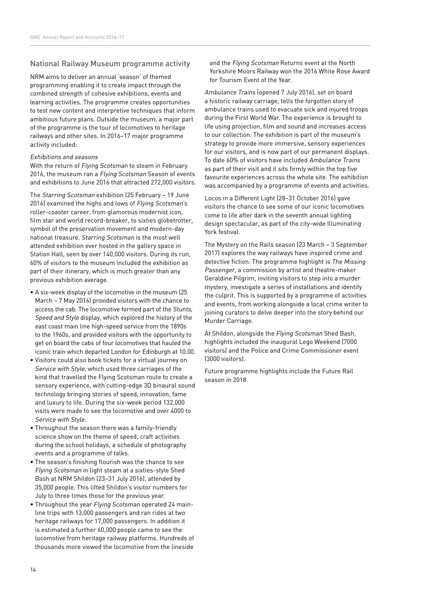#### National Railway Museum programme activity

NRM aims to deliver an annual 'season' of themed programming enabling it to create impact through the combined strength of cohesive exhibitions, events and learning activities. The programme creates opportunities to test new content and interpretive techniques that inform ambitious future plans. Outside the museum, a major part of the programme is the tour of locomotives to heritage railways and other sites. In 2016–17 major programme activity included:

#### Exhibitions and seasons

With the return of Flying Scotsman to steam in February 2016, the museum ran a Flying Scotsman Season of events and exhibitions to June 2016 that attracted 272,000 visitors.

The Starring Scotsman exhibition (25 February – 19 June 2016) examined the highs and lows of Flying Scotsman's roller-coaster career, from glamorous modernist icon, film star and world record-breaker, to sixties globetrotter, symbol of the preservation movement and modern-day national treasure. Starring Scotsman is the most well attended exhibition ever hosted in the gallery space in Station Hall, seen by over 140,000 visitors. During its run, 60% of visitors to the museum included the exhibition as part of their itinerary, which is much greater than any previous exhibition average.

- A six-week display of the locomotive in the museum (25 March – 7 May 2016) provided visitors with the chance to access the cab. The locomotive formed part of the Stunts, Speed and Style display, which explored the history of the east coast main line high-speed service from the 1890s to the 1960s, and provided visitors with the opportunity to get on board the cabs of four locomotives that hauled the iconic train which departed London for Edinburgh at 10.00.
- Visitors could also book tickets for a virtual journey on Service with Style, which used three carriages of the kind that travelled the Flying Scotsman route to create a sensory experience, with cutting-edge 3D binaural sound technology bringing stories of speed, innovation, fame and luxury to life. During the six-week period 132,000 visits were made to see the locomotive and over 4000 to Service with Style.
- Throughout the season there was a family-friendly science show on the theme of speed, craft activities during the school holidays, a schedule of photography events and a programme of talks.
- The season's finishing flourish was the chance to see Flying Scotsman in light steam at a sixties-style Shed Bash at NRM Shildon (23–31 July 2016), attended by 35,000 people. This lifted Shildon's visitor numbers for July to three times those for the previous year.
- Throughout the year Flying Scotsman operated 24 mainline trips with 13,000 passengers and ran rides at two heritage railways for 17,000 passengers. In addition it is estimated a further 60,000 people came to see the locomotive from heritage railway platforms. Hundreds of thousands more viewed the locomotive from the lineside

and the Flying Scotsman Returns event at the North Yorkshire Moors Railway won the 2016 White Rose Award for Tourism Event of the Year.

Ambulance Trains (opened 7 July 2016), set on board a historic railway carriage, tells the forgotten story of ambulance trains used to evacuate sick and injured troops during the First World War. The experience is brought to life using projection, film and sound and increases access to our collection. The exhibition is part of the museum's strategy to provide more immersive, sensory experiences for our visitors, and is now part of our permanent displays. To date 60% of visitors have included Ambulance Trains as part of their visit and it sits firmly within the top five favourite experiences across the whole site. The exhibition was accompanied by a programme of events and activities.

Locos in a Different Light (28–31 October 2016) gave visitors the chance to see some of our iconic locomotives come to life after dark in the seventh annual lighting design spectacular, as part of the city-wide Illuminating York festival.

The Mystery on the Rails season (23 March – 3 September 2017) explores the way railways have inspired crime and detective fiction. The programme highlight is The Missing Passenger, a commission by artist and theatre-maker Geraldine Pilgrim, inviting visitors to step into a murder mystery, investigate a series of installations and identify the culprit. This is supported by a programme of activities and events, from working alongside a local crime writer to joining curators to delve deeper into the story behind our Murder Carriage.

At Shildon, alongside the Flying Scotsman Shed Bash, highlights included the inaugural Lego Weekend (7000 visitors) and the Police and Crime Commissioner event (3000 visitors).

Future programme highlights include the Future Rail season in 2018.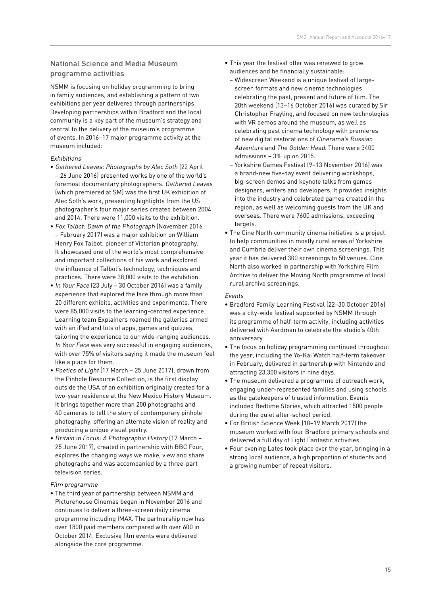#### National Science and Media Museum programme activities

NSMM is focusing on holiday programming to bring in family audiences, and establishing a pattern of two exhibitions per year delivered through partnerships. Developing partnerships within Bradford and the local community is a key part of the museum's strategy and central to the delivery of the museum's programme of events. In 2016–17 major programme activity at the museum included:

#### Exhibitions

- Gathered Leaves: Photographs by Alec Soth (22 April – 26 June 2016) presented works by one of the world's foremost documentary photographers. Gathered Leaves (which premiered at SM) was the first UK exhibition of Alec Soth's work, presenting highlights from the US photographer's four major series created between 2004 and 2014. There were 11,000 visits to the exhibition.
- Fox Talbot: Dawn of the Photograph (November 2016 – February 2017) was a major exhibition on William Henry Fox Talbot, pioneer of Victorian photography. It showcased one of the world's most comprehensive and important collections of his work and explored the influence of Talbot's technology, techniques and practices. There were 38,000 visits to the exhibition.
- In Your Face (23 July 30 October 2016) was a family experience that explored the face through more than 20 different exhibits, activities and experiments. There were 85,000 visits to the learning-centred experience. Learning team Explainers roamed the galleries armed with an iPad and lots of apps, games and quizzes, tailoring the experience to our wide-ranging audiences. In Your Face was very successful in engaging audiences, with over 75% of visitors saying it made the museum feel like a place for them.
- Poetics of Light (17 March 25 June 2017), drawn from the Pinhole Resource Collection, is the first display outside the USA of an exhibition originally created for a two-year residence at the New Mexico History Museum. It brings together more than 200 photographs and 40 cameras to tell the story of contemporary pinhole photography, offering an alternate vision of reality and producing a unique visual poetry.
- Britain in Focus: A Photographic History (17 March 25 June 2017), created in partnership with BBC Four, explores the changing ways we make, view and share photographs and was accompanied by a three-part television series.

#### Film programme

• The third year of partnership between NSMM and Picturehouse Cinemas began in November 2016 and continues to deliver a three-screen daily cinema programme including IMAX. The partnership now has over 1800 paid members compared with over 600 in October 2014. Exclusive film events were delivered alongside the core programme.

- This year the festival offer was renewed to grow audiences and be financially sustainable:
- Widescreen Weekend is a unique festival of largescreen formats and new cinema technologies celebrating the past, present and future of film. The 20th weekend (13–16 October 2016) was curated by Sir Christopher Frayling, and focused on new technologies with VR demos around the museum, as well as celebrating past cinema technology with premieres of new digital restorations of Cinerama's Russian Adventure and The Golden Head. There were 3400 admissions – 3% up on 2015.
- Yorkshire Games Festival (9–13 November 2016) was a brand-new five-day event delivering workshops, big-screen demos and keynote talks from games designers, writers and developers. It provided insights into the industry and celebrated games created in the region, as well as welcoming guests from the UK and overseas. There were 7600 admissions, exceeding targets
- The Cine North community cinema initiative is a project to help communities in mostly rural areas of Yorkshire and Cumbria deliver their own cinema screenings. This year it has delivered 300 screenings to 50 venues. Cine North also worked in partnership with Yorkshire Film Archive to deliver the Moving North programme of local rural archive screenings.

#### Events

- Bradford Family Learning Festival (22–30 October 2016) was a city-wide festival supported by NSMM through its programme of half-term activity, including activities delivered with Aardman to celebrate the studio's 40th anniversary.
- The focus on holiday programming continued throughout the year, including the Yo-Kai Watch half-term takeover in February, delivered in partnership with Nintendo and attracting 23,300 visitors in nine days.
- The museum delivered a programme of outreach work, engaging under-represented families and using schools as the gatekeepers of trusted information. Events included Bedtime Stories, which attracted 1500 people during the quiet after-school period.
- For British Science Week (10–19 March 2017) the museum worked with four Bradford primary schools and delivered a full day of Light Fantastic activities.
- Four evening Lates took place over the year, bringing in a strong local audience, a high proportion of students and a growing number of repeat visitors.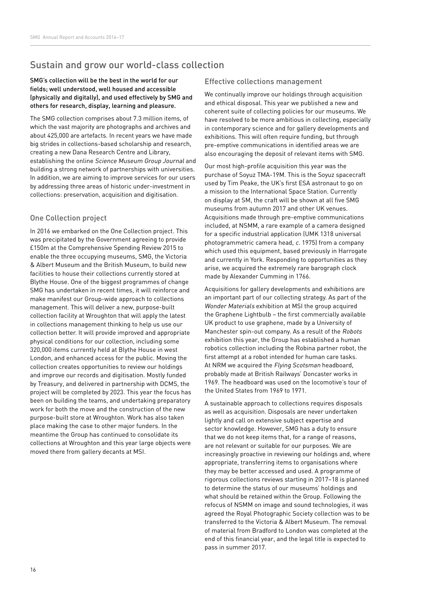## Sustain and grow our world-class collection

#### SMG's collection will be the best in the world for our fields; well understood, well housed and accessible (physically and digitally), and used effectively by SMG and others for research, display, learning and pleasure.

The SMG collection comprises about 7.3 million items, of which the vast majority are photographs and archives and about 425,000 are artefacts. In recent years we have made big strides in collections-based scholarship and research, creating a new Dana Research Centre and Library, establishing the online Science Museum Group Journal and building a strong network of partnerships with universities. In addition, we are aiming to improve services for our users by addressing three areas of historic under-investment in collections: preservation, acquisition and digitisation.

#### One Collection project

In 2016 we embarked on the One Collection project. This was precipitated by the Government agreeing to provide £150m at the Comprehensive Spending Review 2015 to enable the three occupying museums, SMG, the Victoria & Albert Museum and the British Museum, to build new facilities to house their collections currently stored at Blythe House. One of the biggest programmes of change SMG has undertaken in recent times, it will reinforce and make manifest our Group-wide approach to collections management. This will deliver a new, purpose-built collection facility at Wroughton that will apply the latest in collections management thinking to help us use our collection better. It will provide improved and appropriate physical conditions for our collection, including some 320,000 items currently held at Blythe House in west London, and enhanced access for the public. Moving the collection creates opportunities to review our holdings and improve our records and digitisation. Mostly funded by Treasury, and delivered in partnership with DCMS, the project will be completed by 2023. This year the focus has been on building the teams, and undertaking preparatory work for both the move and the construction of the new purpose-built store at Wroughton. Work has also taken place making the case to other major funders. In the meantime the Group has continued to consolidate its collections at Wroughton and this year large objects were moved there from gallery decants at MSI.

#### Effective collections management

We continually improve our holdings through acquisition and ethical disposal. This year we published a new and coherent suite of collecting policies for our museums. We have resolved to be more ambitious in collecting, especially in contemporary science and for gallery developments and exhibitions. This will often require funding, but through pre-emptive communications in identified areas we are also encouraging the deposit of relevant items with SMG.

Our most high-profile acquisition this year was the purchase of Soyuz TMA-19M. This is the Soyuz spacecraft used by Tim Peake, the UK's first ESA astronaut to go on a mission to the International Space Station. Currently on display at SM, the craft will be shown at all five SMG museums from autumn 2017 and other UK venues. Acquisitions made through pre-emptive communications included, at NSMM, a rare example of a camera designed for a specific industrial application (UMK 1318 universal photogrammetric camera head, c. 1975) from a company which used this equipment, based previously in Harrogate and currently in York. Responding to opportunities as they arise, we acquired the extremely rare barograph clock made by Alexander Cumming in 1766.

Acquisitions for gallery developments and exhibitions are an important part of our collecting strategy. As part of the Wonder Materials exhibition at MSI the group acquired the Graphene Lightbulb – the first commercially available UK product to use graphene, made by a University of Manchester spin-out company. As a result of the Robots exhibition this year, the Group has established a human robotics collection including the Robina partner robot, the first attempt at a robot intended for human care tasks. At NRM we acquired the Flying Scotsman headboard, probably made at British Railways' Doncaster works in 1969. The headboard was used on the locomotive's tour of the United States from 1969 to 1971.

A sustainable approach to collections requires disposals as well as acquisition. Disposals are never undertaken lightly and call on extensive subject expertise and sector knowledge. However, SMG has a duty to ensure that we do not keep items that, for a range of reasons, are not relevant or suitable for our purposes. We are increasingly proactive in reviewing our holdings and, where appropriate, transferring items to organisations where they may be better accessed and used. A programme of rigorous collections reviews starting in 2017–18 is planned to determine the status of our museums' holdings and what should be retained within the Group. Following the refocus of NSMM on image and sound technologies, it was agreed the Royal Photographic Society collection was to be transferred to the Victoria & Albert Museum. The removal of material from Bradford to London was completed at the end of this financial year, and the legal title is expected to pass in summer 2017.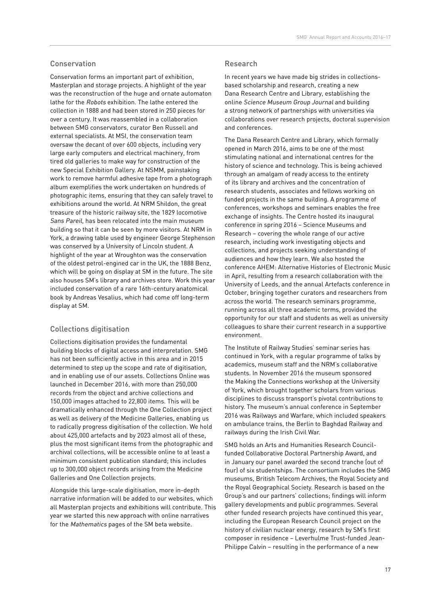#### Conservation

Conservation forms an important part of exhibition, Masterplan and storage projects. A highlight of the year was the reconstruction of the huge and ornate automaton lathe for the Robots exhibition. The lathe entered the collection in 1888 and had been stored in 250 pieces for over a century. It was reassembled in a collaboration between SMG conservators, curator Ben Russell and external specialists. At MSI, the conservation team oversaw the decant of over 600 objects, including very large early computers and electrical machinery, from tired old galleries to make way for construction of the new Special Exhibition Gallery. At NSMM, painstaking work to remove harmful adhesive tape from a photograph album exemplifies the work undertaken on hundreds of photographic items, ensuring that they can safely travel to exhibitions around the world. At NRM Shildon, the great treasure of the historic railway site, the 1829 locomotive Sans Pareil, has been relocated into the main museum building so that it can be seen by more visitors. At NRM in York, a drawing table used by engineer George Stephenson was conserved by a University of Lincoln student. A highlight of the year at Wroughton was the conservation of the oldest petrol-engined car in the UK, the 1888 Benz, which will be going on display at SM in the future. The site also houses SM's library and archives store. Work this year included conservation of a rare 16th-century anatomical book by Andreas Vesalius, which had come off long-term display at SM.

#### Collections digitisation

Collections digitisation provides the fundamental building blocks of digital access and interpretation. SMG has not been sufficiently active in this area and in 2015 determined to step up the scope and rate of digitisation, and in enabling use of our assets. Collections Online was launched in December 2016, with more than 250,000 records from the object and archive collections and 150,000 images attached to 22,800 items. This will be dramatically enhanced through the One Collection project as well as delivery of the Medicine Galleries, enabling us to radically progress digitisation of the collection. We hold about 425,000 artefacts and by 2023 almost all of these, plus the most significant items from the photographic and archival collections, will be accessible online to at least a minimum consistent publication standard; this includes up to 300,000 object records arising from the Medicine Galleries and One Collection projects.

Alongside this large-scale digitisation, more in-depth narrative information will be added to our websites, which all Masterplan projects and exhibitions will contribute. This year we started this new approach with online narratives for the Mathematics pages of the SM beta website.

#### Research

In recent years we have made big strides in collectionsbased scholarship and research, creating a new Dana Research Centre and Library, establishing the online Science Museum Group Journal and building a strong network of partnerships with universities via collaborations over research projects, doctoral supervision and conferences.

The Dana Research Centre and Library, which formally opened in March 2016, aims to be one of the most stimulating national and international centres for the history of science and technology. This is being achieved through an amalgam of ready access to the entirety of its library and archives and the concentration of research students, associates and fellows working on funded projects in the same building. A programme of conferences, workshops and seminars enables the free exchange of insights. The Centre hosted its inaugural conference in spring 2016 – Science Museums and Research – covering the whole range of our active research, including work investigating objects and collections, and projects seeking understanding of audiences and how they learn. We also hosted the conference AHEM: Alternative Histories of Electronic Music in April, resulting from a research collaboration with the University of Leeds, and the annual Artefacts conference in October, bringing together curators and researchers from across the world. The research seminars programme, running across all three academic terms, provided the opportunity for our staff and students as well as university colleagues to share their current research in a supportive environment.

The Institute of Railway Studies' seminar series has continued in York, with a regular programme of talks by academics, museum staff and the NRM's collaborative students. In November 2016 the museum sponsored the Making the Connections workshop at the University of York, which brought together scholars from various disciplines to discuss transport's pivotal contributions to history. The museum's annual conference in September 2016 was Railways and Warfare, which included speakers on ambulance trains, the Berlin to Baghdad Railway and railways during the Irish Civil War.

SMG holds an Arts and Humanities Research Councilfunded Collaborative Doctoral Partnership Award, and in January our panel awarded the second tranche (out of four) of six studentships. The consortium includes the SMG museums, British Telecom Archives, the Royal Society and the Royal Geographical Society. Research is based on the Group's and our partners' collections; findings will inform gallery developments and public programmes. Several other funded research projects have continued this year, including the European Research Council project on the history of civilian nuclear energy, research by SM's first composer in residence – Leverhulme Trust-funded Jean-Philippe Calvin – resulting in the performance of a new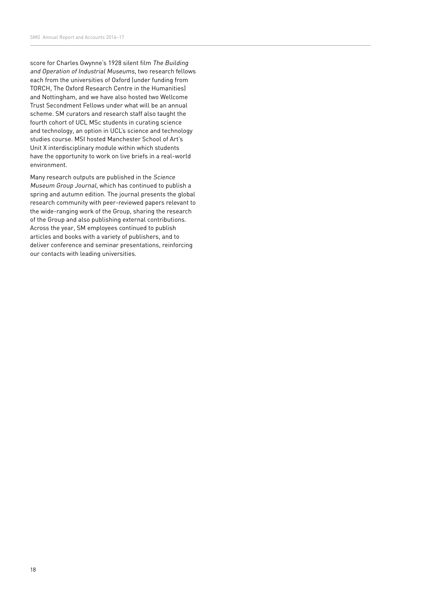score for Charles Gwynne's 1928 silent film The Building and Operation of Industrial Museums, two research fellows each from the universities of Oxford (under funding from TORCH, The Oxford Research Centre in the Humanities) and Nottingham, and we have also hosted two Wellcome Trust Secondment Fellows under what will be an annual scheme. SM curators and research staff also taught the fourth cohort of UCL MSc students in curating science and technology, an option in UCL's science and technology studies course. MSI hosted Manchester School of Art's Unit X interdisciplinary module within which students have the opportunity to work on live briefs in a real-world environment.

Many research outputs are published in the Science Museum Group Journal, which has continued to publish a spring and autumn edition. The journal presents the global research community with peer-reviewed papers relevant to the wide-ranging work of the Group, sharing the research of the Group and also publishing external contributions. Across the year, SM employees continued to publish articles and books with a variety of publishers, and to deliver conference and seminar presentations, reinforcing our contacts with leading universities.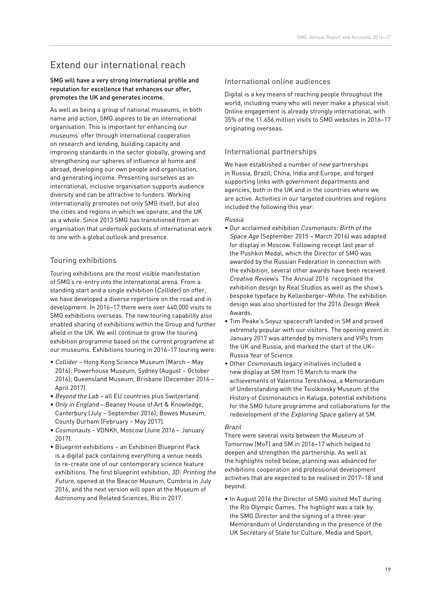# Extend our international reach

SMG will have a very strong international profile and reputation for excellence that enhances our offer, promotes the UK and generates income.

As well as being a group of national museums, in both name and action, SMG aspires to be an international organisation. This is important for enhancing our museums' offer through international cooperation on research and lending, building capacity and improving standards in the sector globally, growing and strengthening our spheres of influence at home and abroad, developing our own people and organisation, and generating income. Presenting ourselves as an international, inclusive organisation supports audience diversity and can be attractive to funders. Working internationally promotes not only SMG itself, but also the cities and regions in which we operate, and the UK as a whole. Since 2013 SMG has transitioned from an organisation that undertook pockets of international work to one with a global outlook and presence.

#### Touring exhibitions

Touring exhibitions are the most visible manifestation of SMG's re-entry into the international arena. From a standing start and a single exhibition (Collider) on offer, we have developed a diverse repertoire on the road and in development. In 2016–17 there were over 440,000 visits to SMG exhibitions overseas. The new touring capability also enabled sharing of exhibitions within the Group and further afield in the UK. We will continue to grow the touring exhibition programme based on the current programme at our museums. Exhibitions touring in 2016–17 touring were:

- Collider Hong Kong Science Museum (March May 2016); Powerhouse Museum, Sydney (August – October 2016); Queensland Museum, Brisbane (December 2016 – April 2017).
- Beyond the Lab all EU countries plus Switzerland.
- Only in England Beaney House of Art & Knowledge, Canterbury (July – September 2016); Bowes Museum, County Durham (February – May 2017).
- Cosmonauts VDNKh, Moscow (June 2016 January 2017).
- Blueprint exhibitions an Exhibition Blueprint Pack is a digital pack containing everything a venue needs to re-create one of our contemporary science feature exhibitions. The first blueprint exhibition, 3D: Printing the Future, opened at the Beacon Museum, Cumbria in July 2016, and the next version will open at the Museum of Astronomy and Related Sciences, Rio in 2017.

#### International online audiences

Digital is a key means of reaching people throughout the world, including many who will never make a physical visit. Online engagement is already strongly international, with 35% of the 11.656 million visits to SMG websites in 2016–17 originating overseas.

#### International partnerships

We have established a number of new partnerships in Russia, Brazil, China, India and Europe, and forged supporting links with government departments and agencies, both in the UK and in the countries where we are active. Activities in our targeted countries and regions included the following this year:

#### Russia

- Our acclaimed exhibition Cosmonauts: Birth of the Space Age (September 2015 – March 2016) was adapted for display in Moscow. Following receipt last year of the Pushkin Medal, which the Director of SMG was awarded by the Russian Federation in connection with the exhibition, several other awards have been received. Creative Review's 'The Annual 2016' recognised the exhibition design by Real Studios as well as the show's bespoke typeface by Kellenberger–White. The exhibition design was also shortlisted for the 2016 Design Week Awards.
- Tim Peake's Soyuz spacecraft landed in SM and proved extremely popular with our visitors. The opening event in January 2017 was attended by ministers and VIPs from the UK and Russia, and marked the start of the UK– Russia Year of Science.
- Other Cosmonauts legacy initiatives included a new display at SM from 15 March to mark the achievements of Valentina Tereshkova, a Memorandum of Understanding with the Tsiolkovsky Museum of the History of Cosmonautics in Kaluga, potential exhibitions for the SMG future programme and collaborations for the redevelopment of the Exploring Space gallery at SM.

#### Brazil

There were several visits between the Museum of Tomorrow (MoT) and SM in 2016–17 which helped to deepen and strengthen the partnership. As well as the highlights noted below, planning was advanced for exhibitions cooperation and professional development activities that are expected to be realised in 2017–18 and beyond.

• In August 2016 the Director of SMG visited MoT during the Rio Olympic Games. The highlight was a talk by the SMG Director and the signing of a three-year Memorandum of Understanding in the presence of the UK Secretary of State for Culture, Media and Sport,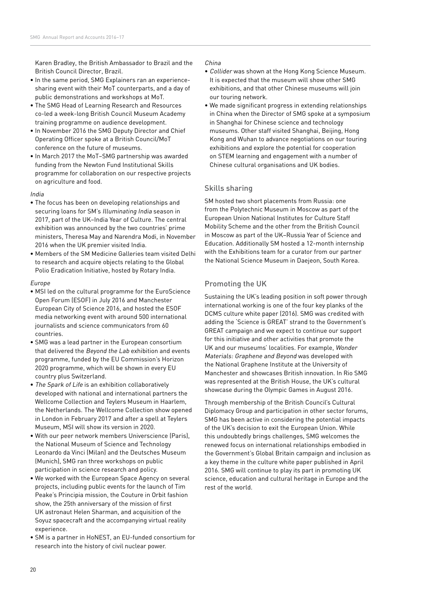Karen Bradley, the British Ambassador to Brazil and the British Council Director, Brazil.

- In the same period, SMG Explainers ran an experiencesharing event with their MoT counterparts, and a day of public demonstrations and workshops at MoT.
- The SMG Head of Learning Research and Resources co-led a week-long British Council Museum Academy training programme on audience development.
- In November 2016 the SMG Deputy Director and Chief Operating Officer spoke at a British Council/MoT conference on the future of museums.
- In March 2017 the MoT–SMG partnership was awarded funding from the Newton Fund Institutional Skills programme for collaboration on our respective projects on agriculture and food.

#### India

- The focus has been on developing relationships and securing loans for SM's Illuminating India season in 2017, part of the UK–India Year of Culture. The central exhibition was announced by the two countries' prime ministers, Theresa May and Narendra Modi, in November 2016 when the UK premier visited India.
- Members of the SM Medicine Galleries team visited Delhi to research and acquire objects relating to the Global Polio Eradication Initiative, hosted by Rotary India.

#### Europe

- MSI led on the cultural programme for the EuroScience Open Forum (ESOF) in July 2016 and Manchester European City of Science 2016, and hosted the ESOF media networking event with around 500 international journalists and science communicators from 60 countries.
- SMG was a lead partner in the European consortium that delivered the Beyond the Lab exhibition and events programme, funded by the EU Commission's Horizon 2020 programme, which will be shown in every EU country plus Switzerland.
- The Spark of Life is an exhibition collaboratively developed with national and international partners the Wellcome Collection and Teylers Museum in Haarlem, the Netherlands. The Wellcome Collection show opened in London in February 2017 and after a spell at Teylers Museum, MSI will show its version in 2020.
- With our peer network members Universcience (Paris), the National Museum of Science and Technology Leonardo da Vinci (Milan) and the Deutsches Museum (Munich), SMG ran three workshops on public participation in science research and policy.
- We worked with the European Space Agency on several projects, including public events for the launch of Tim Peake's Principia mission, the Couture in Orbit fashion show, the 25th anniversary of the mission of first UK astronaut Helen Sharman, and acquisition of the Soyuz spacecraft and the accompanying virtual reality experience.
- SM is a partner in HoNEST, an EU-funded consortium for research into the history of civil nuclear power.

#### China

- Collider was shown at the Hong Kong Science Museum. It is expected that the museum will show other SMG exhibitions, and that other Chinese museums will join our touring network.
- We made significant progress in extending relationships in China when the Director of SMG spoke at a symposium in Shanghai for Chinese science and technology museums. Other staff visited Shanghai, Beijing, Hong Kong and Wuhan to advance negotiations on our touring exhibitions and explore the potential for cooperation on STEM learning and engagement with a number of Chinese cultural organisations and UK bodies.

#### Skills sharing

SM hosted two short placements from Russia: one from the Polytechnic Museum in Moscow as part of the European Union National Institutes for Culture Staff Mobility Scheme and the other from the British Council in Moscow as part of the UK–Russia Year of Science and Education. Additionally SM hosted a 12-month internship with the Exhibitions team for a curator from our partner the National Science Museum in Daejeon, South Korea.

#### Promoting the UK

Sustaining the UK's leading position in soft power through international working is one of the four key planks of the DCMS culture white paper (2016). SMG was credited with adding the 'Science is GREAT' strand to the Government's GREAT campaign and we expect to continue our support for this initiative and other activities that promote the UK and our museums' localities. For example, Wonder Materials: Graphene and Beyond was developed with the National Graphene Institute at the University of Manchester and showcases British innovation. In Rio SMG was represented at the British House, the UK's cultural showcase during the Olympic Games in August 2016.

Through membership of the British Council's Cultural Diplomacy Group and participation in other sector forums, SMG has been active in considering the potential impacts of the UK's decision to exit the European Union. While this undoubtedly brings challenges, SMG welcomes the renewed focus on international relationships embodied in the Government's Global Britain campaign and inclusion as a key theme in the culture white paper published in April 2016. SMG will continue to play its part in promoting UK science, education and cultural heritage in Europe and the rest of the world.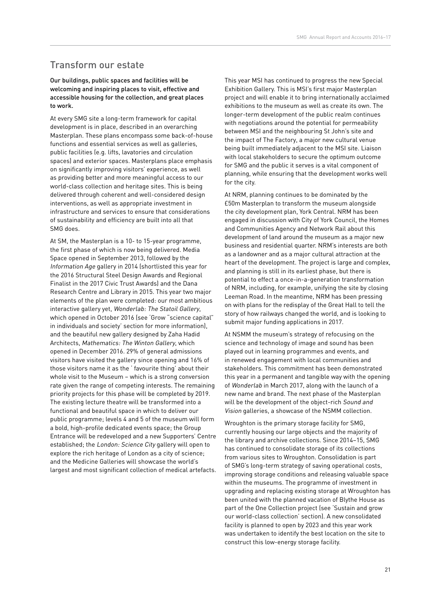## Transform our estate

#### Our buildings, public spaces and facilities will be welcoming and inspiring places to visit, effective and accessible housing for the collection, and great places to work.

At every SMG site a long-term framework for capital development is in place, described in an overarching Masterplan. These plans encompass some back-of-house functions and essential services as well as galleries, public facilities (e.g. lifts, lavatories and circulation spaces) and exterior spaces. Masterplans place emphasis on significantly improving visitors' experience, as well as providing better and more meaningful access to our world-class collection and heritage sites. This is being delivered through coherent and well-considered design interventions, as well as appropriate investment in infrastructure and services to ensure that considerations of sustainability and efficiency are built into all that SMG does.

At SM, the Masterplan is a 10- to 15-year programme, the first phase of which is now being delivered. Media Space opened in September 2013, followed by the Information Age gallery in 2014 (shortlisted this year for the 2016 Structural Steel Design Awards and Regional Finalist in the 2017 Civic Trust Awards) and the Dana Research Centre and Library in 2015. This year two major elements of the plan were completed: our most ambitious interactive gallery yet, Wonderlab: The Statoil Gallery, which opened in October 2016 (see 'Grow "science capital" in individuals and society' section for more information), and the beautiful new gallery designed by Zaha Hadid Architects, Mathematics: The Winton Gallery, which opened in December 2016. 29% of general admissions visitors have visited the gallery since opening and 16% of those visitors name it as the ' favourite thing' about their whole visit to the Museum – which is a strong conversion rate given the range of competing interests. The remaining priority projects for this phase will be completed by 2019. The existing lecture theatre will be transformed into a functional and beautiful space in which to deliver our public programme; levels 4 and 5 of the museum will form a bold, high-profile dedicated events space; the Group Entrance will be redeveloped and a new Supporters' Centre established; the London: Science City gallery will open to explore the rich heritage of London as a city of science; and the Medicine Galleries will showcase the world's largest and most significant collection of medical artefacts. This year MSI has continued to progress the new Special Exhibition Gallery. This is MSI's first major Masterplan project and will enable it to bring internationally acclaimed exhibitions to the museum as well as create its own. The longer-term development of the public realm continues with negotiations around the potential for permeability between MSI and the neighbouring St John's site and the impact of The Factory, a major new cultural venue being built immediately adjacent to the MSI site. Liaison with local stakeholders to secure the optimum outcome for SMG and the public it serves is a vital component of planning, while ensuring that the development works well for the city.

At NRM, planning continues to be dominated by the £50m Masterplan to transform the museum alongside the city development plan, York Central. NRM has been engaged in discussion with City of York Council, the Homes and Communities Agency and Network Rail about this development of land around the museum as a major new business and residential quarter. NRM's interests are both as a landowner and as a major cultural attraction at the heart of the development. The project is large and complex, and planning is still in its earliest phase, but there is potential to effect a once-in-a-generation transformation of NRM, including, for example, unifying the site by closing Leeman Road. In the meantime, NRM has been pressing on with plans for the redisplay of the Great Hall to tell the story of how railways changed the world, and is looking to submit major funding applications in 2017.

At NSMM the museum's strategy of refocusing on the science and technology of image and sound has been played out in learning programmes and events, and in renewed engagement with local communities and stakeholders. This commitment has been demonstrated this year in a permanent and tangible way with the opening of Wonderlab in March 2017, along with the launch of a new name and brand. The next phase of the Masterplan will be the development of the object-rich Sound and Vision galleries, a showcase of the NSMM collection.

Wroughton is the primary storage facility for SMG, currently housing our large objects and the majority of the library and archive collections. Since 2014–15, SMG has continued to consolidate storage of its collections from various sites to Wroughton. Consolidation is part of SMG's long-term strategy of saving operational costs, improving storage conditions and releasing valuable space within the museums. The programme of investment in upgrading and replacing existing storage at Wroughton has been united with the planned vacation of Blythe House as part of the One Collection project (see 'Sustain and grow our world-class collection' section). A new consolidated facility is planned to open by 2023 and this year work was undertaken to identify the best location on the site to construct this low-energy storage facility.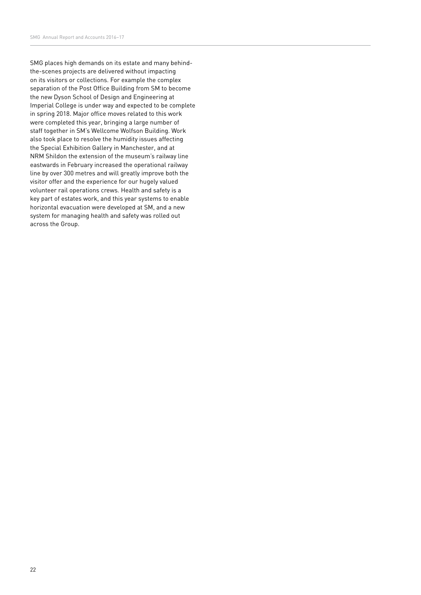SMG places high demands on its estate and many behindthe-scenes projects are delivered without impacting on its visitors or collections. For example the complex separation of the Post Office Building from SM to become the new Dyson School of Design and Engineering at Imperial College is under way and expected to be complete in spring 2018. Major office moves related to this work were completed this year, bringing a large number of staff together in SM's Wellcome Wolfson Building. Work also took place to resolve the humidity issues affecting the Special Exhibition Gallery in Manchester, and at NRM Shildon the extension of the museum's railway line eastwards in February increased the operational railway line by over 300 metres and will greatly improve both the visitor offer and the experience for our hugely valued volunteer rail operations crews. Health and safety is a key part of estates work, and this year systems to enable horizontal evacuation were developed at SM, and a new system for managing health and safety was rolled out across the Group.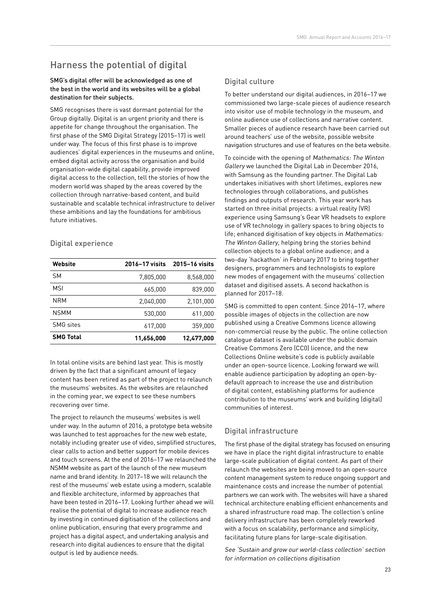# Harness the potential of digital

#### SMG's digital offer will be acknowledged as one of the best in the world and its websites will be a global destination for their subjects.

SMG recognises there is vast dormant potential for the Group digitally. Digital is an urgent priority and there is appetite for change throughout the organisation. The first phase of the SMG Digital Strategy (2015–17) is well under way. The focus of this first phase is to improve audiences' digital experiences in the museums and online, embed digital activity across the organisation and build organisation-wide digital capability, provide improved digital access to the collection, tell the stories of how the modern world was shaped by the areas covered by the collection through narrative-based content, and build sustainable and scalable technical infrastructure to deliver these ambitions and lay the foundations for ambitious future initiatives.

#### Digital experience

| Website          | 2016-17 visits | 2015-16 visits |
|------------------|----------------|----------------|
| SΜ               | 7.805.000      | 8,568,000      |
| <b>MSI</b>       | 665,000        | 839,000        |
| <b>NRM</b>       | 2.040.000      | 2.101.000      |
| <b>NSMM</b>      | 530,000        | 611.000        |
| <b>SMG</b> sites | 617,000        | 359,000        |
| <b>SMG Total</b> | 11,656,000     | 12,477,000     |

In total online visits are behind last year. This is mostly driven by the fact that a significant amount of legacy content has been retired as part of the project to relaunch the museums' websites. As the websites are relaunched in the coming year, we expect to see these numbers recovering over time.

The project to relaunch the museums' websites is well under way. In the autumn of 2016, a prototype beta website was launched to test approaches for the new web estate, notably including greater use of video, simplified structures, clear calls to action and better support for mobile devices and touch screens. At the end of 2016–17 we relaunched the NSMM website as part of the launch of the new museum name and brand identity. In 2017–18 we will relaunch the rest of the museums' web estate using a modern, scalable and flexible architecture, informed by approaches that have been tested in 2016–17. Looking further ahead we will realise the potential of digital to increase audience reach by investing in continued digitisation of the collections and online publication, ensuring that every programme and project has a digital aspect, and undertaking analysis and research into digital audiences to ensure that the digital output is led by audience needs.

#### Digital culture

To better understand our digital audiences, in 2016–17 we commissioned two large-scale pieces of audience research into visitor use of mobile technology in the museum, and online audience use of collections and narrative content. Smaller pieces of audience research have been carried out around teachers' use of the website, possible website navigation structures and use of features on the beta website.

To coincide with the opening of Mathematics: The Winton Gallery we launched the Digital Lab in December 2016, with Samsung as the founding partner. The Digital Lab undertakes initiatives with short lifetimes, explores new technologies through collaborations, and publishes findings and outputs of research. This year work has started on three initial projects: a virtual reality (VR) experience using Samsung's Gear VR headsets to explore use of VR technology in gallery spaces to bring objects to life; enhanced digitisation of key objects in Mathematics: The Winton Gallery, helping bring the stories behind collection objects to a global online audience; and a two-day 'hackathon' in February 2017 to bring together designers, programmers and technologists to explore new modes of engagement with the museums' collection dataset and digitised assets. A second hackathon is planned for 2017–18.

SMG is committed to open content. Since 2016–17, where possible images of objects in the collection are now published using a Creative Commons licence allowing non-commercial reuse by the public. The online collection catalogue dataset is available under the public domain Creative Commons Zero (CC0) licence, and the new Collections Online website's code is publicly available under an open-source licence. Looking forward we will enable audience participation by adopting an open-bydefault approach to increase the use and distribution of digital content, establishing platforms for audience contribution to the museums' work and building (digital) communities of interest.

#### Digital infrastructure

The first phase of the digital strategy has focused on ensuring we have in place the right digital infrastructure to enable large-scale publication of digital content. As part of their relaunch the websites are being moved to an open-source content management system to reduce ongoing support and maintenance costs and increase the number of potential partners we can work with. The websites will have a shared technical architecture enabling efficient enhancements and a shared infrastructure road map. The collection's online delivery infrastructure has been completely reworked with a focus on scalability, performance and simplicity, facilitating future plans for large-scale digitisation.

See 'Sustain and grow our world-class collection' section for information on collections digitisation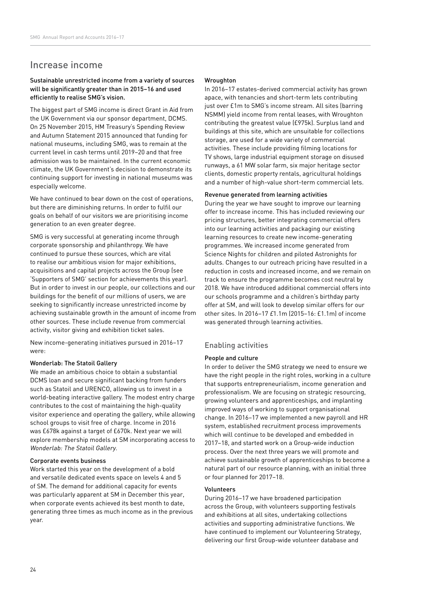## Increase income

#### Sustainable unrestricted income from a variety of sources will be significantly greater than in 2015–16 and used efficiently to realise SMG's vision.

The biggest part of SMG income is direct Grant in Aid from the UK Government via our sponsor department, DCMS. On 25 November 2015, HM Treasury's Spending Review and Autumn Statement 2015 announced that funding for national museums, including SMG, was to remain at the current level in cash terms until 2019–20 and that free admission was to be maintained. In the current economic climate, the UK Government's decision to demonstrate its continuing support for investing in national museums was especially welcome.

We have continued to bear down on the cost of operations. but there are diminishing returns. In order to fulfil our goals on behalf of our visitors we are prioritising income generation to an even greater degree.

SMG is very successful at generating income through corporate sponsorship and philanthropy. We have continued to pursue these sources, which are vital to realise our ambitious vision for major exhibitions, acquisitions and capital projects across the Group (see 'Supporters of SMG' section for achievements this year). But in order to invest in our people, our collections and our buildings for the benefit of our millions of users, we are seeking to significantly increase unrestricted income by achieving sustainable growth in the amount of income from other sources. These include revenue from commercial activity, visitor giving and exhibition ticket sales.

New income-generating initiatives pursued in 2016–17 were:

#### Wonderlab: The Statoil Gallery

We made an ambitious choice to obtain a substantial DCMS loan and secure significant backing from funders such as Statoil and URENCO, allowing us to invest in a world-beating interactive gallery. The modest entry charge contributes to the cost of maintaining the high-quality visitor experience and operating the gallery, while allowing school groups to visit free of charge. Income in 2016 was £678k against a target of £670k. Next year we will explore membership models at SM incorporating access to Wonderlab: The Statoil Gallery.

#### Corporate events business

Work started this year on the development of a bold and versatile dedicated events space on levels 4 and 5 of SM. The demand for additional capacity for events was particularly apparent at SM in December this year, when corporate events achieved its best month to date, generating three times as much income as in the previous year.

#### Wroughton

In 2016–17 estates-derived commercial activity has grown apace, with tenancies and short-term lets contributing just over £1m to SMG's income stream. All sites (barring NSMM) yield income from rental leases, with Wroughton contributing the greatest value (£975k). Surplus land and buildings at this site, which are unsuitable for collections storage, are used for a wide variety of commercial activities. These include providing filming locations for TV shows, large industrial equipment storage on disused runways, a 61 MW solar farm, six major heritage sector clients, domestic property rentals, agricultural holdings and a number of high-value short-term commercial lets.

#### Revenue generated from learning activities

During the year we have sought to improve our learning offer to increase income. This has included reviewing our pricing structures, better integrating commercial offers into our learning activities and packaging our existing learning resources to create new income-generating programmes. We increased income generated from Science Nights for children and piloted Astronights for adults. Changes to our outreach pricing have resulted in a reduction in costs and increased income, and we remain on track to ensure the programme becomes cost neutral by 2018. We have introduced additional commercial offers into our schools programme and a children's birthday party offer at SM, and will look to develop similar offers for our other sites. In 2016–17 £1.1m (2015–16: £1.1m) of income was generated through learning activities.

#### Enabling activities

#### People and culture

In order to deliver the SMG strategy we need to ensure we have the right people in the right roles, working in a culture that supports entrepreneurialism, income generation and professionalism. We are focusing on strategic resourcing, growing volunteers and apprenticeships, and implanting improved ways of working to support organisational change. In 2016–17 we implemented a new payroll and HR system, established recruitment process improvements which will continue to be developed and embedded in 2017–18, and started work on a Group-wide induction process. Over the next three years we will promote and achieve sustainable growth of apprenticeships to become a natural part of our resource planning, with an initial three or four planned for 2017–18.

#### Volunteers

During 2016–17 we have broadened participation across the Group, with volunteers supporting festivals and exhibitions at all sites, undertaking collections activities and supporting administrative functions. We have continued to implement our Volunteering Strategy, delivering our first Group-wide volunteer database and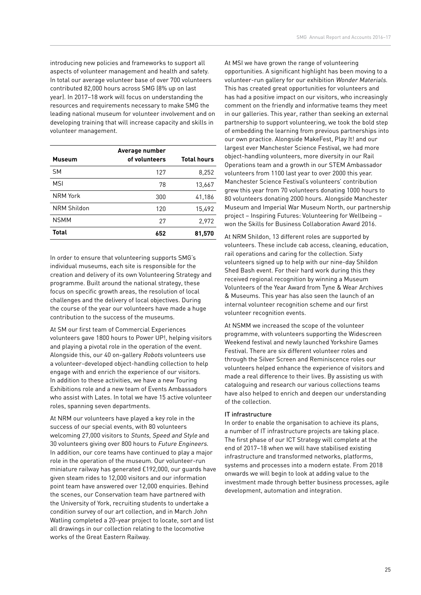introducing new policies and frameworks to support all aspects of volunteer management and health and safety. In total our average volunteer base of over 700 volunteers contributed 82,000 hours across SMG (8% up on last year). In 2017–18 work will focus on understanding the resources and requirements necessary to make SMG the leading national museum for volunteer involvement and on developing training that will increase capacity and skills in volunteer management.

| <b>Museum</b> | Average number<br>of volunteers | <b>Total hours</b> |
|---------------|---------------------------------|--------------------|
| <b>SM</b>     | 127                             | 8,252              |
| <b>MSI</b>    | 78                              | 13,667             |
| NRM York      | 300                             | 41,186             |
| NRM Shildon   | 120                             | 15,492             |
| <b>NSMM</b>   | 27                              | 2,972              |
| Total         | 652                             | 81,570             |

In order to ensure that volunteering supports SMG's individual museums, each site is responsible for the creation and delivery of its own Volunteering Strategy and programme. Built around the national strategy, these focus on specific growth areas, the resolution of local challenges and the delivery of local objectives. During the course of the year our volunteers have made a huge contribution to the success of the museums.

At SM our first team of Commercial Experiences volunteers gave 1800 hours to Power UP!, helping visitors and playing a pivotal role in the operation of the event. Alongside this, our 40 on-gallery Robots volunteers use a volunteer-developed object-handling collection to help engage with and enrich the experience of our visitors. In addition to these activities, we have a new Touring Exhibitions role and a new team of Events Ambassadors who assist with Lates. In total we have 15 active volunteer roles, spanning seven departments.

At NRM our volunteers have played a key role in the success of our special events, with 80 volunteers welcoming 27,000 visitors to Stunts, Speed and Style and 30 volunteers giving over 800 hours to Future Engineers. In addition, our core teams have continued to play a major role in the operation of the museum. Our volunteer-run miniature railway has generated £192,000, our guards have given steam rides to 12,000 visitors and our information point team have answered over 12,000 enquiries. Behind the scenes, our Conservation team have partnered with the University of York, recruiting students to undertake a condition survey of our art collection, and in March John Watling completed a 20-year project to locate, sort and list all drawings in our collection relating to the locomotive works of the Great Eastern Railway.

At MSI we have grown the range of volunteering opportunities. A significant highlight has been moving to a volunteer-run gallery for our exhibition Wonder Materials. This has created great opportunities for volunteers and has had a positive impact on our visitors, who increasingly comment on the friendly and informative teams they meet in our galleries. This year, rather than seeking an external partnership to support volunteering, we took the bold step of embedding the learning from previous partnerships into our own practice. Alongside MakeFest, Play It! and our largest ever Manchester Science Festival, we had more object-handling volunteers, more diversity in our Rail Operations team and a growth in our STEM Ambassador volunteers from 1100 last year to over 2000 this year. Manchester Science Festival's volunteers' contribution grew this year from 70 volunteers donating 1000 hours to 80 volunteers donating 2000 hours. Alongside Manchester Museum and Imperial War Museum North, our partnership project – Inspiring Futures: Volunteering for Wellbeing – won the Skills for Business Collaboration Award 2016.

At NRM Shildon, 13 different roles are supported by volunteers. These include cab access, cleaning, education, rail operations and caring for the collection. Sixty volunteers signed up to help with our nine-day Shildon Shed Bash event. For their hard work during this they received regional recognition by winning a Museum Volunteers of the Year Award from Tyne & Wear Archives & Museums. This year has also seen the launch of an internal volunteer recognition scheme and our first volunteer recognition events.

At NSMM we increased the scope of the volunteer programme, with volunteers supporting the Widescreen Weekend festival and newly launched Yorkshire Games Festival. There are six different volunteer roles and through the Silver Screen and Reminiscence roles our volunteers helped enhance the experience of visitors and made a real difference to their lives. By assisting us with cataloguing and research our various collections teams have also helped to enrich and deepen our understanding of the collection.

#### IT infrastructure

In order to enable the organisation to achieve its plans, a number of IT infrastructure projects are taking place. The first phase of our ICT Strategy will complete at the end of 2017–18 when we will have stabilised existing infrastructure and transformed networks, platforms, systems and processes into a modern estate. From 2018 onwards we will begin to look at adding value to the investment made through better business processes, agile development, automation and integration.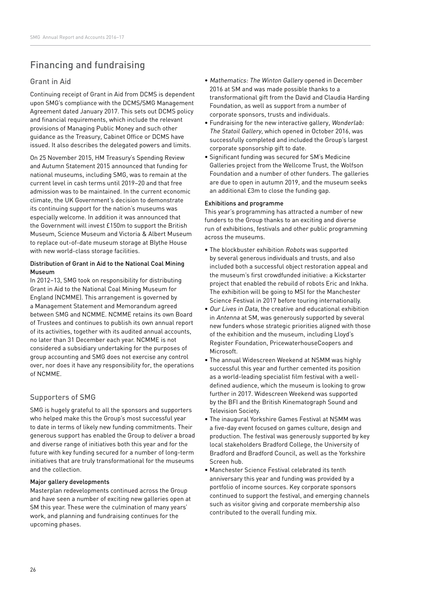# Financing and fundraising

#### Grant in Aid

Continuing receipt of Grant in Aid from DCMS is dependent upon SMG's compliance with the DCMS/SMG Management Agreement dated January 2017. This sets out DCMS policy and financial requirements, which include the relevant provisions of Managing Public Money and such other guidance as the Treasury, Cabinet Office or DCMS have issued. It also describes the delegated powers and limits.

On 25 November 2015, HM Treasury's Spending Review and Autumn Statement 2015 announced that funding for national museums, including SMG, was to remain at the current level in cash terms until 2019–20 and that free admission was to be maintained. In the current economic climate, the UK Government's decision to demonstrate its continuing support for the nation's museums was especially welcome. In addition it was announced that the Government will invest £150m to support the British Museum, Science Museum and Victoria & Albert Museum to replace out-of-date museum storage at Blythe House with new world-class storage facilities.

#### Distribution of Grant in Aid to the National Coal Mining Museum

In 2012–13, SMG took on responsibility for distributing Grant in Aid to the National Coal Mining Museum for England (NCMME). This arrangement is governed by a Management Statement and Memorandum agreed between SMG and NCMME. NCMME retains its own Board of Trustees and continues to publish its own annual report of its activities, together with its audited annual accounts, no later than 31 December each year. NCMME is not considered a subsidiary undertaking for the purposes of group accounting and SMG does not exercise any control over, nor does it have any responsibility for, the operations of NCMME.

#### Supporters of SMG

SMG is hugely grateful to all the sponsors and supporters who helped make this the Group's most successful year to date in terms of likely new funding commitments. Their generous support has enabled the Group to deliver a broad and diverse range of initiatives both this year and for the future with key funding secured for a number of long-term initiatives that are truly transformational for the museums and the collection.

#### Major gallery developments

Masterplan redevelopments continued across the Group and have seen a number of exciting new galleries open at SM this year. These were the culmination of many years' work, and planning and fundraising continues for the upcoming phases.

- Mathematics: The Winton Gallery opened in December 2016 at SM and was made possible thanks to a transformational gift from the David and Claudia Harding Foundation, as well as support from a number of corporate sponsors, trusts and individuals.
- Fundraising for the new interactive gallery, Wonderlab: The Statoil Gallery, which opened in October 2016, was successfully completed and included the Group's largest corporate sponsorship gift to date.
- Significant funding was secured for SM's Medicine Galleries project from the Wellcome Trust, the Wolfson Foundation and a number of other funders. The galleries are due to open in autumn 2019, and the museum seeks an additional £3m to close the funding gap.

#### Exhibitions and programme

This year's programming has attracted a number of new funders to the Group thanks to an exciting and diverse run of exhibitions, festivals and other public programming across the museums.

- The blockbuster exhibition Robots was supported by several generous individuals and trusts, and also included both a successful object restoration appeal and the museum's first crowdfunded initiative: a Kickstarter project that enabled the rebuild of robots Eric and Inkha. The exhibition will be going to MSI for the Manchester Science Festival in 2017 before touring internationally.
- Our Lives in Data, the creative and educational exhibition in Antenna at SM, was generously supported by several new funders whose strategic priorities aligned with those of the exhibition and the museum, including Lloyd's Register Foundation, PricewaterhouseCoopers and Microsoft.
- The annual Widescreen Weekend at NSMM was highly successful this year and further cemented its position as a world-leading specialist film festival with a welldefined audience, which the museum is looking to grow further in 2017. Widescreen Weekend was supported by the BFI and the British Kinematograph Sound and Television Society.
- The inaugural Yorkshire Games Festival at NSMM was a five-day event focused on games culture, design and production. The festival was generously supported by key local stakeholders Bradford College, the University of Bradford and Bradford Council, as well as the Yorkshire Screen hub.
- Manchester Science Festival celebrated its tenth anniversary this year and funding was provided by a portfolio of income sources. Key corporate sponsors continued to support the festival, and emerging channels such as visitor giving and corporate membership also contributed to the overall funding mix.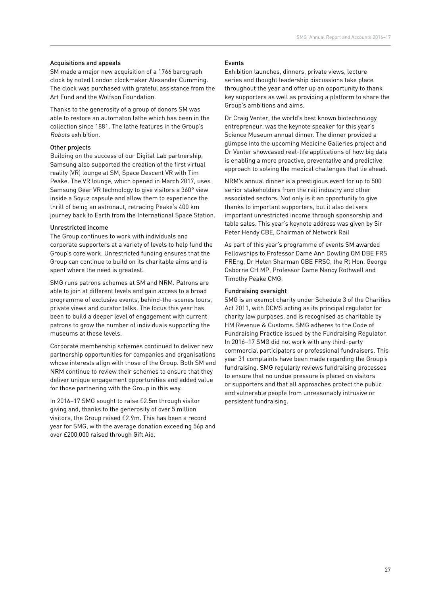#### Acquisitions and appeals

SM made a major new acquisition of a 1766 barograph clock by noted London clockmaker Alexander Cumming. The clock was purchased with grateful assistance from the Art Fund and the Wolfson Foundation.

Thanks to the generosity of a group of donors SM was able to restore an automaton lathe which has been in the collection since 1881. The lathe features in the Group's Robots exhibition.

#### Other projects

Building on the success of our Digital Lab partnership, Samsung also supported the creation of the first virtual reality (VR) lounge at SM, Space Descent VR with Tim Peake. The VR lounge, which opened in March 2017, uses Samsung Gear VR technology to give visitors a 360° view inside a Soyuz capsule and allow them to experience the thrill of being an astronaut, retracing Peake's 400 km journey back to Earth from the International Space Station.

#### Unrestricted income

The Group continues to work with individuals and corporate supporters at a variety of levels to help fund the Group's core work. Unrestricted funding ensures that the Group can continue to build on its charitable aims and is spent where the need is greatest.

SMG runs patrons schemes at SM and NRM. Patrons are able to join at different levels and gain access to a broad programme of exclusive events, behind-the-scenes tours, private views and curator talks. The focus this year has been to build a deeper level of engagement with current patrons to grow the number of individuals supporting the museums at these levels.

Corporate membership schemes continued to deliver new partnership opportunities for companies and organisations whose interests align with those of the Group. Both SM and NRM continue to review their schemes to ensure that they deliver unique engagement opportunities and added value for those partnering with the Group in this way.

In 2016–17 SMG sought to raise £2.5m through visitor giving and, thanks to the generosity of over 5 million visitors, the Group raised £2.9m. This has been a record year for SMG, with the average donation exceeding 56p and over £200,000 raised through Gift Aid.

#### Events

Exhibition launches, dinners, private views, lecture series and thought leadership discussions take place throughout the year and offer up an opportunity to thank key supporters as well as providing a platform to share the Group's ambitions and aims.

Dr Craig Venter, the world's best known biotechnology entrepreneur, was the keynote speaker for this year's Science Museum annual dinner. The dinner provided a glimpse into the upcoming Medicine Galleries project and Dr Venter showcased real-life applications of how big data is enabling a more proactive, preventative and predictive approach to solving the medical challenges that lie ahead.

NRM's annual dinner is a prestigious event for up to 500 senior stakeholders from the rail industry and other associated sectors. Not only is it an opportunity to give thanks to important supporters, but it also delivers important unrestricted income through sponsorship and table sales. This year's keynote address was given by Sir Peter Hendy CBE, Chairman of Network Rail

As part of this year's programme of events SM awarded Fellowships to Professor Dame Ann Dowling OM DBE FRS FREng, Dr Helen Sharman OBE FRSC, the Rt Hon. George Osborne CH MP, Professor Dame Nancy Rothwell and Timothy Peake CMG.

#### Fundraising oversight

SMG is an exempt charity under Schedule 3 of the Charities Act 2011, with DCMS acting as its principal regulator for charity law purposes, and is recognised as charitable by HM Revenue & Customs. SMG adheres to the Code of Fundraising Practice issued by the Fundraising Regulator. In 2016–17 SMG did not work with any third-party commercial participators or professional fundraisers. This year 31 complaints have been made regarding the Group's fundraising. SMG regularly reviews fundraising processes to ensure that no undue pressure is placed on visitors or supporters and that all approaches protect the public and vulnerable people from unreasonably intrusive or persistent fundraising.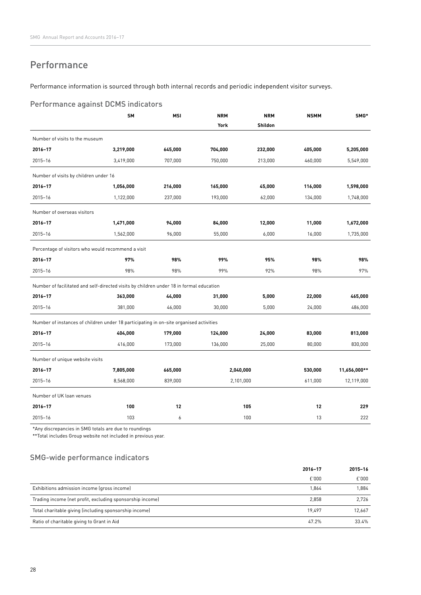## Performance

Performance information is sourced through both internal records and periodic independent visitor surveys.

#### Performance against DCMS indicators

|                                                                                         | <b>SM</b> | <b>MSI</b> | <b>NRM</b> | <b>NRM</b> | <b>NSMM</b> | SMG*         |
|-----------------------------------------------------------------------------------------|-----------|------------|------------|------------|-------------|--------------|
|                                                                                         |           |            | York       | Shildon    |             |              |
| Number of visits to the museum                                                          |           |            |            |            |             |              |
| 2016-17                                                                                 | 3,219,000 | 645,000    | 704,000    | 232,000    | 405,000     | 5,205,000    |
| 2015-16                                                                                 | 3,419,000 | 707,000    | 750,000    | 213,000    | 460,000     | 5,549,000    |
| Number of visits by children under 16                                                   |           |            |            |            |             |              |
| 2016-17                                                                                 | 1,056,000 | 216,000    | 165,000    | 45,000     | 116,000     | 1,598,000    |
| $2015 - 16$                                                                             | 1,122,000 | 237,000    | 193,000    | 62,000     | 134,000     | 1,748,000    |
| Number of overseas visitors                                                             |           |            |            |            |             |              |
| 2016-17                                                                                 | 1,471,000 | 94,000     | 84,000     | 12,000     | 11,000      | 1,672,000    |
| $2015 - 16$                                                                             | 1,562,000 | 96,000     | 55,000     | 6,000      | 16,000      | 1,735,000    |
| Percentage of visitors who would recommend a visit                                      |           |            |            |            |             |              |
| 2016-17                                                                                 | 97%       | 98%        | 99%        | 95%        | 98%         | 98%          |
| $2015 - 16$                                                                             | 98%       | 98%        | 99%        | 92%        | 98%         | 97%          |
| Number of facilitated and self-directed visits by children under 18 in formal education |           |            |            |            |             |              |
| 2016-17                                                                                 | 363,000   | 44,000     | 31,000     | 5,000      | 22,000      | 465,000      |
| $2015 - 16$                                                                             | 381,000   | 46,000     | 30,000     | 5,000      | 24,000      | 486,000      |
| Number of instances of children under 18 participating in on-site organised activities  |           |            |            |            |             |              |
| 2016-17                                                                                 | 404,000   | 179,000    | 124,000    | 24,000     | 83,000      | 813,000      |
| $2015 - 16$                                                                             | 416,000   | 173,000    | 136,000    | 25,000     | 80,000      | 830,000      |
| Number of unique website visits                                                         |           |            |            |            |             |              |
| 2016-17                                                                                 | 7,805,000 | 665,000    | 2,040,000  |            | 530,000     | 11,656,000** |
| $2015 - 16$                                                                             | 8,568,000 | 839,000    | 2,101,000  |            | 611,000     | 12,119,000   |
| Number of UK loan venues                                                                |           |            |            |            |             |              |
| 2016-17                                                                                 | 100       | 12         |            | 105        | 12          | 229          |
| $2015 - 16$                                                                             | 103       | 6          |            | 100        | 13          | 222          |

\*Any discrepancies in SMG totals are due to roundings

\*\*Total includes Group website not included in previous year.

#### SMG-wide performance indicators

|                                                           | 2016-17 | 2015-16 |
|-----------------------------------------------------------|---------|---------|
|                                                           | £'000   | E'000   |
| Exhibitions admission income (gross income)               | 1,864   | 1,884   |
| Trading income (net profit, excluding sponsorship income) | 2,858   | 2,726   |
| Total charitable giving (including sponsorship income)    | 19.497  | 12.667  |
| Ratio of charitable giving to Grant in Aid                | 47.2%   | 33.4%   |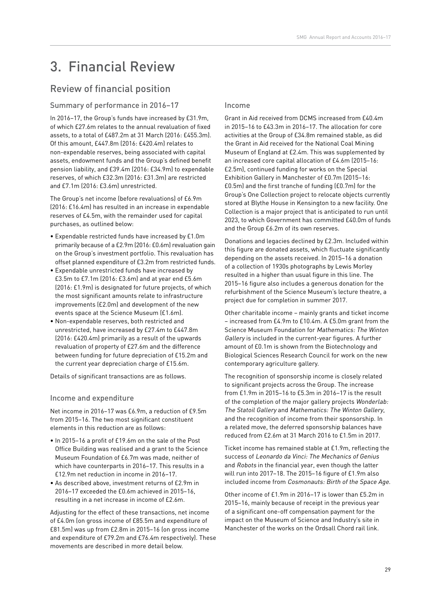# 3. Financial Review

# Review of financial position

#### Summary of performance in 2016–17

In 2016–17, the Group's funds have increased by £31.9m, of which £27.6m relates to the annual revaluation of fixed assets, to a total of £487.2m at 31 March (2016: £455.3m). Of this amount, £447.8m (2016: £420.4m) relates to non-expendable reserves, being associated with capital assets, endowment funds and the Group's defined benefit pension liability, and £39.4m (2016: £34.9m) to expendable reserves, of which £32.3m (2016: £31.3m) are restricted and £7.1m (2016: £3.6m) unrestricted.

The Group's net income (before revaluations) of £6.9m (2016: £16.4m) has resulted in an increase in expendable reserves of £4.5m, with the remainder used for capital purchases, as outlined below:

- Expendable restricted funds have increased by £1.0m primarily because of a £2.9m (2016: £0.6m) revaluation gain on the Group's investment portfolio. This revaluation has offset planned expenditure of £3.2m from restricted funds.
- Expendable unrestricted funds have increased by £3.5m to £7.1m (2016: £3.6m) and at year end £5.6m (2016: £1.9m) is designated for future projects, of which the most significant amounts relate to infrastructure improvements (£2.0m) and development of the new events space at the Science Museum (£1.6m).
- Non-expendable reserves, both restricted and unrestricted, have increased by £27.4m to £447.8m (2016: £420.4m) primarily as a result of the upwards revaluation of property of £27.6m and the difference between funding for future depreciation of £15.2m and the current year depreciation charge of £15.6m.

Details of significant transactions are as follows.

#### Income and expenditure

Net income in 2016–17 was £6.9m, a reduction of £9.5m from 2015–16. The two most significant constituent elements in this reduction are as follows:

- In 2015–16 a profit of £19.6m on the sale of the Post Office Building was realised and a grant to the Science Museum Foundation of £6.7m was made, neither of which have counterparts in 2016–17. This results in a £12.9m net reduction in income in 2016–17.
- As described above, investment returns of £2.9m in 2016–17 exceeded the £0.6m achieved in 2015–16, resulting in a net increase in income of £2.6m.

Adjusting for the effect of these transactions, net income of £4.0m (on gross income of £85.5m and expenditure of £81.5m) was up from £2.8m in 2015–16 (on gross income and expenditure of £79.2m and £76.4m respectively). These movements are described in more detail below.

#### Income

Grant in Aid received from DCMS increased from £40.4m in 2015–16 to £43.3m in 2016–17. The allocation for core activities at the Group of £34.8m remained stable, as did the Grant in Aid received for the National Coal Mining Museum of England at £2.4m. This was supplemented by an increased core capital allocation of £4.6m (2015–16: £2.5m), continued funding for works on the Special Exhibition Gallery in Manchester of £0.7m (2015–16: £0.5m) and the first tranche of funding (£0.7m) for the Group's One Collection project to relocate objects currently stored at Blythe House in Kensington to a new facility. One Collection is a major project that is anticipated to run until 2023, to which Government has committed £40.0m of funds and the Group £6.2m of its own reserves.

Donations and legacies declined by £2.3m. Included within this figure are donated assets, which fluctuate significantly depending on the assets received. In 2015–16 a donation of a collection of 1930s photographs by Lewis Morley resulted in a higher than usual figure in this line. The 2015–16 figure also includes a generous donation for the refurbishment of the Science Museum's lecture theatre, a project due for completion in summer 2017.

Other charitable income – mainly grants and ticket income – increased from £4.9m to £10.4m. A £5.0m grant from the Science Museum Foundation for Mathematics: The Winton Gallery is included in the current-year figures. A further amount of £0.1m is shown from the Biotechnology and Biological Sciences Research Council for work on the new contemporary agriculture gallery.

The recognition of sponsorship income is closely related to significant projects across the Group. The increase from £1.9m in 2015–16 to £5.3m in 2016–17 is the result of the completion of the major gallery projects Wonderlab: The Statoil Gallery and Mathematics: The Winton Gallery, and the recognition of income from their sponsorship. In a related move, the deferred sponsorship balances have reduced from £2.6m at 31 March 2016 to £1.5m in 2017.

Ticket income has remained stable at £1.9m, reflecting the success of Leonardo da Vinci: The Mechanics of Genius and Robots in the financial year, even though the latter will run into 2017–18. The 2015–16 figure of £1.9m also included income from Cosmonauts: Birth of the Space Age.

Other income of £1.9m in 2016–17 is lower than £5.2m in 2015–16, mainly because of receipt in the previous year of a significant one-off compensation payment for the impact on the Museum of Science and Industry's site in Manchester of the works on the Ordsall Chord rail link.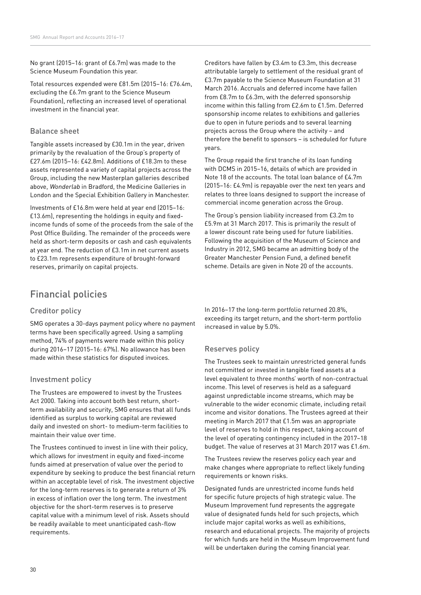No grant (2015–16: grant of £6.7m) was made to the Science Museum Foundation this year.

Total resources expended were £81.5m (2015–16: £76.4m, excluding the £6.7m grant to the Science Museum Foundation), reflecting an increased level of operational investment in the financial year.

#### Balance sheet

Tangible assets increased by £30.1m in the year, driven primarily by the revaluation of the Group's property of £27.6m (2015–16: £42.8m). Additions of £18.3m to these assets represented a variety of capital projects across the Group, including the new Masterplan galleries described above, Wonderlab in Bradford, the Medicine Galleries in London and the Special Exhibition Gallery in Manchester.

Investments of £16.8m were held at year end (2015–16: £13.6m), representing the holdings in equity and fixedincome funds of some of the proceeds from the sale of the Post Office Building. The remainder of the proceeds were held as short-term deposits or cash and cash equivalents at year end. The reduction of £3.1m in net current assets to £23.1m represents expenditure of brought-forward reserves, primarily on capital projects.

## Financial policies

#### Creditor policy

SMG operates a 30-days payment policy where no payment terms have been specifically agreed. Using a sampling method, 74% of payments were made within this policy during 2016–17 (2015–16: 67%). No allowance has been made within these statistics for disputed invoices.

#### Investment policy

The Trustees are empowered to invest by the Trustees Act 2000. Taking into account both best return, shortterm availability and security, SMG ensures that all funds identified as surplus to working capital are reviewed daily and invested on short- to medium-term facilities to maintain their value over time.

The Trustees continued to invest in line with their policy, which allows for investment in equity and fixed-income funds aimed at preservation of value over the period to expenditure by seeking to produce the best financial return within an acceptable level of risk. The investment objective for the long-term reserves is to generate a return of 3% in excess of inflation over the long term. The investment objective for the short-term reserves is to preserve capital value with a minimum level of risk. Assets should be readily available to meet unanticipated cash-flow requirements.

Creditors have fallen by £3.4m to £3.3m, this decrease attributable largely to settlement of the residual grant of £3.7m payable to the Science Museum Foundation at 31 March 2016. Accruals and deferred income have fallen from £8.7m to £6.3m, with the deferred sponsorship income within this falling from £2.6m to £1.5m. Deferred sponsorship income relates to exhibitions and galleries due to open in future periods and to several learning projects across the Group where the activity – and therefore the benefit to sponsors – is scheduled for future years.

The Group repaid the first tranche of its loan funding with DCMS in 2015–16, details of which are provided in Note 18 of the accounts. The total loan balance of £4.7m (2015–16: £4.9m) is repayable over the next ten years and relates to three loans designed to support the increase of commercial income generation across the Group.

The Group's pension liability increased from £3.2m to £5.9m at 31 March 2017. This is primarily the result of a lower discount rate being used for future liabilities. Following the acquisition of the Museum of Science and Industry in 2012, SMG became an admitting body of the Greater Manchester Pension Fund, a defined benefit scheme. Details are given in Note 20 of the accounts.

In 2016–17 the long-term portfolio returned 20.8%, exceeding its target return, and the short-term portfolio increased in value by 5.0%.

#### Reserves policy

The Trustees seek to maintain unrestricted general funds not committed or invested in tangible fixed assets at a level equivalent to three months' worth of non-contractual income. This level of reserves is held as a safeguard against unpredictable income streams, which may be vulnerable to the wider economic climate, including retail income and visitor donations. The Trustees agreed at their meeting in March 2017 that £1.5m was an appropriate level of reserves to hold in this respect, taking account of the level of operating contingency included in the 2017–18 budget. The value of reserves at 31 March 2017 was £1.6m.

The Trustees review the reserves policy each year and make changes where appropriate to reflect likely funding requirements or known risks.

Designated funds are unrestricted income funds held for specific future projects of high strategic value. The Museum Improvement fund represents the aggregate value of designated funds held for such projects, which include major capital works as well as exhibitions, research and educational projects. The majority of projects for which funds are held in the Museum Improvement fund will be undertaken during the coming financial year.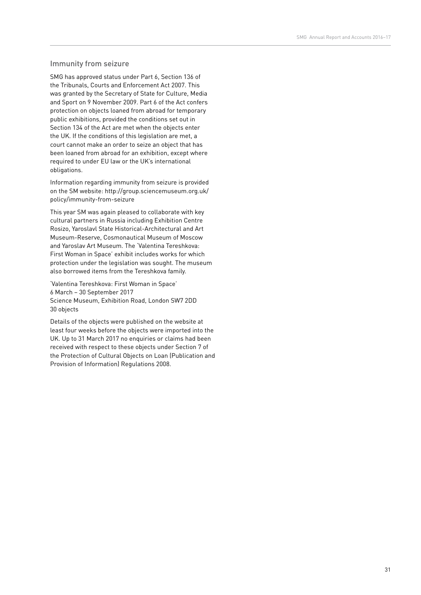#### Immunity from seizure

SMG has approved status under Part 6, Section 136 of the Tribunals, Courts and Enforcement Act 2007. This was granted by the Secretary of State for Culture, Media and Sport on 9 November 2009. Part 6 of the Act confers protection on objects loaned from abroad for temporary public exhibitions, provided the conditions set out in Section 134 of the Act are met when the objects enter the UK. If the conditions of this legislation are met, a court cannot make an order to seize an object that has been loaned from abroad for an exhibition, except where required to under EU law or the UK's international obligations.

Information regarding immunity from seizure is provided on the SM website: http://group.sciencemuseum.org.uk/ policy/immunity-from-seizure

This year SM was again pleased to collaborate with key cultural partners in Russia including Exhibition Centre Rosizo, Yaroslavl State Historical-Architectural and Art Museum-Reserve, Cosmonautical Museum of Moscow and Yaroslav Art Museum. The 'Valentina Tereshkova: First Woman in Space' exhibit includes works for which protection under the legislation was sought. The museum also borrowed items from the Tereshkova family.

'Valentina Tereshkova: First Woman in Space' 6 March – 30 September 2017 Science Museum, Exhibition Road, London SW7 2DD 30 objects

Details of the objects were published on the website at least four weeks before the objects were imported into the UK. Up to 31 March 2017 no enquiries or claims had been received with respect to these objects under Section 7 of the Protection of Cultural Objects on Loan (Publication and Provision of Information) Regulations 2008.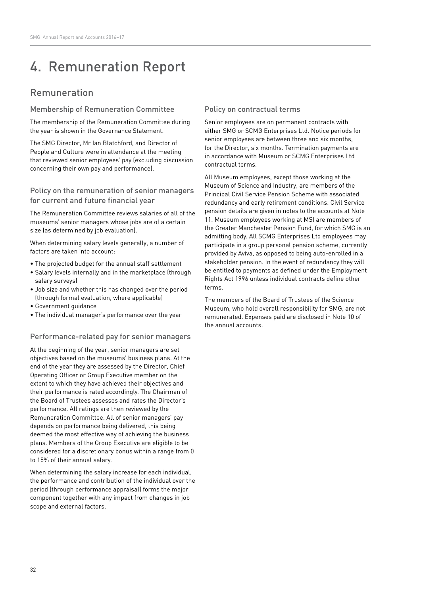# 4. Remuneration Report

# Remuneration

#### Membership of Remuneration Committee

The membership of the Remuneration Committee during the year is shown in the Governance Statement.

The SMG Director, Mr Ian Blatchford, and Director of People and Culture were in attendance at the meeting that reviewed senior employees' pay (excluding discussion concerning their own pay and performance).

#### Policy on the remuneration of senior managers for current and future financial year

The Remuneration Committee reviews salaries of all of the museums' senior managers whose jobs are of a certain size (as determined by job evaluation).

When determining salary levels generally, a number of factors are taken into account:

- The projected budget for the annual staff settlement
- Salary levels internally and in the marketplace (through salary surveys)
- Job size and whether this has changed over the period (through formal evaluation, where applicable)
- Government guidance
- The individual manager's performance over the year

#### Performance-related pay for senior managers

At the beginning of the year, senior managers are set objectives based on the museums' business plans. At the end of the year they are assessed by the Director, Chief Operating Officer or Group Executive member on the extent to which they have achieved their objectives and their performance is rated accordingly. The Chairman of the Board of Trustees assesses and rates the Director's performance. All ratings are then reviewed by the Remuneration Committee. All of senior managers' pay depends on performance being delivered, this being deemed the most effective way of achieving the business plans. Members of the Group Executive are eligible to be considered for a discretionary bonus within a range from 0 to 15% of their annual salary.

When determining the salary increase for each individual, the performance and contribution of the individual over the period (through performance appraisal) forms the major component together with any impact from changes in job scope and external factors.

#### Policy on contractual terms

Senior employees are on permanent contracts with either SMG or SCMG Enterprises Ltd. Notice periods for senior employees are between three and six months, for the Director, six months. Termination payments are in accordance with Museum or SCMG Enterprises Ltd contractual terms.

All Museum employees, except those working at the Museum of Science and Industry, are members of the Principal Civil Service Pension Scheme with associated redundancy and early retirement conditions. Civil Service pension details are given in notes to the accounts at Note 11. Museum employees working at MSI are members of the Greater Manchester Pension Fund, for which SMG is an admitting body. All SCMG Enterprises Ltd employees may participate in a group personal pension scheme, currently provided by Aviva, as opposed to being auto-enrolled in a stakeholder pension. In the event of redundancy they will be entitled to payments as defined under the Employment Rights Act 1996 unless individual contracts define other terms.

The members of the Board of Trustees of the Science Museum, who hold overall responsibility for SMG, are not remunerated. Expenses paid are disclosed in Note 10 of the annual accounts.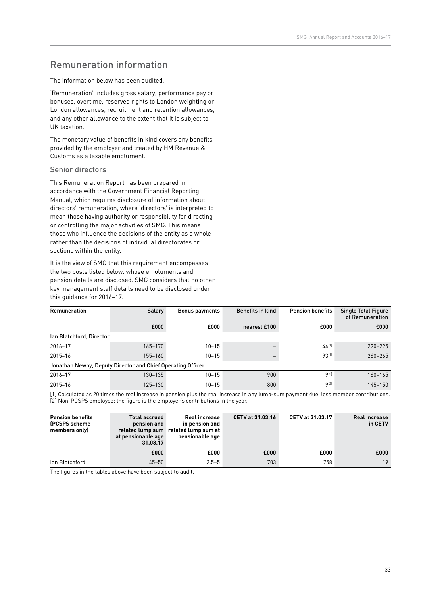# Remuneration information

The information below has been audited.

'Remuneration' includes gross salary, performance pay or bonuses, overtime, reserved rights to London weighting or London allowances, recruitment and retention allowances, and any other allowance to the extent that it is subject to UK taxation.

The monetary value of benefits in kind covers any benefits provided by the employer and treated by HM Revenue & Customs as a taxable emolument.

#### Senior directors

This Remuneration Report has been prepared in accordance with the Government Financial Reporting Manual, which requires disclosure of information about directors' remuneration, where 'directors' is interpreted to mean those having authority or responsibility for directing or controlling the major activities of SMG. This means those who influence the decisions of the entity as a whole rather than the decisions of individual directorates or sections within the entity.

It is the view of SMG that this requirement encompasses the two posts listed below, whose emoluments and pension details are disclosed. SMG considers that no other key management staff details need to be disclosed under this guidance for 2016–17.

| Remuneration                                                                                                                           | Salary                                                      | Bonus payments | <b>Benefits in kind</b> | <b>Pension benefits</b> | <b>Single Total Figure</b><br>of Remuneration |  |  |  |
|----------------------------------------------------------------------------------------------------------------------------------------|-------------------------------------------------------------|----------------|-------------------------|-------------------------|-----------------------------------------------|--|--|--|
|                                                                                                                                        | £000                                                        | £000           | nearest £100            | £000                    | £000                                          |  |  |  |
| lan Blatchford, Director                                                                                                               |                                                             |                |                         |                         |                                               |  |  |  |
| 2016-17                                                                                                                                | 165-170                                                     | $10 - 15$      |                         | $44^{[1]}$              | $220 - 225$                                   |  |  |  |
| $2015 - 16$                                                                                                                            | 155-160                                                     | $10 - 15$      |                         | 93[1]                   | $260 - 265$                                   |  |  |  |
|                                                                                                                                        | Jonathan Newby, Deputy Director and Chief Operating Officer |                |                         |                         |                                               |  |  |  |
| 2016-17                                                                                                                                | 130-135                                                     | $10 - 15$      | 900                     | 9[2]                    | 160-165                                       |  |  |  |
| $2015 - 16$                                                                                                                            | 125-130                                                     | $10 - 15$      | 800                     | Q[2]                    | $145 - 150$                                   |  |  |  |
| [1] Calculated as 20 times the real increase in pension plus the real increase in any lump-sum payment due, less member contributions. |                                                             |                |                         |                         |                                               |  |  |  |

[2] Non-PCSPS employee; the figure is the employer's contributions in the year.

| <b>Pension benefits</b><br>(PCSPS scheme)<br>members only)  | <b>Total accrued</b><br>pension and<br>at pensionable age<br>31.03.17 | <b>Real increase</b><br>in pension and<br>related lump sum related lump sum at<br>pensionable age | <b>CETV at 31.03.16</b> | CETV at 31.03.17 | <b>Real increase</b><br>in CETV |
|-------------------------------------------------------------|-----------------------------------------------------------------------|---------------------------------------------------------------------------------------------------|-------------------------|------------------|---------------------------------|
|                                                             | £000                                                                  | £000                                                                                              | £000                    | £000             | £000                            |
| lan Blatchford                                              | $45 - 50$                                                             | $2.5 - 5$                                                                                         | 703                     | 758              | 19                              |
| The figures in the tables above have been subject to audit. |                                                                       |                                                                                                   |                         |                  |                                 |

The figures in the tables above have been subject to audit.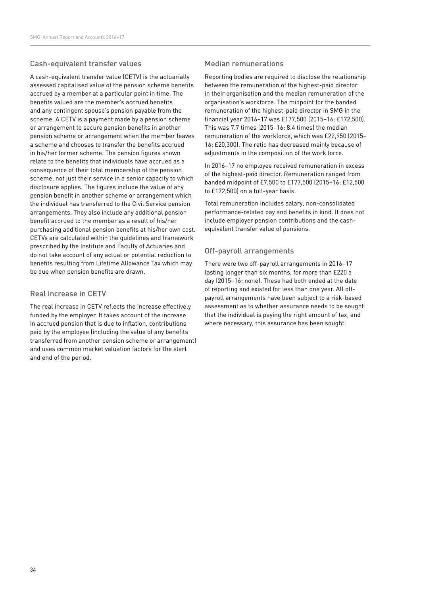#### Cash-equivalent transfer values

A cash-equivalent transfer value (CETV) is the actuarially assessed capitalised value of the pension scheme benefits accrued by a member at a particular point in time. The benefits valued are the member's accrued benefits and any contingent spouse's pension payable from the scheme. A CETV is a payment made by a pension scheme or arrangement to secure pension benefits in another pension scheme or arrangement when the member leaves a scheme and chooses to transfer the benefits accrued in his/her former scheme. The pension figures shown relate to the benefits that individuals have accrued as a consequence of their total membership of the pension scheme, not just their service in a senior capacity to which disclosure applies. The figures include the value of any pension benefit in another scheme or arrangement which the individual has transferred to the Civil Service pension arrangements. They also include any additional pension benefit accrued to the member as a result of his/her purchasing additional pension benefits at his/her own cost. CETVs are calculated within the guidelines and framework prescribed by the Institute and Faculty of Actuaries and do not take account of any actual or potential reduction to benefits resulting from Lifetime Allowance Tax which may be due when pension benefits are drawn.

#### Real increase in CETV

The real increase in CETV reflects the increase effectively funded by the employer. It takes account of the increase in accrued pension that is due to inflation, contributions paid by the employee (including the value of any benefits transferred from another pension scheme or arrangement) and uses common market valuation factors for the start and end of the period.

#### Median remunerations

Reporting bodies are required to disclose the relationship between the remuneration of the highest-paid director in their organisation and the median remuneration of the organisation's workforce. The midpoint for the banded remuneration of the highest-paid director in SMG in the financial year 2016–17 was £177,500 (2015–16: £172,500). This was 7.7 times (2015–16: 8.4 times) the median remuneration of the workforce, which was £22,950 (2015– 16: £20,300). The ratio has decreased mainly because of adjustments in the composition of the work force.

In 2016–17 no employee received remuneration in excess of the highest-paid director. Remuneration ranged from banded midpoint of £7,500 to £177,500 (2015–16: £12,500 to £172,500) on a full-year basis.

Total remuneration includes salary, non-consolidated performance-related pay and benefits in kind. It does not include employer pension contributions and the cashequivalent transfer value of pensions.

#### Off-payroll arrangements

There were two off-payroll arrangements in 2016–17 lasting longer than six months, for more than £220 a day (2015–16: none). These had both ended at the date of reporting and existed for less than one year. All offpayroll arrangements have been subject to a risk-based assessment as to whether assurance needs to be sought that the individual is paying the right amount of tax, and where necessary, this assurance has been sought.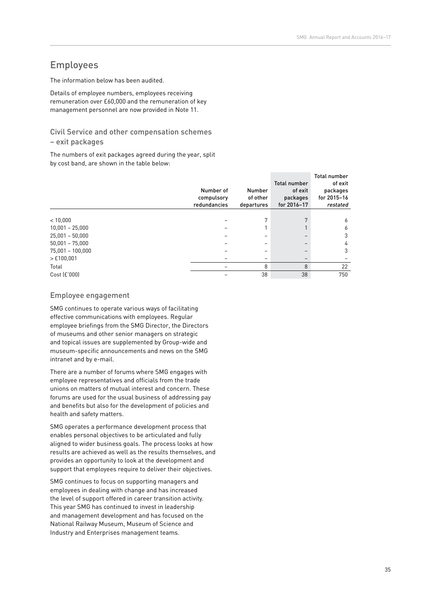## Employees

The information below has been audited.

Details of employee numbers, employees receiving remuneration over £60,000 and the remuneration of key management personnel are now provided in Note 11.

### Civil Service and other compensation schemes

#### – exit packages

The numbers of exit packages agreed during the year, split by cost band, are shown in the table below:

|                    | Number of<br>compulsory<br>redundancies | <b>Number</b><br>of other<br>departures | <b>Total number</b><br>of exit<br>packages<br>for 2016-17 | <b>Total number</b><br>of exit<br>packages<br>for 2015-16<br>restated |
|--------------------|-----------------------------------------|-----------------------------------------|-----------------------------------------------------------|-----------------------------------------------------------------------|
|                    |                                         |                                         |                                                           |                                                                       |
| < 10,000           |                                         | 7                                       |                                                           | 6                                                                     |
| $10,001 - 25,000$  |                                         |                                         |                                                           | 6                                                                     |
| $25,001 - 50,000$  |                                         |                                         |                                                           | 3                                                                     |
| $50,001 - 75,000$  |                                         |                                         |                                                           | 4                                                                     |
| $75,001 - 100,000$ |                                         |                                         |                                                           | 3                                                                     |
| $>$ £100,001       |                                         |                                         |                                                           |                                                                       |
| Total              |                                         | 8                                       | 8                                                         | 22                                                                    |
| Cost (£'000)       |                                         | 38                                      | 38                                                        | 750                                                                   |

#### Employee engagement

SMG continues to operate various ways of facilitating effective communications with employees. Regular employee briefings from the SMG Director, the Directors of museums and other senior managers on strategic and topical issues are supplemented by Group-wide and museum-specific announcements and news on the SMG intranet and by e-mail.

There are a number of forums where SMG engages with employee representatives and officials from the trade unions on matters of mutual interest and concern. These forums are used for the usual business of addressing pay and benefits but also for the development of policies and health and safety matters.

SMG operates a performance development process that enables personal objectives to be articulated and fully aligned to wider business goals. The process looks at how results are achieved as well as the results themselves, and provides an opportunity to look at the development and support that employees require to deliver their objectives.

SMG continues to focus on supporting managers and employees in dealing with change and has increased the level of support offered in career transition activity. This year SMG has continued to invest in leadership and management development and has focused on the National Railway Museum, Museum of Science and Industry and Enterprises management teams.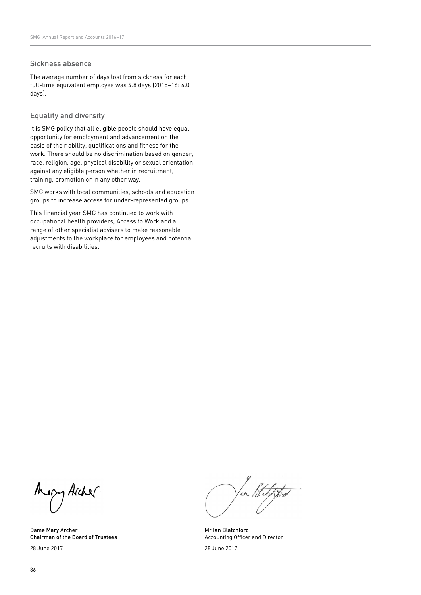#### Sickness absence

The average number of days lost from sickness for each full-time equivalent employee was 4.8 days (2015–16: 4.0 days).

### Equality and diversity

It is SMG policy that all eligible people should have equal opportunity for employment and advancement on the basis of their ability, qualifications and fitness for the work. There should be no discrimination based on gender, race, religion, age, physical disability or sexual orientation against any eligible person whether in recruitment, training, promotion or in any other way.

SMG works with local communities, schools and education groups to increase access for under-represented groups.

This financial year SMG has continued to work with occupational health providers, Access to Work and a range of other specialist advisers to make reasonable adjustments to the workplace for employees and potential recruits with disabilities.

Mapy Archer

Dame Mary Archer Chairman of the Board of Trustees 28 June 2017

er / Sulpps

Mr Ian Blatchford Accounting Officer and Director

28 June 2017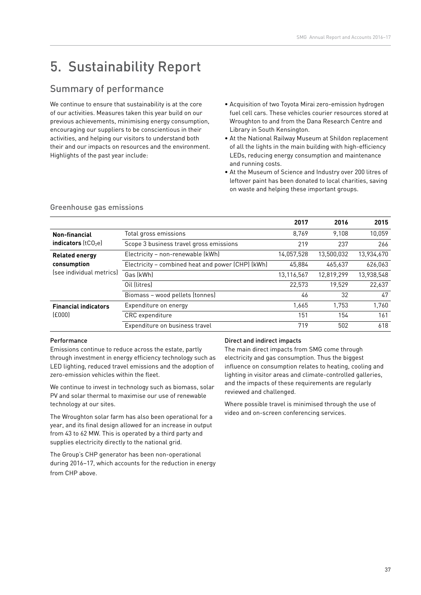# 5. Sustainability Report

## Summary of performance

We continue to ensure that sustainability is at the core of our activities. Measures taken this year build on our previous achievements, minimising energy consumption, encouraging our suppliers to be conscientious in their activities, and helping our visitors to understand both their and our impacts on resources and the environment. Highlights of the past year include:

- Acquisition of two Toyota Mirai zero-emission hydrogen fuel cell cars. These vehicles courier resources stored at Wroughton to and from the Dana Research Centre and Library in South Kensington.
- At the National Railway Museum at Shildon replacement of all the lights in the main building with high-efficiency LEDs, reducing energy consumption and maintenance and running costs.
- At the Museum of Science and Industry over 200 litres of leftover paint has been donated to local charities, saving on waste and helping these important groups.

|                             |                                                   | 2017       | 2016       | 2015       |
|-----------------------------|---------------------------------------------------|------------|------------|------------|
| <b>Non-financial</b>        | Total gross emissions                             | 8.769      | 9.108      | 10,059     |
| indicators $(tCO2e)$        | Scope 3 business travel gross emissions           | 219        | 237        | 266        |
| <b>Related energy</b>       | Electricity - non-renewable (kWh)                 | 14,057,528 | 13.500.032 | 13,934,670 |
| consumption                 | Electricity - combined heat and power (CHP) (kWh) | 45.884     | 465.637    | 626,063    |
| (see individual metrics)    | Gas (kWh)                                         | 13,116,567 | 12.819.299 | 13,938,548 |
|                             | Oil (litres)                                      | 22,573     | 19.529     | 22,637     |
|                             | Biomass - wood pellets (tonnes)                   | 46         | 32         | 47         |
| <b>Financial indicators</b> | Expenditure on energy                             | 1,665      | 1.753      | 1,760      |
| [£000]                      | CRC expenditure                                   | 151        | 154        | 161        |
|                             | Expenditure on business travel                    | 719        | 502        | 618        |

### Greenhouse gas emissions

#### Performance

Emissions continue to reduce across the estate, partly through investment in energy efficiency technology such as LED lighting, reduced travel emissions and the adoption of zero-emission vehicles within the fleet.

We continue to invest in technology such as biomass, solar PV and solar thermal to maximise our use of renewable technology at our sites.

The Wroughton solar farm has also been operational for a year, and its final design allowed for an increase in output from 43 to 62 MW. This is operated by a third party and supplies electricity directly to the national grid.

The Group's CHP generator has been non-operational during 2016–17, which accounts for the reduction in energy from CHP above.

#### Direct and indirect impacts

The main direct impacts from SMG come through electricity and gas consumption. Thus the biggest influence on consumption relates to heating, cooling and lighting in visitor areas and climate-controlled galleries, and the impacts of these requirements are regularly reviewed and challenged.

Where possible travel is minimised through the use of video and on-screen conferencing services.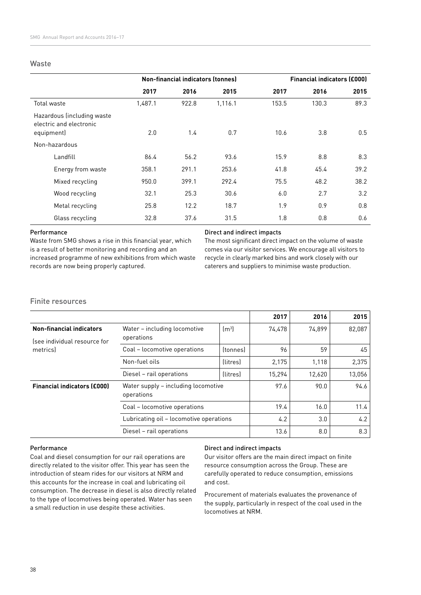#### Waste

|                                                                     | <b>Non-financial indicators (tonnes)</b> |       |         | <b>Financial indicators (£000)</b> |       |      |  |
|---------------------------------------------------------------------|------------------------------------------|-------|---------|------------------------------------|-------|------|--|
|                                                                     | 2017                                     | 2016  | 2015    | 2017                               | 2016  | 2015 |  |
| Total waste                                                         | 1,487.1                                  | 922.8 | 1,116.1 | 153.5                              | 130.3 | 89.3 |  |
| Hazardous (including waste<br>electric and electronic<br>equipment) | 2.0                                      | 1.4   | 0.7     | 10.6                               | 3.8   | 0.5  |  |
| Non-hazardous                                                       |                                          |       |         |                                    |       |      |  |
| Landfill                                                            | 86.4                                     | 56.2  | 93.6    | 15.9                               | 8.8   | 8.3  |  |
| Energy from waste                                                   | 358.1                                    | 291.1 | 253.6   | 41.8                               | 45.4  | 39.2 |  |
| Mixed recycling                                                     | 950.0                                    | 399.1 | 292.4   | 75.5                               | 48.2  | 38.2 |  |
| Wood recycling                                                      | 32.1                                     | 25.3  | 30.6    | 6.0                                | 2.7   | 3.2  |  |
| Metal recycling                                                     | 25.8                                     | 12.2  | 18.7    | 1.9                                | 0.9   | 0.8  |  |
| Glass recycling                                                     | 32.8                                     | 37.6  | 31.5    | 1.8                                | 0.8   | 0.6  |  |

#### Performance

Waste from SMG shows a rise in this financial year, which is a result of better monitoring and recording and an increased programme of new exhibitions from which waste records are now being properly captured.

#### Direct and indirect impacts

The most significant direct impact on the volume of waste comes via our visitor services. We encourage all visitors to recycle in clearly marked bins and work closely with our caterers and suppliers to minimise waste production.

## Finite resources

|                                    |                                                   |                 | 2017   | 2016   | 2015   |
|------------------------------------|---------------------------------------------------|-----------------|--------|--------|--------|
| <b>Non-financial indicators</b>    | Water - including locomotive                      | $\rm{[m^3]}$    | 74,478 | 74.899 | 82,087 |
| (see individual resource for       | operations                                        |                 |        |        |        |
| metrics                            | Coal - locomotive operations<br><i>(tonnes)</i>   |                 | 96     | 59     | 45     |
|                                    | Non-fuel oils                                     | <i>(litres)</i> | 2,175  | 1.118  | 2,375  |
|                                    | Diesel - rail operations                          | <i>(litres)</i> | 15.294 | 12.620 | 13,056 |
| <b>Financial indicators (£000)</b> | Water supply - including locomotive<br>operations |                 | 97.6   | 90.0   | 94.6   |
|                                    | Coal - locomotive operations                      |                 | 19.4   | 16.0   | 11.4   |
|                                    | Lubricating oil - locomotive operations           |                 | 4.2    | 3.0    | 4.2    |
|                                    | Diesel - rail operations                          |                 | 13.6   | 8.0    | 8.3    |

#### Performance

Coal and diesel consumption for our rail operations are directly related to the visitor offer. This year has seen the introduction of steam rides for our visitors at NRM and this accounts for the increase in coal and lubricating oil consumption. The decrease in diesel is also directly related to the type of locomotives being operated. Water has seen a small reduction in use despite these activities.

#### Direct and indirect impacts

Our visitor offers are the main direct impact on finite resource consumption across the Group. These are carefully operated to reduce consumption, emissions and cost.

Procurement of materials evaluates the provenance of the supply, particularly in respect of the coal used in the locomotives at NRM.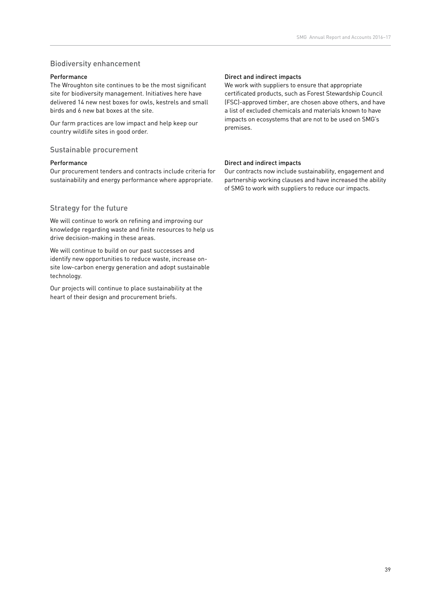## Biodiversity enhancement

#### Performance

The Wroughton site continues to be the most significant site for biodiversity management. Initiatives here have delivered 14 new nest boxes for owls, kestrels and small birds and 6 new bat boxes at the site.

Our farm practices are low impact and help keep our country wildlife sites in good order.

## Sustainable procurement

#### Performance

Our procurement tenders and contracts include criteria for sustainability and energy performance where appropriate.

## Strategy for the future

We will continue to work on refining and improving our knowledge regarding waste and finite resources to help us drive decision-making in these areas.

We will continue to build on our past successes and identify new opportunities to reduce waste, increase onsite low-carbon energy generation and adopt sustainable technology.

Our projects will continue to place sustainability at the heart of their design and procurement briefs.

#### Direct and indirect impacts

We work with suppliers to ensure that appropriate certificated products, such as Forest Stewardship Council (FSC)-approved timber, are chosen above others, and have a list of excluded chemicals and materials known to have impacts on ecosystems that are not to be used on SMG's premises.

#### Direct and indirect impacts

Our contracts now include sustainability, engagement and partnership working clauses and have increased the ability of SMG to work with suppliers to reduce our impacts.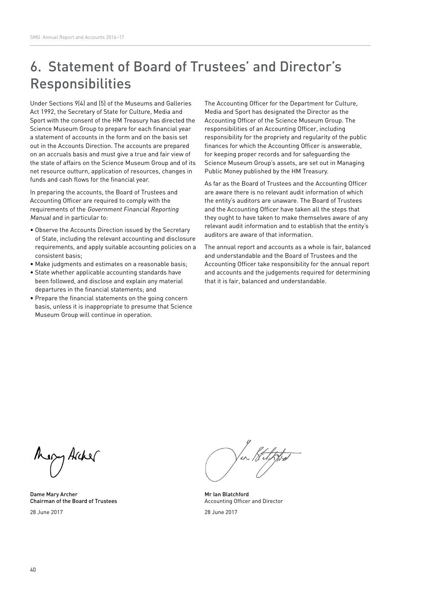# 6. Statement of Board of Trustees' and Director's Responsibilities

Under Sections 9(4) and (5) of the Museums and Galleries Act 1992, the Secretary of State for Culture, Media and Sport with the consent of the HM Treasury has directed the Science Museum Group to prepare for each financial year a statement of accounts in the form and on the basis set out in the Accounts Direction. The accounts are prepared on an accruals basis and must give a true and fair view of the state of affairs on the Science Museum Group and of its net resource outturn, application of resources, changes in funds and cash flows for the financial year.

In preparing the accounts, the Board of Trustees and Accounting Officer are required to comply with the requirements of the Government Financial Reporting Manual and in particular to:

- Observe the Accounts Direction issued by the Secretary of State, including the relevant accounting and disclosure requirements, and apply suitable accounting policies on a consistent basis;
- Make judgments and estimates on a reasonable basis;
- State whether applicable accounting standards have been followed, and disclose and explain any material departures in the financial statements; and
- Prepare the financial statements on the going concern basis, unless it is inappropriate to presume that Science Museum Group will continue in operation.

The Accounting Officer for the Department for Culture, Media and Sport has designated the Director as the Accounting Officer of the Science Museum Group. The responsibilities of an Accounting Officer, including responsibility for the propriety and regularity of the public finances for which the Accounting Officer is answerable, for keeping proper records and for safeguarding the Science Museum Group's assets, are set out in Managing Public Money published by the HM Treasury.

As far as the Board of Trustees and the Accounting Officer are aware there is no relevant audit information of which the entity's auditors are unaware. The Board of Trustees and the Accounting Officer have taken all the steps that they ought to have taken to make themselves aware of any relevant audit information and to establish that the entity's auditors are aware of that information.

The annual report and accounts as a whole is fair, balanced and understandable and the Board of Trustees and the Accounting Officer take responsibility for the annual report and accounts and the judgements required for determining that it is fair, balanced and understandable.

ezy Archer

Dame Mary Archer Chairman of the Board of Trustees 28 June 2017

Mr Ian Blatchford Accounting Officer and Director

28 June 2017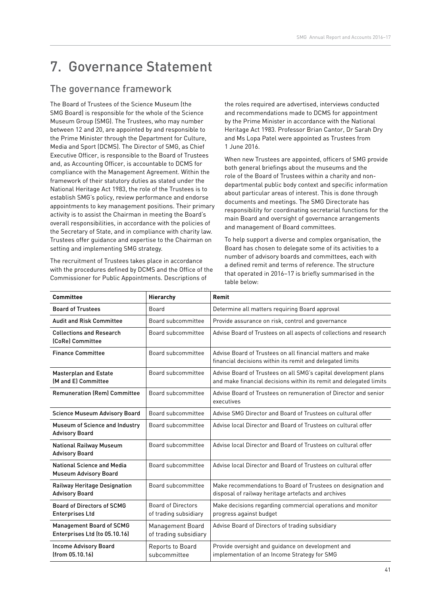# 7. Governance Statement

## The governance framework

The Board of Trustees of the Science Museum (the SMG Board) is responsible for the whole of the Science Museum Group (SMG). The Trustees, who may number between 12 and 20, are appointed by and responsible to the Prime Minister through the Department for Culture, Media and Sport (DCMS). The Director of SMG, as Chief Executive Officer, is responsible to the Board of Trustees and, as Accounting Officer, is accountable to DCMS for compliance with the Management Agreement. Within the framework of their statutory duties as stated under the National Heritage Act 1983, the role of the Trustees is to establish SMG's policy, review performance and endorse appointments to key management positions. Their primary activity is to assist the Chairman in meeting the Board's overall responsibilities, in accordance with the policies of the Secretary of State, and in compliance with charity law. Trustees offer guidance and expertise to the Chairman on setting and implementing SMG strategy.

The recruitment of Trustees takes place in accordance with the procedures defined by DCMS and the Office of the Commissioner for Public Appointments. Descriptions of

the roles required are advertised, interviews conducted and recommendations made to DCMS for appointment by the Prime Minister in accordance with the National Heritage Act 1983. Professor Brian Cantor, Dr Sarah Dry and Ms Lopa Patel were appointed as Trustees from 1 June 2016.

When new Trustees are appointed, officers of SMG provide both general briefings about the museums and the role of the Board of Trustees within a charity and nondepartmental public body context and specific information about particular areas of interest. This is done through documents and meetings. The SMG Directorate has responsibility for coordinating secretarial functions for the main Board and oversight of governance arrangements and management of Board committees.

To help support a diverse and complex organisation, the Board has chosen to delegate some of its activities to a number of advisory boards and committees, each with a defined remit and terms of reference. The structure that operated in 2016–17 is briefly summarised in the table below:

| <b>Committee</b>                                                  | Hierarchy                                          | Remit                                                                                                                                 |
|-------------------------------------------------------------------|----------------------------------------------------|---------------------------------------------------------------------------------------------------------------------------------------|
| <b>Board of Trustees</b>                                          | Board                                              | Determine all matters requiring Board approval                                                                                        |
| <b>Audit and Risk Committee</b>                                   | Board subcommittee                                 | Provide assurance on risk, control and governance                                                                                     |
| <b>Collections and Research</b><br>(CoRe) Committee               | Board subcommittee                                 | Advise Board of Trustees on all aspects of collections and research                                                                   |
| <b>Finance Committee</b>                                          | Board subcommittee                                 | Advise Board of Trustees on all financial matters and make<br>financial decisions within its remit and delegated limits               |
| <b>Masterplan and Estate</b><br>(M and E) Committee               | Board subcommittee                                 | Advise Board of Trustees on all SMG's capital development plans<br>and make financial decisions within its remit and delegated limits |
| <b>Remuneration (Rem) Committee</b>                               | Board subcommittee                                 | Advise Board of Trustees on remuneration of Director and senior<br>executives                                                         |
| <b>Science Museum Advisory Board</b>                              | Board subcommittee                                 | Advise SMG Director and Board of Trustees on cultural offer                                                                           |
| Museum of Science and Industry<br><b>Advisory Board</b>           | Board subcommittee                                 | Advise local Director and Board of Trustees on cultural offer                                                                         |
| <b>National Railway Museum</b><br><b>Advisory Board</b>           | Board subcommittee                                 | Advise local Director and Board of Trustees on cultural offer                                                                         |
| <b>National Science and Media</b><br><b>Museum Advisory Board</b> | Board subcommittee                                 | Advise local Director and Board of Trustees on cultural offer                                                                         |
| Railway Heritage Designation<br><b>Advisory Board</b>             | Board subcommittee                                 | Make recommendations to Board of Trustees on designation and<br>disposal of railway heritage artefacts and archives                   |
| <b>Board of Directors of SCMG</b><br><b>Enterprises Ltd</b>       | <b>Board of Directors</b><br>of trading subsidiary | Make decisions regarding commercial operations and monitor<br>progress against budget                                                 |
| <b>Management Board of SCMG</b><br>Enterprises Ltd (to 05.10.16)  | Management Board<br>of trading subsidiary          | Advise Board of Directors of trading subsidiary                                                                                       |
| <b>Income Advisory Board</b><br>(from 05.10.16)                   | Reports to Board<br>subcommittee                   | Provide oversight and guidance on development and<br>implementation of an Income Strategy for SMG                                     |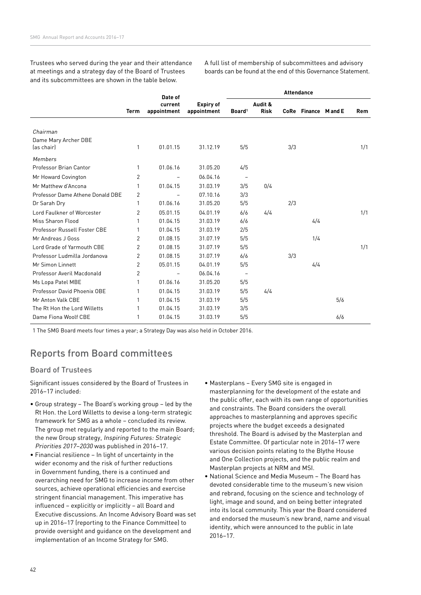Trustees who served during the year and their attendance at meetings and a strategy day of the Board of Trustees and its subcommittees are shown in the table below.

A full list of membership of subcommittees and advisory boards can be found at the end of this Governance Statement.

|                                  |                | Date of     |                  |                          |             | <b>Attendance</b> |                     |     |            |
|----------------------------------|----------------|-------------|------------------|--------------------------|-------------|-------------------|---------------------|-----|------------|
|                                  |                | current     | <b>Expiry of</b> |                          | Audit &     |                   |                     |     |            |
|                                  | <b>Term</b>    | appointment | appointment      | Board <sup>1</sup>       | <b>Risk</b> |                   | CoRe Finance Mand E |     | <b>Rem</b> |
|                                  |                |             |                  |                          |             |                   |                     |     |            |
| Chairman                         |                |             |                  |                          |             |                   |                     |     |            |
| Dame Mary Archer DBE             |                |             |                  |                          |             |                   |                     |     |            |
| (as chair)                       | 1              | 01.01.15    | 31.12.19         | 5/5                      |             | 3/3               |                     |     | 1/1        |
| Members                          |                |             |                  |                          |             |                   |                     |     |            |
| Professor Brian Cantor           | 1              | 01.06.16    | 31.05.20         | 4/5                      |             |                   |                     |     |            |
| Mr Howard Covington              | 2              |             | 06.04.16         | $\qquad \qquad -$        |             |                   |                     |     |            |
| Mr Matthew d'Ancona              | 1              | 01.04.15    | 31.03.19         | 3/5                      | 0/4         |                   |                     |     |            |
| Professor Dame Athene Donald DBE | 2              |             | 07.10.16         | 3/3                      |             |                   |                     |     |            |
| Dr Sarah Dry                     | 1              | 01.06.16    | 31.05.20         | 5/5                      |             | 2/3               |                     |     |            |
| Lord Faulkner of Worcester       | $\overline{2}$ | 05.01.15    | 04.01.19         | 6/6                      | 4/4         |                   |                     |     | 1/1        |
| Miss Sharon Flood                | 1              | 01.04.15    | 31.03.19         | 6/6                      |             |                   | 4/4                 |     |            |
| Professor Russell Foster CBE     | 1              | 01.04.15    | 31.03.19         | 2/5                      |             |                   |                     |     |            |
| Mr Andreas J Goss                | 2              | 01.08.15    | 31.07.19         | 5/5                      |             |                   | 1/4                 |     |            |
| Lord Grade of Yarmouth CBE       | $\overline{2}$ | 01.08.15    | 31.07.19         | 5/5                      |             |                   |                     |     | 1/1        |
| Professor Ludmilla Jordanova     | $\overline{2}$ | 01.08.15    | 31.07.19         | 6/6                      |             | 3/3               |                     |     |            |
| Mr Simon Linnett                 | $\overline{2}$ | 05.01.15    | 04.01.19         | 5/5                      |             |                   | 4/4                 |     |            |
| Professor Averil Macdonald       | 2              |             | 06.04.16         | $\overline{\phantom{a}}$ |             |                   |                     |     |            |
| Ms Lopa Patel MBE                | 1              | 01.06.16    | 31.05.20         | 5/5                      |             |                   |                     |     |            |
| Professor David Phoenix OBE      | 1              | 01.04.15    | 31.03.19         | 5/5                      | 4/4         |                   |                     |     |            |
| Mr Anton Valk CBE                | 1              | 01.04.15    | 31.03.19         | 5/5                      |             |                   |                     | 5/6 |            |
| The Rt Hon the Lord Willetts     | 1              | 01.04.15    | 31.03.19         | 3/5                      |             |                   |                     |     |            |
| Dame Fiona Woolf CBE             | 1              | 01.04.15    | 31.03.19         | 5/5                      |             |                   |                     | 6/6 |            |

1 The SMG Board meets four times a year; a Strategy Day was also held in October 2016.

## Reports from Board committees

## Board of Trustees

Significant issues considered by the Board of Trustees in 2016–17 included:

- Group strategy The Board's working group led by the Rt Hon. the Lord Willetts to devise a long-term strategic framework for SMG as a whole – concluded its review. The group met regularly and reported to the main Board; the new Group strategy, Inspiring Futures: Strategic Priorities 2017–2030 was published in 2016–17.
- Financial resilience In light of uncertainty in the wider economy and the risk of further reductions in Government funding, there is a continued and overarching need for SMG to increase income from other sources, achieve operational efficiencies and exercise stringent financial management. This imperative has influenced – explicitly or implicitly – all Board and Executive discussions. An Income Advisory Board was set up in 2016–17 (reporting to the Finance Committee) to provide oversight and guidance on the development and implementation of an Income Strategy for SMG.
- Masterplans Every SMG site is engaged in masterplanning for the development of the estate and the public offer, each with its own range of opportunities and constraints. The Board considers the overall approaches to masterplanning and approves specific projects where the budget exceeds a designated threshold. The Board is advised by the Masterplan and Estate Committee. Of particular note in 2016–17 were various decision points relating to the Blythe House and One Collection projects, and the public realm and Masterplan projects at NRM and MSI.
- National Science and Media Museum The Board has devoted considerable time to the museum's new vision and rebrand, focusing on the science and technology of light, image and sound, and on being better integrated into its local community. This year the Board considered and endorsed the museum's new brand, name and visual identity, which were announced to the public in late 2016–17.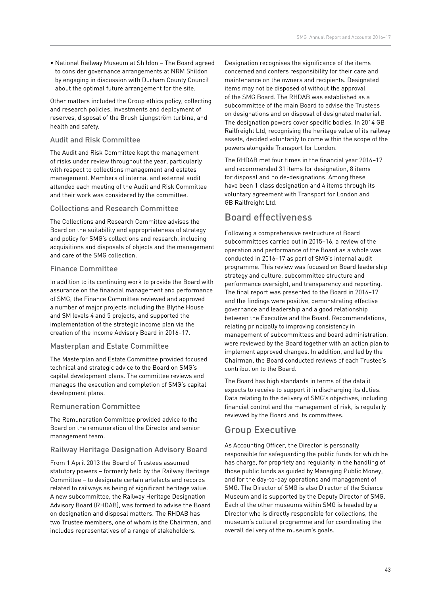• National Railway Museum at Shildon – The Board agreed to consider governance arrangements at NRM Shildon by engaging in discussion with Durham County Council about the optimal future arrangement for the site.

Other matters included the Group ethics policy, collecting and research policies, investments and deployment of reserves, disposal of the Brush Ljungström turbine, and health and safety.

## Audit and Risk Committee

The Audit and Risk Committee kept the management of risks under review throughout the year, particularly with respect to collections management and estates management. Members of internal and external audit attended each meeting of the Audit and Risk Committee and their work was considered by the committee.

## Collections and Research Committee

The Collections and Research Committee advises the Board on the suitability and appropriateness of strategy and policy for SMG's collections and research, including acquisitions and disposals of objects and the management and care of the SMG collection.

## Finance Committee

In addition to its continuing work to provide the Board with assurance on the financial management and performance of SMG, the Finance Committee reviewed and approved a number of major projects including the Blythe House and SM levels 4 and 5 projects, and supported the implementation of the strategic income plan via the creation of the Income Advisory Board in 2016–17.

## Masterplan and Estate Committee

The Masterplan and Estate Committee provided focused technical and strategic advice to the Board on SMG's capital development plans. The committee reviews and manages the execution and completion of SMG's capital development plans.

## Remuneration Committee

The Remuneration Committee provided advice to the Board on the remuneration of the Director and senior management team.

## Railway Heritage Designation Advisory Board

From 1 April 2013 the Board of Trustees assumed statutory powers – formerly held by the Railway Heritage Committee – to designate certain artefacts and records related to railways as being of significant heritage value. A new subcommittee, the Railway Heritage Designation Advisory Board (RHDAB), was formed to advise the Board on designation and disposal matters. The RHDAB has two Trustee members, one of whom is the Chairman, and includes representatives of a range of stakeholders.

Designation recognises the significance of the items concerned and confers responsibility for their care and maintenance on the owners and recipients. Designated items may not be disposed of without the approval of the SMG Board. The RHDAB was established as a subcommittee of the main Board to advise the Trustees on designations and on disposal of designated material. The designation powers cover specific bodies. In 2014 GB Railfreight Ltd, recognising the heritage value of its railway assets, decided voluntarily to come within the scope of the powers alongside Transport for London.

The RHDAB met four times in the financial year 2016–17 and recommended 31 items for designation, 8 items for disposal and no de-designations. Among these have been 1 class designation and 4 items through its voluntary agreement with Transport for London and GB Railfreight Ltd.

## Board effectiveness

Following a comprehensive restructure of Board subcommittees carried out in 2015–16, a review of the operation and performance of the Board as a whole was conducted in 2016–17 as part of SMG's internal audit programme. This review was focused on Board leadership strategy and culture, subcommittee structure and performance oversight, and transparency and reporting. The final report was presented to the Board in 2016–17 and the findings were positive, demonstrating effective governance and leadership and a good relationship between the Executive and the Board. Recommendations, relating principally to improving consistency in management of subcommittees and board administration, were reviewed by the Board together with an action plan to implement approved changes. In addition, and led by the Chairman, the Board conducted reviews of each Trustee's contribution to the Board.

The Board has high standards in terms of the data it expects to receive to support it in discharging its duties. Data relating to the delivery of SMG's objectives, including financial control and the management of risk, is regularly reviewed by the Board and its committees.

## Group Executive

As Accounting Officer, the Director is personally responsible for safeguarding the public funds for which he has charge, for propriety and regularity in the handling of those public funds as guided by Managing Public Money, and for the day-to-day operations and management of SMG. The Director of SMG is also Director of the Science Museum and is supported by the Deputy Director of SMG. Each of the other museums within SMG is headed by a Director who is directly responsible for collections, the museum's cultural programme and for coordinating the overall delivery of the museum's goals.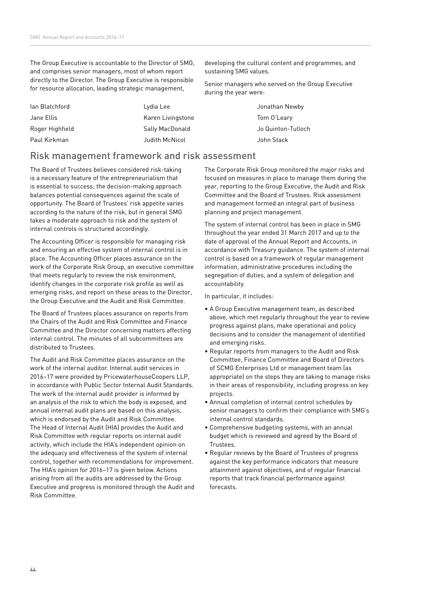The Group Executive is accountable to the Director of SMG, and comprises senior managers, most of whom report directly to the Director. The Group Executive is responsible for resource allocation, leading strategic management,

| lan Blatchford  | Lydia Lee         |
|-----------------|-------------------|
| Jane Ellis      | Karen Livingstone |
| Roger Highfield | Sally MacDonald   |
| Paul Kirkman    | Judith McNicol    |

developing the cultural content and programmes, and sustaining SMG values.

Senior managers who served on the Group Executive during the year were:

> Jonathan Newby Tom O'Leary Jo Quinton-Tulloch John Stack

## Risk management framework and risk assessment

The Board of Trustees believes considered risk-taking is a necessary feature of the entrepreneurialism that is essential to success; the decision-making approach balances potential consequences against the scale of opportunity. The Board of Trustees' risk appetite varies according to the nature of the risk, but in general SMG takes a moderate approach to risk and the system of internal controls is structured accordingly.

The Accounting Officer is responsible for managing risk and ensuring an effective system of internal control is in place. The Accounting Officer places assurance on the work of the Corporate Risk Group, an executive committee that meets regularly to review the risk environment, identify changes in the corporate risk profile as well as emerging risks, and report on these areas to the Director, the Group Executive and the Audit and Risk Committee.

The Board of Trustees places assurance on reports from the Chairs of the Audit and Risk Committee and Finance Committee and the Director concerning matters affecting internal control. The minutes of all subcommittees are distributed to Trustees.

The Audit and Risk Committee places assurance on the work of the internal auditor. Internal audit services in 2016–17 were provided by PricewaterhouseCoopers LLP, in accordance with Public Sector Internal Audit Standards. The work of the internal audit provider is informed by an analysis of the risk to which the body is exposed, and annual internal audit plans are based on this analysis, which is endorsed by the Audit and Risk Committee. The Head of Internal Audit (HIA) provides the Audit and Risk Committee with regular reports on internal audit activity, which include the HIA's independent opinion on the adequacy and effectiveness of the system of internal control, together with recommendations for improvement. The HIA's opinion for 2016–17 is given below. Actions arising from all the audits are addressed by the Group Executive and progress is monitored through the Audit and Risk Committee.

The Corporate Risk Group monitored the major risks and focused on measures in place to manage them during the year, reporting to the Group Executive, the Audit and Risk Committee and the Board of Trustees. Risk assessment and management formed an integral part of business planning and project management.

The system of internal control has been in place in SMG throughout the year ended 31 March 2017 and up to the date of approval of the Annual Report and Accounts, in accordance with Treasury guidance. The system of internal control is based on a framework of regular management information, administrative procedures including the segregation of duties, and a system of delegation and accountability.

In particular, it includes:

- A Group Executive management team, as described above, which met regularly throughout the year to review progress against plans, make operational and policy decisions and to consider the management of identified and emerging risks.
- Regular reports from managers to the Audit and Risk Committee, Finance Committee and Board of Directors of SCMG Enterprises Ltd or management team (as appropriate) on the steps they are taking to manage risks in their areas of responsibility, including progress on key projects.
- Annual completion of internal control schedules by senior managers to confirm their compliance with SMG's internal control standards.
- Comprehensive budgeting systems, with an annual budget which is reviewed and agreed by the Board of Trustees.
- Regular reviews by the Board of Trustees of progress against the key performance indicators that measure attainment against objectives, and of regular financial reports that track financial performance against forecasts.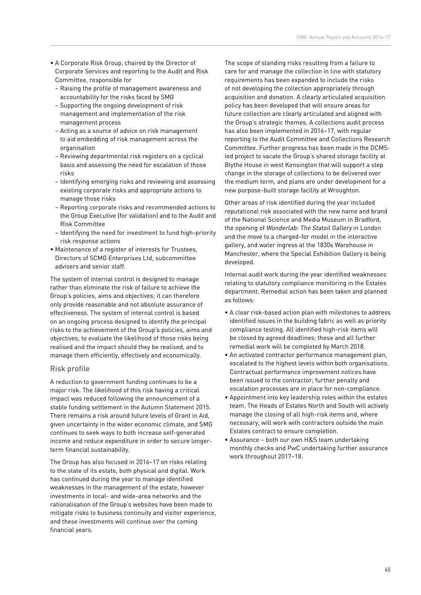- A Corporate Risk Group, chaired by the Director of Corporate Services and reporting to the Audit and Risk Committee, responsible for
	- Raising the profile of management awareness and accountability for the risks faced by SMG
	- Supporting the ongoing development of risk management and implementation of the risk management process
	- Acting as a source of advice on risk management to aid embedding of risk management across the organisation
	- Reviewing departmental risk registers on a cyclical basis and assessing the need for escalation of those risks
	- Identifying emerging risks and reviewing and assessing existing corporate risks and appropriate actions to manage those risks
	- Reporting corporate risks and recommended actions to the Group Executive (for validation) and to the Audit and Risk Committee
	- Identifying the need for investment to fund high-priority risk response actions
- Maintenance of a register of interests for Trustees, Directors of SCMG Enterprises Ltd, subcommittee advisers and senior staff.

The system of internal control is designed to manage rather than eliminate the risk of failure to achieve the Group's policies, aims and objectives; it can therefore only provide reasonable and not absolute assurance of effectiveness. The system of internal control is based on an ongoing process designed to identify the principal risks to the achievement of the Group's policies, aims and objectives, to evaluate the likelihood of those risks being realised and the impact should they be realised, and to manage them efficiently, effectively and economically.

#### Risk profile

A reduction to government funding continues to be a major risk. The likelihood of this risk having a critical impact was reduced following the announcement of a stable funding settlement in the Autumn Statement 2015. There remains a risk around future levels of Grant in Aid, given uncertainty in the wider economic climate, and SMG continues to seek ways to both increase self-generated income and reduce expenditure in order to secure longerterm financial sustainability.

The Group has also focused in 2016–17 on risks relating to the state of its estate, both physical and digital. Work has continued during the year to manage identified weaknesses in the management of the estate, however investments in local- and wide-area networks and the rationalisation of the Group's websites have been made to mitigate risks to business continuity and visitor experience, and these investments will continue over the coming financial years.

The scope of standing risks resulting from a failure to care for and manage the collection in line with statutory requirements has been expanded to include the risks of not developing the collection appropriately through acquisition and donation. A clearly articulated acquisition policy has been developed that will ensure areas for future collection are clearly articulated and aligned with the Group's strategic themes. A collections audit process has also been implemented in 2016–17, with regular reporting to the Audit Committee and Collections Research Committee. Further progress has been made in the DCMSled project to vacate the Group's shared storage facility at Blythe House in west Kensington that will support a step change in the storage of collections to be delivered over the medium term, and plans are under development for a new purpose-built storage facility at Wroughton.

Other areas of risk identified during the year included reputational risk associated with the new name and brand of the National Science and Media Museum in Bradford, the opening of Wonderlab: The Statoil Gallery in London and the move to a charged-for model in the interactive gallery, and water ingress at the 1830s Warehouse in Manchester, where the Special Exhibition Gallery is being developed.

Internal audit work during the year identified weaknesses relating to statutory compliance monitoring in the Estates department. Remedial action has been taken and planned as follows:

- A clear risk-based action plan with milestones to address identified issues in the building fabric as well as priority compliance testing. All identified high-risk items will be closed by agreed deadlines; these and all further remedial work will be completed by March 2018.
- An activated contractor performance management plan, escalated to the highest levels within both organisations. Contractual performance improvement notices have been issued to the contractor; further penalty and escalation processes are in place for non-compliance.
- Appointment into key leadership roles within the estates team. The Heads of Estates North and South will actively manage the closing of all high-risk items and, where necessary, will work with contractors outside the main Estates contract to ensure completion.
- Assurance both our own H&S team undertaking monthly checks and PwC undertaking further assurance work throughout 2017–18.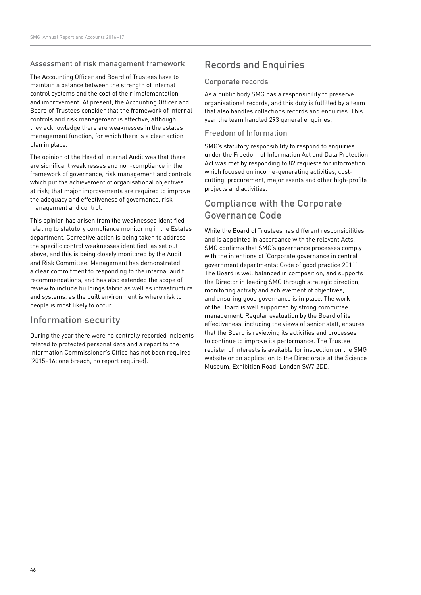## Assessment of risk management framework

The Accounting Officer and Board of Trustees have to maintain a balance between the strength of internal control systems and the cost of their implementation and improvement. At present, the Accounting Officer and Board of Trustees consider that the framework of internal controls and risk management is effective, although they acknowledge there are weaknesses in the estates management function, for which there is a clear action plan in place.

The opinion of the Head of Internal Audit was that there are significant weaknesses and non-compliance in the framework of governance, risk management and controls which put the achievement of organisational objectives at risk; that major improvements are required to improve the adequacy and effectiveness of governance, risk management and control.

This opinion has arisen from the weaknesses identified relating to statutory compliance monitoring in the Estates department. Corrective action is being taken to address the specific control weaknesses identified, as set out above, and this is being closely monitored by the Audit and Risk Committee. Management has demonstrated a clear commitment to responding to the internal audit recommendations, and has also extended the scope of review to include buildings fabric as well as infrastructure and systems, as the built environment is where risk to people is most likely to occur.

## Information security

During the year there were no centrally recorded incidents related to protected personal data and a report to the Information Commissioner's Office has not been required (2015–16: one breach, no report required).

## Records and Enquiries

### Corporate records

As a public body SMG has a responsibility to preserve organisational records, and this duty is fulfilled by a team that also handles collections records and enquiries. This year the team handled 293 general enquiries.

## Freedom of Information

SMG's statutory responsibility to respond to enquiries under the Freedom of Information Act and Data Protection Act was met by responding to 82 requests for information which focused on income-generating activities, costcutting, procurement, major events and other high-profile projects and activities.

## Compliance with the Corporate Governance Code

While the Board of Trustees has different responsibilities and is appointed in accordance with the relevant Acts, SMG confirms that SMG's governance processes comply with the intentions of 'Corporate governance in central government departments: Code of good practice 2011'. The Board is well balanced in composition, and supports the Director in leading SMG through strategic direction, monitoring activity and achievement of objectives, and ensuring good governance is in place. The work of the Board is well supported by strong committee management. Regular evaluation by the Board of its effectiveness, including the views of senior staff, ensures that the Board is reviewing its activities and processes to continue to improve its performance. The Trustee register of interests is available for inspection on the SMG website or on application to the Directorate at the Science Museum, Exhibition Road, London SW7 2DD.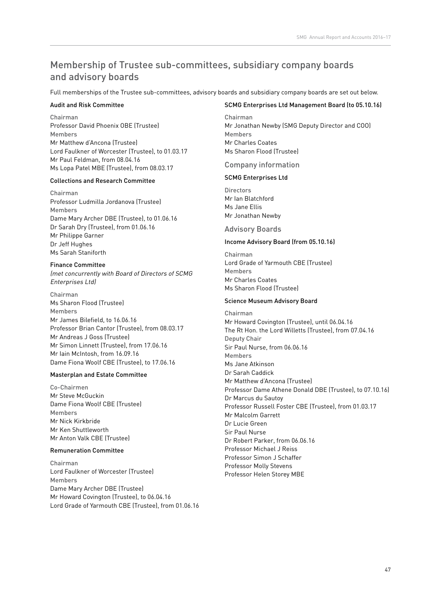## Membership of Trustee sub-committees, subsidiary company boards and advisory boards

Full memberships of the Trustee sub-committees, advisory boards and subsidiary company boards are set out below.

### Audit and Risk Committee

Chairman Professor David Phoenix OBE (Trustee) Members Mr Matthew d'Ancona (Trustee) Lord Faulkner of Worcester (Trustee), to 01.03.17 Mr Paul Feldman, from 08.04.16 Ms Lopa Patel MBE (Trustee), from 08.03.17

### Collections and Research Committee

Chairman Professor Ludmilla Jordanova (Trustee) Members Dame Mary Archer DBE (Trustee), to 01.06.16 Dr Sarah Dry (Trustee), from 01.06.16 Mr Philippe Garner Dr Jeff Hughes Ms Sarah Staniforth

### Finance Committee

(met concurrently with Board of Directors of SCMG Enterprises Ltd)

Chairman Ms Sharon Flood (Trustee) Members Mr James Bilefield, to 16.06.16 Professor Brian Cantor (Trustee), from 08.03.17 Mr Andreas J Goss (Trustee) Mr Simon Linnett (Trustee), from 17.06.16 Mr Iain McIntosh, from 16.09.16 Dame Fiona Woolf CBE (Trustee), to 17.06.16

## Masterplan and Estate Committee

Co-Chairmen Mr Steve McGuckin Dame Fiona Woolf CBE (Trustee) Members Mr Nick Kirkbride Mr Ken Shuttleworth Mr Anton Valk CBE (Trustee)

#### Remuneration Committee

Chairman Lord Faulkner of Worcester (Trustee) Members Dame Mary Archer DBE (Trustee) Mr Howard Covington (Trustee), to 06.04.16 Lord Grade of Yarmouth CBE (Trustee), from 01.06.16

### SCMG Enterprises Ltd Management Board (to 05.10.16)

Chairman Mr Jonathan Newby (SMG Deputy Director and COO) Members Mr Charles Coates Ms Sharon Flood (Trustee)

## Company information

### SCMG Enterprises Ltd

**Directors** Mr Ian Blatchford Ms Jane Ellis Mr Jonathan Newby

## Advisory Boards

### Income Advisory Board (from 05.10.16)

Chairman Lord Grade of Yarmouth CBE (Trustee) Members Mr Charles Coates Ms Sharon Flood (Trustee)

### Science Museum Advisory Board

Chairman Mr Howard Covington (Trustee), until 06.04.16 The Rt Hon. the Lord Willetts (Trustee), from 07.04.16 Deputy Chair Sir Paul Nurse, from 06.06.16 Members Ms Jane Atkinson Dr Sarah Caddick Mr Matthew d'Ancona (Trustee) Professor Dame Athene Donald DBE (Trustee), to 07.10.16) Dr Marcus du Sautoy Professor Russell Foster CBE (Trustee), from 01.03.17 Mr Malcolm Garrett Dr Lucie Green Sir Paul Nurse Dr Robert Parker, from 06.06.16 Professor Michael J Reiss Professor Simon J Schaffer Professor Molly Stevens Professor Helen Storey MBE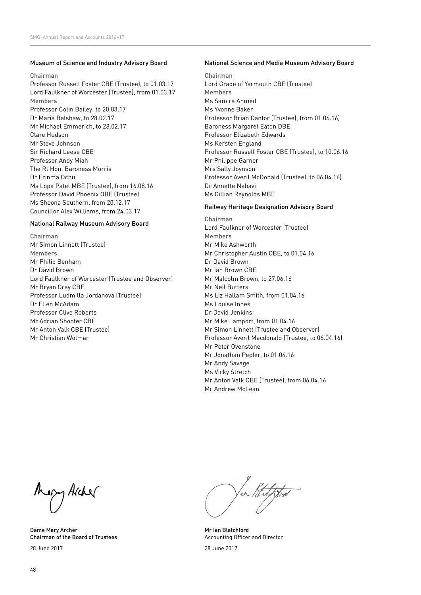#### Museum of Science and Industry Advisory Board

#### Chairman

Professor Russell Foster CBE (Trustee), to 01.03.17 Lord Faulkner of Worcester (Trustee), from 01.03.17 Members Professor Colin Bailey, to 20.03.17 Dr Maria Balshaw, to 28.02.17 Mr Michael Emmerich, to 28.02.17 Clare Hudson Mr Steve Johnson Sir Richard Leese CBE Professor Andy Miah The Rt Hon. Baroness Morris Dr Erinma Ochu Ms Lopa Patel MBE (Trustee), from 16.08.16 Professor David Phoenix OBE (Trustee) Ms Sheona Southern, from 20.12.17 Councillor Alex Williams, from 24.03.17

#### National Railway Museum Advisory Board

Chairman Mr Simon Linnett (Trustee) Members Mr Philip Benham Dr David Brown Lord Faulkner of Worcester (Trustee and Observer) Mr Bryan Gray CBE Professor Ludmilla Jordanova (Trustee) Dr Ellen McAdam Professor Clive Roberts Mr Adrian Shooter CBE Mr Anton Valk CBE (Trustee) Mr Christian Wolmar

#### National Science and Media Museum Advisory Board

Chairman Lord Grade of Yarmouth CBE (Trustee) Members Ms Samira Ahmed Ms Yvonne Baker Professor Brian Cantor (Trustee), from 01.06.16) Baroness Margaret Eaton DBE Professor Elizabeth Edwards Ms Kersten England Professor Russell Foster CBE (Trustee), to 10.06.16 Mr Philippe Garner Mrs Sally Joynson Professor Averil McDonald (Trustee), to 06.04.16) Dr Annette Nabavi Ms Gillian Reynolds MBE

#### Railway Heritage Designation Advisory Board

Chairman Lord Faulkner of Worcester (Trustee) Members Mr Mike Ashworth Mr Christopher Austin OBE, to 01.04.16 Dr David Brown Mr Ian Brown CBE Mr Malcolm Brown, to 27.06.16 Mr Neil Butters Ms Liz Hallam Smith, from 01.04.16 Ms Louise Innes Dr David Jenkins Mr Mike Lamport, from 01.04.16 Mr Simon Linnett (Trustee and Observer) Professor Averil Macdonald (Trustee, to 06.04.16) Mr Peter Ovenstone Mr Jonathan Pepler, to 01.04.16 Mr Andy Savage Ms Vicky Stretch Mr Anton Valk CBE (Trustee), from 06.04.16 Mr Andrew McLean

Megy Archer

Dame Mary Archer Chairman of the Board of Trustees 28 June 2017

en Stelffra

Mr Ian Blatchford Accounting Officer and Director

28 June 2017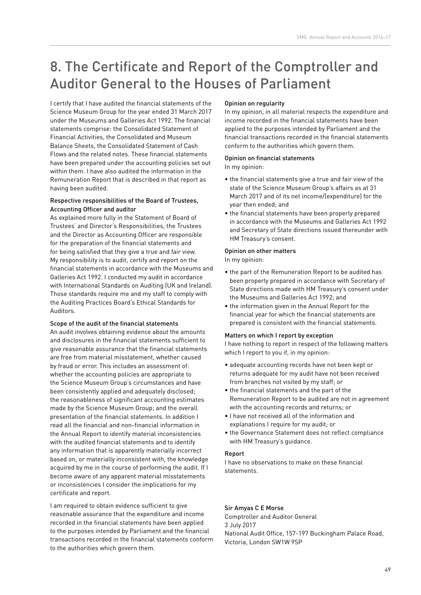# 8. The Certificate and Report of the Comptroller and Auditor General to the Houses of Parliament

I certify that I have audited the financial statements of the Science Museum Group for the year ended 31 March 2017 under the Museums and Galleries Act 1992. The financial statements comprise: the Consolidated Statement of Financial Activities, the Consolidated and Museum Balance Sheets, the Consolidated Statement of Cash Flows and the related notes. These financial statements have been prepared under the accounting policies set out within them. I have also audited the information in the Remuneration Report that is described in that report as having been audited.

#### Respective responsibilities of the Board of Trustees, Accounting Officer and auditor

As explained more fully in the Statement of Board of Trustees' and Director's Responsibilities, the Trustees and the Director as Accounting Officer are responsible for the preparation of the financial statements and for being satisfied that they give a true and fair view. My responsibility is to audit, certify and report on the financial statements in accordance with the Museums and Galleries Act 1992. I conducted my audit in accordance with International Standards on Auditing (UK and Ireland). Those standards require me and my staff to comply with the Auditing Practices Board's Ethical Standards for Auditors.

#### Scope of the audit of the financial statements

An audit involves obtaining evidence about the amounts and disclosures in the financial statements sufficient to give reasonable assurance that the financial statements are free from material misstatement, whether caused by fraud or error. This includes an assessment of: whether the accounting policies are appropriate to the Science Museum Group's circumstances and have been consistently applied and adequately disclosed; the reasonableness of significant accounting estimates made by the Science Museum Group; and the overall presentation of the financial statements. In addition I read all the financial and non-financial information in the Annual Report to identify material inconsistencies with the audited financial statements and to identify any information that is apparently materially incorrect based on, or materially inconsistent with, the knowledge acquired by me in the course of performing the audit. If I become aware of any apparent material misstatements or inconsistencies I consider the implications for my certificate and report.

I am required to obtain evidence sufficient to give reasonable assurance that the expenditure and income recorded in the financial statements have been applied to the purposes intended by Parliament and the financial transactions recorded in the financial statements conform to the authorities which govern them.

### Opinion on regularity

In my opinion, in all material respects the expenditure and income recorded in the financial statements have been applied to the purposes intended by Parliament and the financial transactions recorded in the financial statements conform to the authorities which govern them.

## Opinion on financial statements

In my opinion:

- the financial statements give a true and fair view of the state of the Science Museum Group's affairs as at 31 March 2017 and of its net income/(expenditure) for the year then ended; and
- the financial statements have been properly prepared in accordance with the Museums and Galleries Act 1992 and Secretary of State directions issued thereunder with HM Treasury's consent.

### Opinion on other matters

In my opinion:

- the part of the Remuneration Report to be audited has been properly prepared in accordance with Secretary of State directions made with HM Treasury's consent under the Museums and Galleries Act 1992; and
- the information given in the Annual Report for the financial year for which the financial statements are prepared is consistent with the financial statements.

#### Matters on which I report by exception

I have nothing to report in respect of the following matters which I report to you if, in my opinion:

- adequate accounting records have not been kept or returns adequate for my audit have not been received from branches not visited by my staff; or
- the financial statements and the part of the Remuneration Report to be audited are not in agreement with the accounting records and returns; or
- I have not received all of the information and explanations I require for my audit; or
- the Governance Statement does not reflect compliance with HM Treasury's guidance.

#### Report

I have no observations to make on these financial statements.

## Sir Amyas C E Morse

Comptroller and Auditor General 3 July 2017 National Audit Office, 157-197 Buckingham Palace Road, Victoria, London SW1W 9SP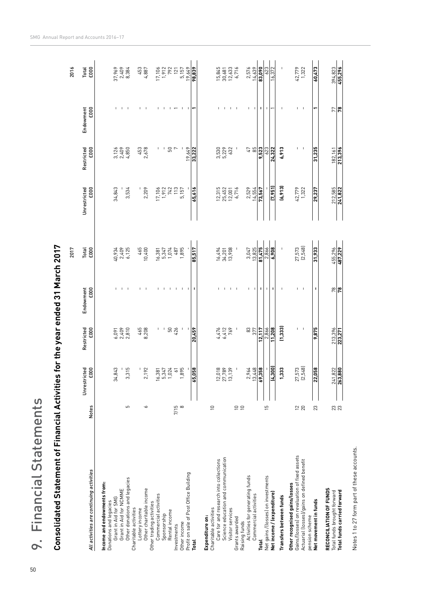| 9. Financial Statements                                                        |                  |                                                |                     |                                  |                            |                                  |                               |                               |                                                                    |
|--------------------------------------------------------------------------------|------------------|------------------------------------------------|---------------------|----------------------------------|----------------------------|----------------------------------|-------------------------------|-------------------------------|--------------------------------------------------------------------|
| <b>Consolidated Statement of Financial Activities</b>                          |                  |                                                |                     | for the year ended 31 March 2017 |                            |                                  |                               |                               |                                                                    |
|                                                                                |                  |                                                |                     |                                  | 2017                       |                                  |                               |                               | 2016                                                               |
| All activities are continuing activities                                       | <b>Notes</b>     | Unrestricted<br>£000                           | Restricted<br>£000  | Endowment<br>£000                | Total<br>£000              | Unrestricted<br>£000             | Restricted<br>£000            | Endowment<br>£000             | Total<br>£000                                                      |
| Income and endowments from:                                                    |                  |                                                |                     |                                  |                            |                                  |                               |                               |                                                                    |
| Grant in Aid for SMG<br>Donations and legacies                                 |                  | ო<br>34,84                                     | 6,091               |                                  |                            | 34,843                           |                               |                               |                                                                    |
| Grant in Aid for NCMME                                                         |                  | -1                                             | 2,409<br>2,810      | - 1                              | 40,934<br>2,409<br>6,125   |                                  | $3,126$<br>$2,409$<br>$4,850$ |                               | 37,969<br>2,409<br>8,384                                           |
| Other donations and legacies<br>Charitable activities                          | 5                | G<br>3,31                                      |                     | - 1                              |                            | 3,534                            |                               | $\blacksquare$                |                                                                    |
| Lottery income                                                                 |                  | י י                                            | $465$<br>8,208      | $\mathbf{I}$                     | 10,400<br>465              |                                  | $453$<br>2,678                | $\mathbf{I}$                  | 453<br>4,887                                                       |
| Other charitable income                                                        | ◡                | 2,19                                           |                     |                                  |                            | 2,209                            |                               |                               |                                                                    |
| Commercial activities<br>Other trading activities                              |                  |                                                |                     |                                  | 16,381                     |                                  |                               |                               | 17,106                                                             |
| Sponsorship                                                                    |                  | $16,38$<br>5,34                                | $\mathbf{I}$        | $\blacksquare$                   | 5,347<br>1,074             | $17,106$<br>$1,912$<br>$742$     |                               | $\blacksquare$                | 1,912                                                              |
| Rental income                                                                  |                  | 1,024                                          | ${\tt 50}$          | $\mathbf{I}$                     |                            |                                  | 50                            | $\blacksquare$                | 792                                                                |
| Other income<br>Investments                                                    | 7/15<br>$\infty$ | 1,895                                          | 426                 | $\mathbf{I}$<br>$\blacksquare$   | 1,895<br>487               | 113<br>5,157                     | $\overline{ }$                | $\mathbf{I}$                  | 5,157<br>121                                                       |
| Profit on sale of Post Office Building                                         |                  | $\vert \vert$                                  |                     | $\perp$                          |                            |                                  | 19,649                        |                               |                                                                    |
| <b>Total</b>                                                                   |                  | 65,058                                         | 20,459              | J,                               | 85,517                     | 65,616                           | 33,222                        |                               | $\frac{19,649}{98,839}$                                            |
| Expenditure on:                                                                |                  |                                                |                     |                                  |                            |                                  |                               |                               |                                                                    |
| Charitable activities                                                          | $\supseteq$      |                                                |                     |                                  |                            |                                  |                               |                               |                                                                    |
| Science education and communication<br>Care for and research into collections  |                  | $^{\circ}$<br>$\sim$<br>$\frac{12,018}{27,78}$ | $4,476$<br>6,412    | $\mathbf{I}$                     | 16,494<br>34,201<br>13,908 | $12,315$<br>$25,452$<br>$12,001$ | 3,530<br>5,229                |                               | $\begin{array}{c} 15,845 \\ 30,681 \\ 12,633 \\ 6,716 \end{array}$ |
| Visitor services                                                               |                  | $\sim$                                         | 769                 |                                  |                            |                                  | 632                           | $\mathbf{I}$                  |                                                                    |
| Grants awarded                                                                 | $\Xi \Xi$        |                                                |                     | $\mathbf{I} = \mathbf{I}$        |                            | 6,716                            |                               | $\blacksquare$                |                                                                    |
| Activities for generating funds<br>Raising funds                               |                  | 2,964                                          |                     | $\mathsf I$                      | 3,047                      | 2,529                            | $\sqrt{4}$                    | I.                            | 2,576                                                              |
| Commercial activities                                                          |                  | 13,448                                         | 83<br>377           | $\mathbf{I}$                     | 13,825                     | 14,554                           | 85                            | $\mathsf I$                   | 14,639                                                             |
| Total                                                                          |                  | 69,358                                         | 12,117              | 1                                | 81,475                     | 73,567                           | 9,523                         | п                             | 83,090                                                             |
| Net gains /(losses) on investments                                             | $\overline{5}$   | $\mathsf I$                                    | 2,866               | $\mathbf{I}$                     | 2,866                      |                                  | 623                           | 1                             | 623                                                                |
| Net income / (expenditure)                                                     |                  | (4, 300)                                       | 11,208              | $\mathbf I$                      | 6,908                      | $\frac{1}{(7,951)}$              | 24,322                        |                               | 16,372                                                             |
| Transfers between funds                                                        |                  | 1,333                                          | (1, 333)            |                                  |                            | (6, 913)                         | 6,913                         |                               | $\overline{\phantom{a}}$                                           |
| Gains/(losses) on revaluation of fixed assets<br>Other recognised gains/losses |                  |                                                |                     |                                  |                            |                                  |                               |                               |                                                                    |
| Actuarial (losses)/gains on defined benefit                                    | $\frac{2}{2}$    | 27,573<br>[2,548]                              | L<br>$\blacksquare$ | п<br>$\blacksquare$              | 27,573<br>(2,548)          | 42,779<br>1,322                  | T                             | Ï<br>$\overline{\phantom{a}}$ | 42,779<br>1,322                                                    |
| pension scheme                                                                 |                  |                                                | 9.875               |                                  |                            | 29,237                           | 31,235                        | ↽                             | 60,473                                                             |
| Net movement in funds                                                          | 23               | 22,058                                         |                     | $\blacksquare$                   | 31,933                     |                                  |                               |                               |                                                                    |
| RECONCILIATION OF FUNDS<br>Total funds brought forward                         |                  |                                                | 213,396             | 78                               | 455,296                    | 212,585                          | 182,161                       | 77                            | 394,823                                                            |
| Total funds carried forward                                                    | <b>23</b>        | $\frac{241,822}{263,880}$                      | 223,271             | $\overline{r}$                   | 487,229                    | 241,822                          | 213,396                       | r.                            | 455,296                                                            |
|                                                                                |                  |                                                |                     |                                  |                            |                                  |                               |                               |                                                                    |

Notes 1 to 27 form part of these accounts.

Notes 1 to 27 form part of these accounts.

SMG Annual Report and Accounts 2016−17

9. Financial Statements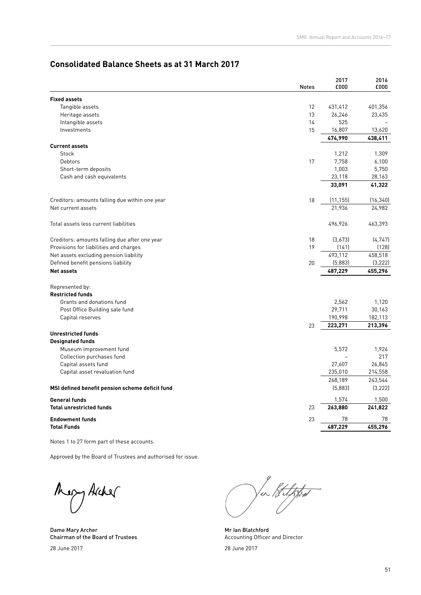## **Consolidated Balance Sheets as at 31 March 2017**

|                                                 | <b>Notes</b> | 2017<br>£000   | 2016<br>£000  |
|-------------------------------------------------|--------------|----------------|---------------|
| <b>Fixed assets</b>                             |              |                |               |
| Tangible assets                                 | 12           | 431,412        | 401,356       |
| Heritage assets                                 | 13           | 26,246         | 23,435        |
| Intangible assets                               | 14           | 525            |               |
| Investments                                     | 15           | 16,807         | 13,620        |
|                                                 |              | 474,990        | 438,411       |
| <b>Current assets</b>                           |              |                |               |
| Stock                                           |              | 1,212          | 1,309         |
| Debtors                                         | 17           | 7,758          | 6,100         |
| Short-term deposits                             |              | 1,003          | 5,750         |
| Cash and cash equivalents                       |              | 23,118         | 28,163        |
|                                                 |              | 33,091         | 41,322        |
|                                                 |              |                |               |
| Creditors: amounts falling due within one year  | 18           | (11, 155)      | (16, 340)     |
| Net current assets                              |              | 21,936         | 24,982        |
| Total assets less current liabilities           |              | 496,926        | 463,393       |
| Creditors: amounts falling due after one year   | 18           | (3,673)        | (4, 747)      |
| Provisions for liabilities and charges          | 19           | (141)          | (128)         |
| Net assets excluding pension liability          |              | 493,112        | 458,518       |
| Defined benefit pensions liability              | 20           | (5,883)        | (3,222)       |
| <b>Net assets</b>                               |              | 487,229        | 455,296       |
| Represented by:                                 |              |                |               |
| <b>Restricted funds</b>                         |              |                |               |
|                                                 |              |                |               |
| Grants and donations fund                       |              | 2,562          | 1,120         |
| Post Office Building sale fund                  |              | 29,711         | 30,163        |
| Capital reserves                                |              | 190,998        | 182,113       |
|                                                 | 23           | 223,271        | 213,396       |
| <b>Unrestricted funds</b>                       |              |                |               |
| <b>Designated funds</b>                         |              |                |               |
| Museum improvement fund                         |              | 5.572          | 1,924         |
| Collection purchases fund                       |              | $\overline{a}$ | 217           |
| Capital assets fund                             |              | 27,607         | 26,845        |
| Capital asset revaluation fund                  |              | 235,010        | 214,558       |
|                                                 |              | 268,189        | 243,544       |
| MSI defined benefit pension scheme deficit fund |              | (5,883)        | (3, 222)      |
| <b>General funds</b>                            |              | 1,574          | 1,500         |
| <b>Total unrestricted funds</b>                 | 23           | 263,880        | 241,822       |
| <b>Endowment funds</b><br><b>Total Funds</b>    | 23           | 78<br>487,229  | 78<br>455,296 |
|                                                 |              |                |               |

Notes 1 to 27 form part of these accounts.

Approved by the Board of Trustees and authorised for issue.

Mery Archer

Dame Mary Archer Chairman of the Board of Trustees

28 June 2017

ur Stelfted

Mr Ian Blatchford Accounting Officer and Director

28 June 2017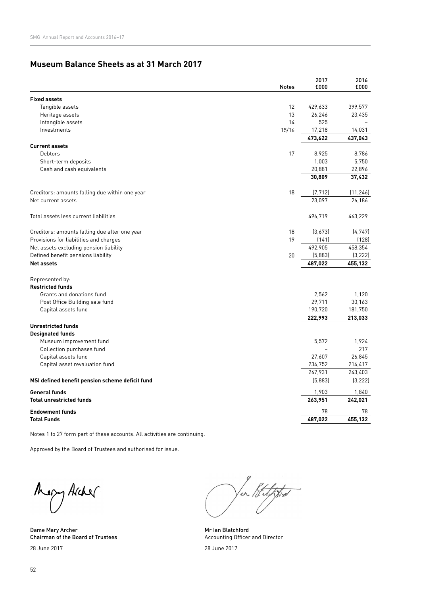## **Museum Balance Sheets as at 31 March 2017**

|                                                 | <b>Notes</b> | 2017<br>£000  | 2016<br>£000  |
|-------------------------------------------------|--------------|---------------|---------------|
| <b>Fixed assets</b>                             |              |               |               |
| Tangible assets                                 | 12           | 429,633       | 399,577       |
| Heritage assets                                 | 13           | 26,246        | 23,435        |
| Intangible assets                               | 14           | 525           |               |
| Investments                                     | 15/16        | 17,218        | 14,031        |
|                                                 |              | 473,622       | 437,043       |
| <b>Current assets</b>                           |              |               |               |
| Debtors                                         | 17           | 8,925         | 8,786         |
| Short-term deposits                             |              | 1,003         | 5,750         |
| Cash and cash equivalents                       |              | 20,881        | 22,896        |
|                                                 |              | 30,809        | 37,432        |
| Creditors: amounts falling due within one year  | 18           | (7, 712)      | (11, 246)     |
| Net current assets                              |              | 23,097        | 26,186        |
| Total assets less current liabilities           |              | 496,719       | 463,229       |
| Creditors: amounts falling due after one year   | 18           | (3,673)       | (4, 747)      |
| Provisions for liabilities and charges          | 19           | (141)         | (128)         |
| Net assets excluding pension liability          |              | 492,905       | 458,354       |
| Defined benefit pensions liability              | 20           | (5,883)       | (3, 222)      |
| <b>Net assets</b>                               |              | 487,022       | 455,132       |
| Represented by:                                 |              |               |               |
| <b>Restricted funds</b>                         |              |               |               |
| Grants and donations fund                       |              | 2,562         | 1,120         |
| Post Office Building sale fund                  |              | 29,711        | 30,163        |
| Capital assets fund                             |              | 190,720       | 181,750       |
|                                                 |              | 222,993       | 213,033       |
| <b>Unrestricted funds</b>                       |              |               |               |
| <b>Designated funds</b>                         |              |               |               |
| Museum improvement fund                         |              | 5,572         | 1,924         |
| Collection purchases fund                       |              |               | 217           |
| Capital assets fund                             |              | 27,607        | 26,845        |
| Capital asset revaluation fund                  |              | 234,752       | 214,417       |
|                                                 |              | 267,931       | 243,403       |
| MSI defined benefit pension scheme deficit fund |              | (5,883)       | (3, 222)      |
| <b>General funds</b>                            |              | 1,903         | 1,840         |
| <b>Total unrestricted funds</b>                 |              | 263,951<br>78 | 242,021<br>78 |
| <b>Endowment funds</b><br><b>Total Funds</b>    |              | 487,022       | 455,132       |
|                                                 |              |               |               |

Notes 1 to 27 form part of these accounts. All activities are continuing.

Approved by the Board of Trustees and authorised for issue.

Mery Archer

Dame Mary Archer Chairman of the Board of Trustees 28 June 2017

ur Belffred

Mr Ian Blatchford Accounting Officer and Director

28 June 2017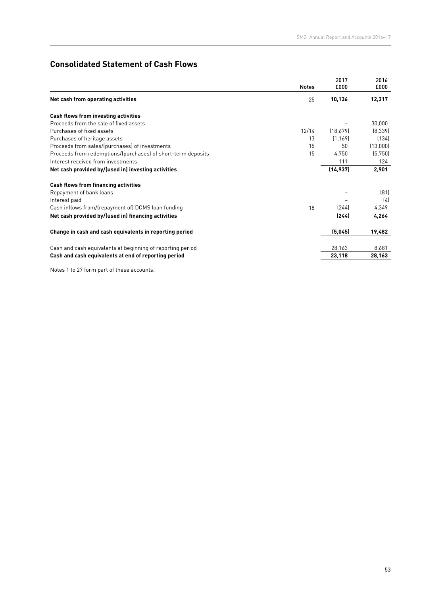## **Consolidated Statement of Cash Flows**

|                                                              |              | 2017      | 2016     |
|--------------------------------------------------------------|--------------|-----------|----------|
|                                                              | <b>Notes</b> | £000      | £000     |
| Net cash from operating activities                           | 25           | 10,136    | 12,317   |
| Cash flows from investing activities                         |              |           |          |
| Proceeds from the sale of fixed assets                       |              |           | 30,000   |
| Purchases of fixed assets                                    | 12/14        | (18,679)  | [8,339]  |
| Purchases of heritage assets                                 | 13           | (1, 169)  | (134)    |
| Proceeds from sales/(purchases) of investments               | 15           | 50        | (13,000) |
| Proceeds from redemptions/(purchases) of short-term deposits | 15           | 4,750     | (5,750)  |
| Interest received from investments                           |              | 111       | 124      |
| Net cash provided by/(used in) investing activities          |              | (14, 937) | 2,901    |
| <b>Cash flows from financing activities</b>                  |              |           |          |
| Repayment of bank loans                                      |              |           | (81)     |
| Interest paid                                                |              |           | (4)      |
| Cash inflows from/(repayment of) DCMS loan funding           | 18           | (244)     | 4,349    |
| Net cash provided by/(used in) financing activities          |              | (244)     | 4,264    |
| Change in cash and cash equivalents in reporting period      |              | (5,045)   | 19,482   |
|                                                              |              |           |          |
| Cash and cash equivalents at beginning of reporting period   |              | 28,163    | 8,681    |
| Cash and cash equivalents at end of reporting period         |              | 23,118    | 28,163   |

Notes 1 to 27 form part of these accounts.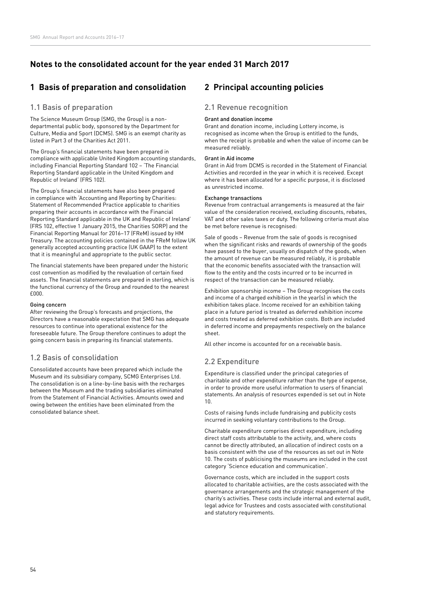## **Notes to the consolidated account for the year ended 31 March 2017**

## **1 Basis of preparation and consolidation**

### 1.1 Basis of preparation

The Science Museum Group (SMG, the Group) is a nondepartmental public body, sponsored by the Department for Culture, Media and Sport (DCMS). SMG is an exempt charity as listed in Part 3 of the Charities Act 2011.

The Group's financial statements have been prepared in compliance with applicable United Kingdom accounting standards, including Financial Reporting Standard 102 – 'The Financial Reporting Standard applicable in the United Kingdom and Republic of Ireland' (FRS 102).

The Group's financial statements have also been prepared in compliance with 'Accounting and Reporting by Charities: Statement of Recommended Practice applicable to charities preparing their accounts in accordance with the Financial Reporting Standard applicable in the UK and Republic of Ireland' (FRS 102, effective 1 January 2015, the Charities SORP) and the Financial Reporting Manual for 2016–17 (FReM) issued by HM Treasury. The accounting policies contained in the FReM follow UK generally accepted accounting practice (UK GAAP) to the extent that it is meaningful and appropriate to the public sector.

The financial statements have been prepared under the historic cost convention as modified by the revaluation of certain fixed assets. The financial statements are prepared in sterling, which is the functional currency of the Group and rounded to the nearest £000.

#### Going concern

After reviewing the Group's forecasts and projections, the Directors have a reasonable expectation that SMG has adequate resources to continue into operational existence for the foreseeable future. The Group therefore continues to adopt the going concern basis in preparing its financial statements.

#### 1.2 Basis of consolidation

Consolidated accounts have been prepared which include the Museum and its subsidiary company, SCMG Enterprises Ltd. The consolidation is on a line-by-line basis with the recharges between the Museum and the trading subsidiaries eliminated from the Statement of Financial Activities. Amounts owed and owing between the entities have been eliminated from the consolidated balance sheet.

## **2 Principal accounting policies**

#### 2.1 Revenue recognition

#### Grant and donation income

Grant and donation income, including Lottery income, is recognised as income when the Group is entitled to the funds, when the receipt is probable and when the value of income can be measured reliably.

#### Grant in Aid income

Grant in Aid from DCMS is recorded in the Statement of Financial Activities and recorded in the year in which it is received. Except where it has been allocated for a specific purpose, it is disclosed as unrestricted income.

#### Exchange transactions

Revenue from contractual arrangements is measured at the fair value of the consideration received, excluding discounts, rebates, VAT and other sales taxes or duty. The following criteria must also be met before revenue is recognised:

Sale of goods – Revenue from the sale of goods is recognised when the significant risks and rewards of ownership of the goods have passed to the buyer, usually on dispatch of the goods, when the amount of revenue can be measured reliably, it is probable that the economic benefits associated with the transaction will flow to the entity and the costs incurred or to be incurred in respect of the transaction can be measured reliably.

Exhibition sponsorship income – The Group recognises the costs and income of a charged exhibition in the year(s) in which the exhibition takes place. Income received for an exhibition taking place in a future period is treated as deferred exhibition income and costs treated as deferred exhibition costs. Both are included in deferred income and prepayments respectively on the balance sheet.

All other income is accounted for on a receivable basis.

## 2.2 Expenditure

Expenditure is classified under the principal categories of charitable and other expenditure rather than the type of expense, in order to provide more useful information to users of financial statements. An analysis of resources expended is set out in Note 10.

Costs of raising funds include fundraising and publicity costs incurred in seeking voluntary contributions to the Group.

Charitable expenditure comprises direct expenditure, including direct staff costs attributable to the activity, and, where costs cannot be directly attributed, an allocation of indirect costs on a basis consistent with the use of the resources as set out in Note 10. The costs of publicising the museums are included in the cost category 'Science education and communication'.

Governance costs, which are included in the support costs allocated to charitable activities, are the costs associated with the governance arrangements and the strategic management of the charity's activities. These costs include internal and external audit, legal advice for Trustees and costs associated with constitutional and statutory requirements.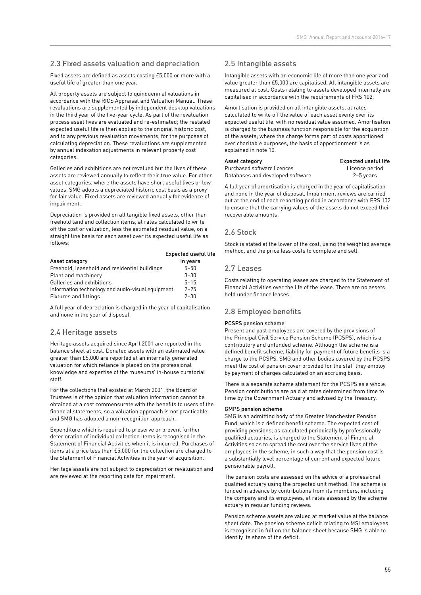## 2.3 Fixed assets valuation and depreciation

Fixed assets are defined as assets costing £5,000 or more with a useful life of greater than one year.

All property assets are subject to quinquennial valuations in accordance with the RICS Appraisal and Valuation Manual. These revaluations are supplemented by independent desktop valuations in the third year of the five-year cycle. As part of the revaluation process asset lives are evaluated and re-estimated; the restated expected useful life is then applied to the original historic cost, and to any previous revaluation movements, for the purposes of calculating depreciation. These revaluations are supplemented by annual indexation adjustments in relevant property cost categories.

Galleries and exhibitions are not revalued but the lives of these assets are reviewed annually to reflect their true value. For other asset categories, where the assets have short useful lives or low values, SMG adopts a depreciated historic cost basis as a proxy for fair value. Fixed assets are reviewed annually for evidence of impairment.

Depreciation is provided on all tangible fixed assets, other than freehold land and collection items, at rates calculated to write off the cost or valuation, less the estimated residual value, on a straight line basis for each asset over its expected useful life as follows:

|                                                   | <b>Expected useful life</b> |
|---------------------------------------------------|-----------------------------|
| Asset category                                    | in years                    |
| Freehold, leasehold and residential buildings     | $5 - 50$                    |
| Plant and machinery                               | $3 - 30$                    |
| Galleries and exhibitions                         | $5 - 15$                    |
| Information technology and audio-visual equipment | $2 - 25$                    |
| Fixtures and fittings                             | $2 - 30$                    |

A full year of depreciation is charged in the year of capitalisation and none in the year of disposal.

## 2.4 Heritage assets

Heritage assets acquired since April 2001 are reported in the balance sheet at cost. Donated assets with an estimated value greater than £5,000 are reported at an internally generated valuation for which reliance is placed on the professional knowledge and expertise of the museums' in-house curatorial staff.

For the collections that existed at March 2001, the Board of Trustees is of the opinion that valuation information cannot be obtained at a cost commensurate with the benefits to users of the financial statements, so a valuation approach is not practicable and SMG has adopted a non-recognition approach.

Expenditure which is required to preserve or prevent further deterioration of individual collection items is recognised in the Statement of Financial Activities when it is incurred. Purchases of items at a price less than £5,000 for the collection are charged to the Statement of Financial Activities in the year of acquisition.

Heritage assets are not subject to depreciation or revaluation and are reviewed at the reporting date for impairment.

## 2.5 Intangible assets

Intangible assets with an economic life of more than one year and value greater than £5,000 are capitalised. All intangible assets are measured at cost. Costs relating to assets developed internally are capitalised in accordance with the requirements of FRS 102.

Amortisation is provided on all intangible assets, at rates calculated to write off the value of each asset evenly over its expected useful life, with no residual value assumed. Amortisation is charged to the business function responsible for the acquisition of the assets; where the charge forms part of costs apportioned over charitable purposes, the basis of apportionment is as explained in note 10.

| Asset category                   | Expected useful life |
|----------------------------------|----------------------|
| Purchased software licences      | Licence period       |
| Databases and developed software | 2-5 years            |

A full year of amortisation is charged in the year of capitalisation and none in the year of disposal. Impairment reviews are carried out at the end of each reporting period in accordance with FRS 102 to ensure that the carrying values of the assets do not exceed their recoverable amounts.

### 2.6 Stock

Stock is stated at the lower of the cost, using the weighted average method, and the price less costs to complete and sell.

## 2.7 Leases

Costs relating to operating leases are charged to the Statement of Financial Activities over the life of the lease. There are no assets held under finance leases.

## 2.8 Employee benefits

#### PCSPS pension scheme

Present and past employees are covered by the provisions of the Principal Civil Service Pension Scheme (PCSPS), which is a contributory and unfunded scheme. Although the scheme is a defined benefit scheme, liability for payment of future benefits is a charge to the PCSPS. SMG and other bodies covered by the PCSPS meet the cost of pension cover provided for the staff they employ by payment of charges calculated on an accruing basis.

There is a separate scheme statement for the PCSPS as a whole. Pension contributions are paid at rates determined from time to time by the Government Actuary and advised by the Treasury.

#### GMPS pension scheme

SMG is an admitting body of the Greater Manchester Pension Fund, which is a defined benefit scheme. The expected cost of providing pensions, as calculated periodically by professionally qualified actuaries, is charged to the Statement of Financial Activities so as to spread the cost over the service lives of the employees in the scheme, in such a way that the pension cost is a substantially level percentage of current and expected future pensionable payroll.

The pension costs are assessed on the advice of a professional qualified actuary using the projected unit method. The scheme is funded in advance by contributions from its members, including the company and its employees, at rates assessed by the scheme actuary in regular funding reviews.

Pension scheme assets are valued at market value at the balance sheet date. The pension scheme deficit relating to MSI employees is recognised in full on the balance sheet because SMG is able to identify its share of the deficit.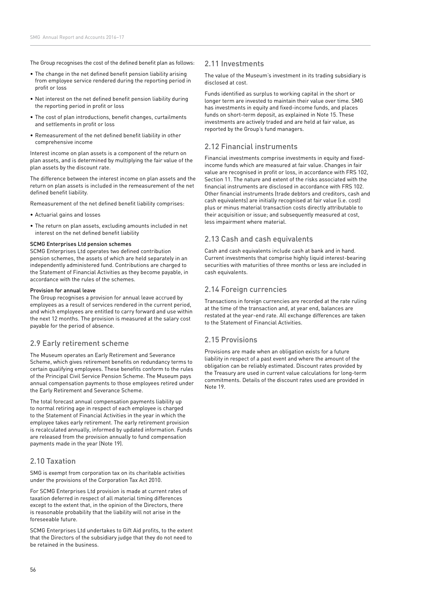The Group recognises the cost of the defined benefit plan as follows:

- The change in the net defined benefit pension liability arising from employee service rendered during the reporting period in profit or loss
- Net interest on the net defined benefit pension liability during the reporting period in profit or loss
- The cost of plan introductions, benefit changes, curtailments and settlements in profit or loss
- Remeasurement of the net defined benefit liability in other comprehensive income

Interest income on plan assets is a component of the return on plan assets, and is determined by multiplying the fair value of the plan assets by the discount rate.

The difference between the interest income on plan assets and the return on plan assets is included in the remeasurement of the net defined benefit liability.

Remeasurement of the net defined benefit liability comprises:

- Actuarial gains and losses
- The return on plan assets, excluding amounts included in net interest on the net defined benefit liability

#### SCMG Enterprises Ltd pension schemes

SCMG Enterprises Ltd operates two defined contribution pension schemes, the assets of which are held separately in an independently administered fund. Contributions are charged to the Statement of Financial Activities as they become payable, in accordance with the rules of the schemes.

#### Provision for annual leave

The Group recognises a provision for annual leave accrued by employees as a result of services rendered in the current period, and which employees are entitled to carry forward and use within the next 12 months. The provision is measured at the salary cost payable for the period of absence.

#### 2.9 Early retirement scheme

The Museum operates an Early Retirement and Severance Scheme, which gives retirement benefits on redundancy terms to certain qualifying employees. These benefits conform to the rules of the Principal Civil Service Pension Scheme. The Museum pays annual compensation payments to those employees retired under the Early Retirement and Severance Scheme.

The total forecast annual compensation payments liability up to normal retiring age in respect of each employee is charged to the Statement of Financial Activities in the year in which the employee takes early retirement. The early retirement provision is recalculated annually, informed by updated information. Funds are released from the provision annually to fund compensation payments made in the year (Note 19).

#### 2.10 Taxation

SMG is exempt from corporation tax on its charitable activities under the provisions of the Corporation Tax Act 2010.

For SCMG Enterprises Ltd provision is made at current rates of taxation deferred in respect of all material timing differences except to the extent that, in the opinion of the Directors, there is reasonable probability that the liability will not arise in the foreseeable future.

SCMG Enterprises Ltd undertakes to Gift Aid profits, to the extent that the Directors of the subsidiary judge that they do not need to be retained in the business.

#### 2.11 Investments

The value of the Museum's investment in its trading subsidiary is disclosed at cost.

Funds identified as surplus to working capital in the short or longer term are invested to maintain their value over time. SMG has investments in equity and fixed-income funds, and places funds on short-term deposit, as explained in Note 15. These investments are actively traded and are held at fair value, as reported by the Group's fund managers.

#### 2.12 Financial instruments

Financial investments comprise investments in equity and fixedincome funds which are measured at fair value. Changes in fair value are recognised in profit or loss, in accordance with FRS 102, Section 11. The nature and extent of the risks associated with the financial instruments are disclosed in accordance with FRS 102. Other financial instruments (trade debtors and creditors, cash and cash equivalents) are initially recognised at fair value (i.e. cost) plus or minus material transaction costs directly attributable to their acquisition or issue; and subsequently measured at cost, less impairment where material.

#### 2.13 Cash and cash equivalents

Cash and cash equivalents include cash at bank and in hand. Current investments that comprise highly liquid interest-bearing securities with maturities of three months or less are included in cash equivalents.

### 2.14 Foreign currencies

Transactions in foreign currencies are recorded at the rate ruling at the time of the transaction and, at year end, balances are restated at the year-end rate. All exchange differences are taken to the Statement of Financial Activities.

#### 2.15 Provisions

Provisions are made when an obligation exists for a future liability in respect of a past event and where the amount of the obligation can be reliably estimated. Discount rates provided by the Treasury are used in current value calculations for long-term commitments. Details of the discount rates used are provided in Note 19.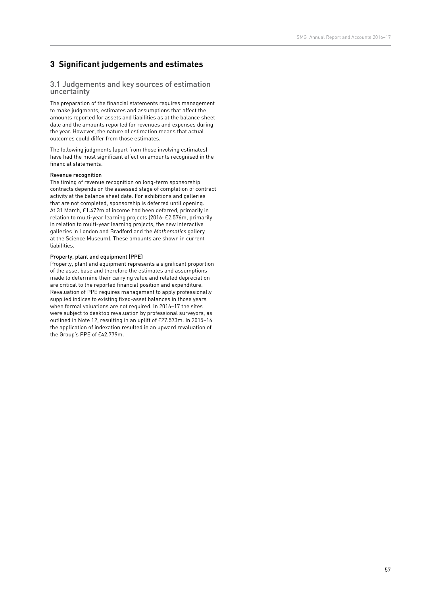## **3 Significant judgements and estimates**

#### 3.1 Judgements and key sources of estimation uncertainty

The preparation of the financial statements requires management to make judgments, estimates and assumptions that affect the amounts reported for assets and liabilities as at the balance sheet date and the amounts reported for revenues and expenses during the year. However, the nature of estimation means that actual outcomes could differ from those estimates.

The following judgments (apart from those involving estimates) have had the most significant effect on amounts recognised in the financial statements.

#### Revenue recognition

The timing of revenue recognition on long-term sponsorship contracts depends on the assessed stage of completion of contract activity at the balance sheet date. For exhibitions and galleries that are not completed, sponsorship is deferred until opening. At 31 March, £1.472m of income had been deferred, primarily in relation to multi-year learning projects (2016: £2.576m, primarily in relation to multi-year learning projects, the new interactive galleries in London and Bradford and the Mathematics gallery at the Science Museum). These amounts are shown in current liabilities.

#### Property, plant and equipment (PPE)

Property, plant and equipment represents a significant proportion of the asset base and therefore the estimates and assumptions made to determine their carrying value and related depreciation are critical to the reported financial position and expenditure. Revaluation of PPE requires management to apply professionally supplied indices to existing fixed-asset balances in those years when formal valuations are not required. In 2016–17 the sites were subject to desktop revaluation by professional surveyors, as outlined in Note 12, resulting in an uplift of £27.573m. In 2015–16 the application of indexation resulted in an upward revaluation of the Group's PPE of £42.779m.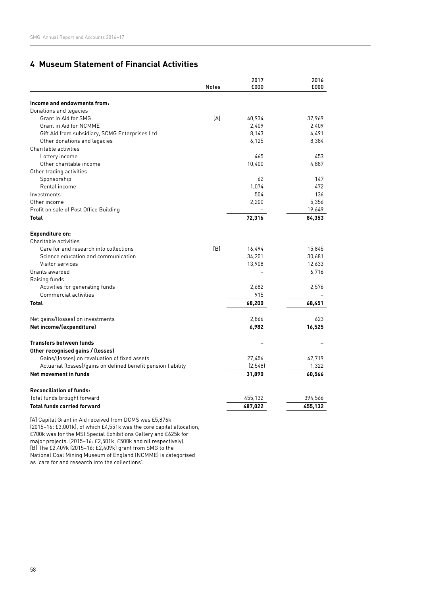## **4 Museum Statement of Financial Activities**

|                                                               | <b>Notes</b> | 2017<br>£000 | 2016<br>£000 |
|---------------------------------------------------------------|--------------|--------------|--------------|
|                                                               |              |              |              |
| Income and endowments from:                                   |              |              |              |
| Donations and legacies                                        |              |              |              |
| Grant in Aid for SMG                                          | [A]          | 40,934       | 37,969       |
| <b>Grant in Aid for NCMME</b>                                 |              | 2,409        | 2,409        |
| Gift Aid from subsidiary, SCMG Enterprises Ltd                |              | 8,143        | 4,491        |
| Other donations and legacies                                  |              | 6,125        | 8,384        |
| Charitable activities                                         |              |              |              |
| Lottery income                                                |              | 465          | 453          |
| Other charitable income                                       |              | 10,400       | 4,887        |
| Other trading activities                                      |              |              |              |
| Sponsorship                                                   |              | 62           | 147          |
| Rental income                                                 |              | 1,074        | 472          |
| Investments                                                   |              | 504          | 136          |
| Other income                                                  |              | 2,200        | 5,356        |
| Profit on sale of Post Office Building                        |              |              | 19,649       |
| <b>Total</b>                                                  |              | 72,316       | 84,353       |
| <b>Expenditure on:</b>                                        |              |              |              |
| Charitable activities                                         |              |              |              |
| Care for and research into collections                        | [B]          | 16,494       | 15,845       |
| Science education and communication                           |              | 34,201       | 30,681       |
| Visitor services                                              |              | 13,908       | 12,633       |
| Grants awarded                                                |              |              | 6,716        |
| Raising funds                                                 |              |              |              |
| Activities for generating funds                               |              | 2,682        | 2,576        |
| Commercial activities                                         |              | 915          |              |
| <b>Total</b>                                                  |              | 68,200       | 68,451       |
| Net gains/(losses) on investments                             |              | 2,866        | 623          |
| Net income/(expenditure)                                      |              | 6,982        | 16,525       |
| <b>Transfers between funds</b>                                |              |              |              |
| Other recognised gains / (losses)                             |              |              |              |
| Gains/(losses) on revaluation of fixed assets                 |              | 27,456       | 42,719       |
| Actuarial (losses)/gains on defined benefit pension liability |              | (2, 548)     | 1,322        |
| Net movement in funds                                         |              | 31,890       | 60,566       |
| <b>Reconciliation of funds:</b>                               |              |              |              |
| Total funds brought forward                                   |              | 455,132      | 394,566      |
| <b>Total funds carried forward</b>                            |              | 487,022      | 455,132      |
|                                                               |              |              |              |

[A] Capital Grant in Aid received from DCMS was £5,876k (2015–16: £3,001k), of which £4,551k was the core capital allocation, £700k was for the MSI Special Exhibitions Gallery and £625k for major projects. (2015–16: £2,501k, £500k and nil respectively). [B] The £2,409k (2015–16: £2,409k) grant from SMG to the National Coal Mining Museum of England (NCMME) is categorised as 'care for and research into the collections'.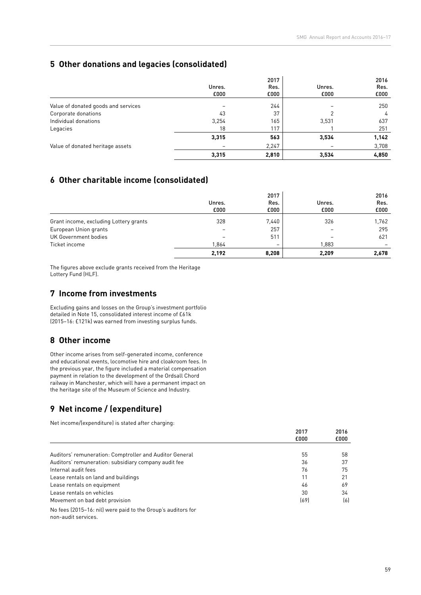## **5 Other donations and legacies (consolidated)**

|                                     | Unres.<br>£000 | 2017<br>Res.<br>£000 | Unres.<br>£000 | 2016<br>Res.<br>£000 |
|-------------------------------------|----------------|----------------------|----------------|----------------------|
| Value of donated goods and services |                | 244                  |                | 250                  |
| Corporate donations                 | 43             | 37                   |                | 4                    |
| Individual donations                | 3,254          | 165                  | 3,531          | 637                  |
| Legacies                            | 18             | 117                  |                | 251                  |
|                                     | 3,315          | 563                  | 3,534          | 1,142                |
| Value of donated heritage assets    |                | 2,247                |                | 3,708                |
|                                     | 3,315          | 2,810                | 3,534          | 4,850                |

## **6 Other charitable income (consolidated)**

|                                        |                          | 2017  |        | 2016  |
|----------------------------------------|--------------------------|-------|--------|-------|
|                                        | Unres.                   | Res.  | Unres. | Res.  |
|                                        | £000                     | £000  | £000   | £000  |
| Grant income, excluding Lottery grants | 328                      | 7,440 | 326    | 1,762 |
| European Union grants                  | $\overline{\phantom{0}}$ | 257   |        | 295   |
| UK Government bodies                   |                          | 511   |        | 621   |
| Ticket income                          | 1,864                    | -     | 1,883  |       |
|                                        | 2,192                    | 8,208 | 2,209  | 2,678 |

The figures above exclude grants received from the Heritage Lottery Fund (HLF).

## **7 Income from investments**

Excluding gains and losses on the Group's investment portfolio detailed in Note 15, consolidated interest income of £61k (2015–16: £121k) was earned from investing surplus funds.

## **8 Other income**

Other income arises from self-generated income, conference and educational events, locomotive hire and cloakroom fees. In the previous year, the figure included a material compensation payment in relation to the development of the Ordsall Chord railway in Manchester, which will have a permanent impact on the heritage site of the Museum of Science and Industry.

## **9 Net income / (expenditure)**

Net income/(expenditure) is stated after charging:

|                                                                                     | 2017<br>£000 | 2016<br>£000 |
|-------------------------------------------------------------------------------------|--------------|--------------|
|                                                                                     |              |              |
| Auditors' remuneration: Comptroller and Auditor General                             | 55           | 58           |
| Auditors' remuneration: subsidiary company audit fee                                | 36           | 37           |
| Internal audit fees                                                                 | 76           | 75           |
| Lease rentals on land and buildings                                                 | 11           | 21           |
| Lease rentals on equipment                                                          | 46           | 69           |
| Lease rentals on vehicles                                                           | 30           | 34           |
| Movement on bad debt provision                                                      | (69)         | (6)          |
| No fees (2015-16: nil) were paid to the Group's auditors for<br>non-audit services. |              |              |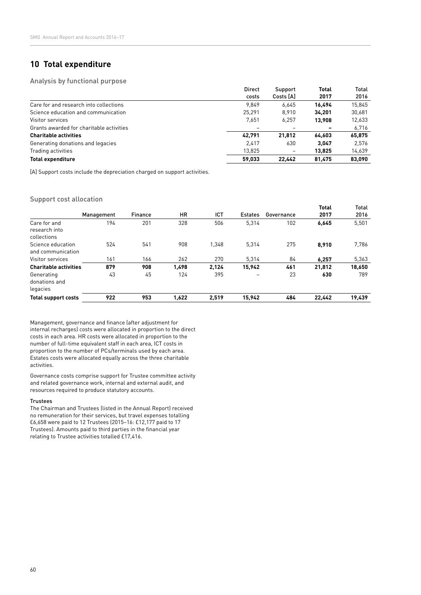## **10 Total expenditure**

#### Analysis by functional purpose

|                                          | <b>Direct</b> | Support   | <b>Total</b> | Total  |
|------------------------------------------|---------------|-----------|--------------|--------|
|                                          | costs         | Costs [A] | 2017         | 2016   |
| Care for and research into collections   | 9.849         | 6.645     | 16.494       | 15.845 |
| Science education and communication      | 25.291        | 8,910     | 34.201       | 30,681 |
| Visitor services                         | 7.651         | 6,257     | 13.908       | 12,633 |
| Grants awarded for charitable activities |               |           |              | 6,716  |
| <b>Charitable activities</b>             | 42.791        | 21.812    | 64.603       | 65,875 |
| Generating donations and legacies        | 2.417         | 630       | 3.047        | 2,576  |
| Trading activities                       | 13.825        |           | 13.825       | 14,639 |
| <b>Total expenditure</b>                 | 59.033        | 22.442    | 81.475       | 83,090 |

[A] Support costs include the depreciation charged on support activities.

#### Support cost allocation

|                                              |            |                |           |       |                |            | <b>Total</b> | <b>Total</b> |
|----------------------------------------------|------------|----------------|-----------|-------|----------------|------------|--------------|--------------|
|                                              | Management | <b>Finance</b> | <b>HR</b> | ICT   | <b>Estates</b> | Governance | 2017         | 2016         |
| Care for and<br>research into<br>collections | 194        | 201            | 328       | 506   | 5.314          | 102        | 6,645        | 5,501        |
| Science education<br>and communication       | 524        | 541            | 908       | 1.348 | 5.314          | 275        | 8.910        | 7,786        |
| Visitor services                             | 161        | 166            | 262       | 270   | 5,314          | 84         | 6.257        | 5,363        |
| <b>Charitable activities</b>                 | 879        | 908            | 1,498     | 2,124 | 15,942         | 461        | 21,812       | 18,650       |
| Generating<br>donations and<br>legacies      | 43         | 45             | 124       | 395   | -              | 23         | 630          | 789          |
| <b>Total support costs</b>                   | 922        | 953            | 1,622     | 2,519 | 15,942         | 484        | 22,442       | 19,439       |

Management, governance and finance (after adjustment for internal recharges) costs were allocated in proportion to the direct costs in each area. HR costs were allocated in proportion to the number of full-time equivalent staff in each area, ICT costs in proportion to the number of PCs/terminals used by each area. Estates costs were allocated equally across the three charitable activities.

Governance costs comprise support for Trustee committee activity and related governance work, internal and external audit, and resources required to produce statutory accounts.

#### Trustees

The Chairman and Trustees (listed in the Annual Report) received no remuneration for their services, but travel expenses totalling £6,658 were paid to 12 Trustees (2015–16: £12,177 paid to 17 Trustees). Amounts paid to third parties in the financial year relating to Trustee activities totalled £17,416.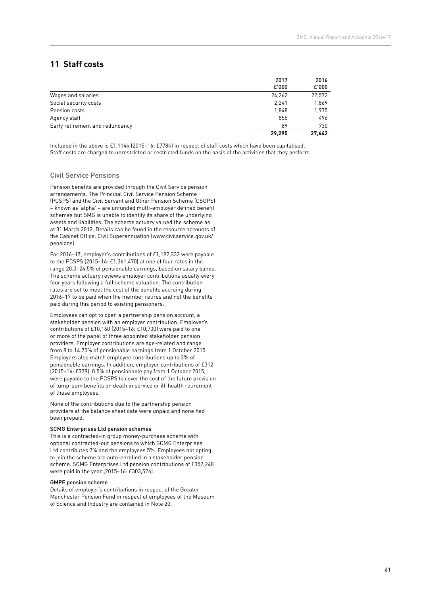## **11 Staff costs**

|                                 | 2017   | 2016   |
|---------------------------------|--------|--------|
|                                 | E'000  | £'000  |
| Wages and salaries              | 24,262 | 22,572 |
| Social security costs           | 2,241  | 1,869  |
| Pension costs                   | 1,848  | 1,975  |
| Agency staff                    | 855    | 496    |
| Early retirement and redundancy | 89     | 730    |
|                                 | 29.295 | 27.642 |

Included in the above is £1,114k (2015–16: £778k) in respect of staff costs which have been capitalised. Staff costs are charged to unrestricted or restricted funds on the basis of the activities that they perform.

#### Civil Service Pensions

Pension benefits are provided through the Civil Service pension arrangements. The Principal Civil Service Pension Scheme (PCSPS) and the Civil Servant and Other Pension Scheme (CSOPS) – known as 'alpha' – are unfunded multi-employer defined benefit schemes but SMG is unable to identify its share of the underlying assets and liabilities. The scheme actuary valued the scheme as at 31 March 2012. Details can be found in the resource accounts of the Cabinet Office: Civil Superannuation ([www.civilservice.gov.uk/](http://www.civilservice.gov.uk/pensions) [pensions\)](http://www.civilservice.gov.uk/pensions).

For 2016–17, employer's contributions of £1,192,333 were payable to the PCSPS (2015–16: £1,361,470) at one of four rates in the range 20.0–24.5% of pensionable earnings, based on salary bands. The scheme actuary reviews employer contributions usually every four years following a full scheme valuation. The contribution rates are set to meet the cost of the benefits accruing during 2016–17 to be paid when the member retires and not the benefits paid during this period to existing pensioners.

Employees can opt to open a partnership pension account, a stakeholder pension with an employer contribution. Employer's contributions of £10,160 (2015–16: £10,700) were paid to one or more of the panel of three appointed stakeholder pension providers. Employer contributions are age-related and range from 8 to 14.75% of pensionable earnings from 1 October 2015. Employers also match employee contributions up to 3% of pensionable earnings. In addition, employer contributions of £312 (2015–16: £379), 0.5% of pensionable pay from 1 October 2015, were payable to the PCSPS to cover the cost of the future provision of lump-sum benefits on death in service or ill-health retirement of these employees.

None of the contributions due to the partnership pension providers at the balance sheet date were unpaid and none had been prepaid.

#### SCMG Enterprises Ltd pension schemes

This is a contracted-in group money-purchase scheme with optional contracted-out pensions to which SCMG Enterprises Ltd contributes 7% and the employees 5%. Employees not opting to join the scheme are auto-enrolled in a stakeholder pension scheme. SCMG Enterprises Ltd pension contributions of £357,248 were paid in the year (2015–16: £303,526).

#### GMPF pension scheme

Details of employer's contributions in respect of the Greater Manchester Pension Fund in respect of employees of the Museum of Science and Industry are contained in Note 20.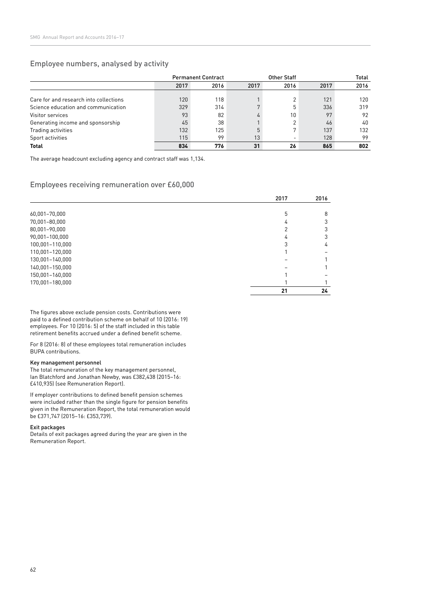## Employee numbers, analysed by activity

|                                        | <b>Permanent Contract</b> |      |      | <b>Other Staff</b> | Total |      |
|----------------------------------------|---------------------------|------|------|--------------------|-------|------|
|                                        | 2017                      | 2016 | 2017 | 2016               | 2017  | 2016 |
|                                        |                           |      |      |                    |       |      |
| Care for and research into collections | 120                       | 118  |      | C                  | 121   | 120  |
| Science education and communication    | 329                       | 314  |      | 5                  | 336   | 319  |
| Visitor services                       | 93                        | 82   |      | 10                 | 97    | 92   |
| Generating income and sponsorship      | 45                        | 38   |      | $\overline{2}$     | 46    | 40   |
| Trading activities                     | 132                       | 125  |      | 7                  | 137   | 132  |
| Sport activities                       | 115                       | 99   | 13   |                    | 128   | 99   |
| <b>Total</b>                           | 834                       | 776  | 31   | 26                 | 865   | 802  |

The average headcount excluding agency and contract staff was 1,134.

## Employees receiving remuneration over £60,000

|                 | 2017 | 2016 |
|-----------------|------|------|
|                 |      |      |
| 60,001-70,000   | 5    | 8    |
| 70,001-80,000   | 4    | 3    |
| 80,001-90,000   |      | 3    |
| 90,001-100,000  | 4    | 3    |
| 100,001-110,000 | 3    | 4    |
| 110,001-120,000 |      |      |
| 130,001-140,000 |      |      |
| 140,001-150,000 |      |      |
| 150,001-160,000 |      |      |
| 170,001-180,000 |      |      |
|                 | 21   | 24   |

The figures above exclude pension costs. Contributions were paid to a defined contribution scheme on behalf of 10 (2016: 19) employees. For 10 (2016: 5) of the staff included in this table retirement benefits accrued under a defined benefit scheme.

For 8 (2016: 8) of these employees total remuneration includes BUPA contributions.

#### Key management personnel

The total remuneration of the key management personnel, Ian Blatchford and Jonathan Newby, was £382,438 (2015–16: £410,935) (see Remuneration Report).

If employer contributions to defined benefit pension schemes were included rather than the single figure for pension benefits given in the Remuneration Report, the total remuneration would be £371,747 (2015–16: £353,739).

#### Exit packages

Details of exit packages agreed during the year are given in the Remuneration Report.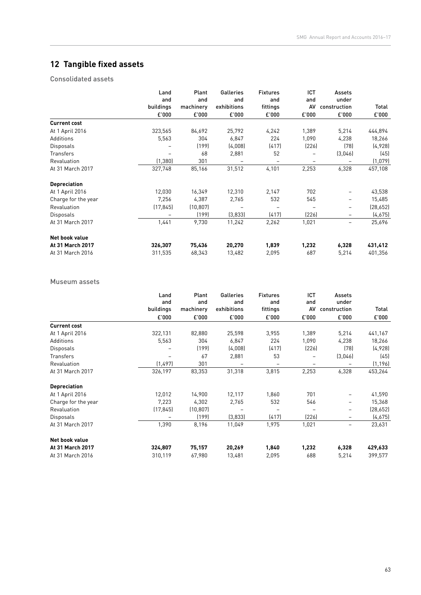## **12 Tangible fixed assets**

Consolidated assets

|                     | Land      | Plant     | Galleries   | <b>Fixtures</b> | ICT   | Assets       |           |
|---------------------|-----------|-----------|-------------|-----------------|-------|--------------|-----------|
|                     | and       | and       | and         | and             | and   | under        |           |
|                     | buildings | machinery | exhibitions | fittings        | AV    | construction | Total     |
|                     | £'000     | £'000     | £'000       | £'000           | £'000 | £'000        | £'000     |
| <b>Current cost</b> |           |           |             |                 |       |              |           |
| At 1 April 2016     | 323,565   | 84,692    | 25,792      | 4,242           | 1,389 | 5,214        | 444,894   |
| Additions           | 5,563     | 304       | 6,847       | 224             | 1,090 | 4,238        | 18,266    |
| <b>Disposals</b>    |           | (199)     | (4,008)     | (417)           | (226) | (78)         | (4,928)   |
| <b>Transfers</b>    |           | 68        | 2,881       | 52              |       | (3,046)      | (45)      |
| Revaluation         | (1, 380)  | 301       |             | -               | -     |              | (1,079)   |
| At 31 March 2017    | 327,748   | 85,166    | 31,512      | 4,101           | 2,253 | 6,328        | 457,108   |
| <b>Depreciation</b> |           |           |             |                 |       |              |           |
| At 1 April 2016     | 12,030    | 16,349    | 12,310      | 2,147           | 702   |              | 43,538    |
| Charge for the year | 7,256     | 4,387     | 2,765       | 532             | 545   | Ξ.           | 15,485    |
| Revaluation         | (17, 845) | (10, 807) |             |                 |       | -            | (28, 652) |
| <b>Disposals</b>    |           | (199)     | (3,833)     | (417)           | (226) | Ξ.           | (4,675)   |
| At 31 March 2017    | 1,441     | 9,730     | 11,242      | 2,262           | 1,021 |              | 25,696    |
| Net book value      |           |           |             |                 |       |              |           |
| At 31 March 2017    | 326,307   | 75,436    | 20,270      | 1,839           | 1,232 | 6,328        | 431,412   |
| At 31 March 2016    | 311,535   | 68,343    | 13,482      | 2,095           | 687   | 5,214        | 401,356   |

#### Museum assets

|                     | Land<br>and<br>buildings | Plant<br>and<br>machinery | Galleries<br>and<br>exhibitions | <b>Fixtures</b><br>and<br>fittings | ICT<br>and<br>AV | Assets<br>under<br>construction | Total     |
|---------------------|--------------------------|---------------------------|---------------------------------|------------------------------------|------------------|---------------------------------|-----------|
|                     | £'000                    | £'000                     | £'000                           | £'000                              | £'000            | £'000                           | £'000     |
| <b>Current cost</b> |                          |                           |                                 |                                    |                  |                                 |           |
| At 1 April 2016     | 322,131                  | 82,880                    | 25,598                          | 3,955                              | 1,389            | 5,214                           | 441,167   |
| Additions           | 5,563                    | 304                       | 6,847                           | 224                                | 1,090            | 4,238                           | 18,266    |
| <b>Disposals</b>    |                          | (199)                     | (4,008)                         | (417)                              | (226)            | (78)                            | (4,928)   |
| Transfers           |                          | 67                        | 2,881                           | 53                                 |                  | (3,046)                         | (45)      |
| Revaluation         | (1, 497)                 | 301                       |                                 | $\overline{\phantom{0}}$           | -                |                                 | (1, 196)  |
| At 31 March 2017    | 326,197                  | 83,353                    | 31,318                          | 3,815                              | 2,253            | 6,328                           | 453,264   |
| <b>Depreciation</b> |                          |                           |                                 |                                    |                  |                                 |           |
| At 1 April 2016     | 12,012                   | 14,900                    | 12,117                          | 1,860                              | 701              |                                 | 41,590    |
| Charge for the year | 7,223                    | 4,302                     | 2,765                           | 532                                | 546              |                                 | 15,368    |
| Revaluation         | (17, 845)                | (10, 807)                 |                                 |                                    | $\overline{a}$   | -                               | (28, 652) |
| <b>Disposals</b>    |                          | (199)                     | (3,833)                         | (417)                              | (226)            | -                               | (4,675)   |
| At 31 March 2017    | 1,390                    | 8,196                     | 11,049                          | 1,975                              | 1,021            | Ξ.                              | 23,631    |
| Net book value      |                          |                           |                                 |                                    |                  |                                 |           |
| At 31 March 2017    | 324,807                  | 75,157                    | 20,269                          | 1,840                              | 1,232            | 6,328                           | 429,633   |
| At 31 March 2016    | 310,119                  | 67,980                    | 13,481                          | 2,095                              | 688              | 5,214                           | 399,577   |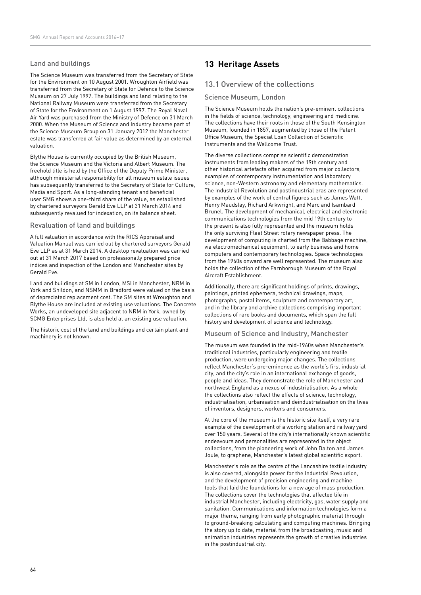### Land and buildings

The Science Museum was transferred from the Secretary of State for the Environment on 10 August 2001. Wroughton Airfield was transferred from the Secretary of State for Defence to the Science Museum on 27 July 1997. The buildings and land relating to the National Railway Museum were transferred from the Secretary of State for the Environment on 1 August 1997. The Royal Naval Air Yard was purchased from the Ministry of Defence on 31 March 2000. When the Museum of Science and Industry became part of the Science Museum Group on 31 January 2012 the Manchester estate was transferred at fair value as determined by an external valuation.

Blythe House is currently occupied by the British Museum, the Science Museum and the Victoria and Albert Museum. The freehold title is held by the Office of the Deputy Prime Minister, although ministerial responsibility for all museum estate issues has subsequently transferred to the Secretary of State for Culture, Media and Sport. As a long-standing tenant and beneficial user SMG shows a one-third share of the value, as established by chartered surveyors Gerald Eve LLP at 31 March 2014 and subsequently revalued for indexation, on its balance sheet.

#### Revaluation of land and buildings

A full valuation in accordance with the RICS Appraisal and Valuation Manual was carried out by chartered surveyors Gerald Eve LLP as at 31 March 2014. A desktop revaluation was carried out at 31 March 2017 based on professionally prepared price indices and inspection of the London and Manchester sites by Gerald Eve.

Land and buildings at SM in London, MSI in Manchester, NRM in York and Shildon, and NSMM in Bradford were valued on the basis of depreciated replacement cost. The SM sites at Wroughton and Blythe House are included at existing use valuations. The Concrete Works, an undeveloped site adjacent to NRM in York, owned by SCMG Enterprises Ltd, is also held at an existing use valuation.

The historic cost of the land and buildings and certain plant and machinery is not known.

## **13 Heritage Assets**

### 13.1 Overview of the collections

#### Science Museum, London

The Science Museum holds the nation's pre-eminent collections in the fields of science, technology, engineering and medicine. The collections have their roots in those of the South Kensington Museum, founded in 1857, augmented by those of the Patent Office Museum, the Special Loan Collection of Scientific Instruments and the Wellcome Trust.

The diverse collections comprise scientific demonstration instruments from leading makers of the 19th century and other historical artefacts often acquired from major collectors, examples of contemporary instrumentation and laboratory science, non-Western astronomy and elementary mathematics. The Industrial Revolution and postindustrial eras are represented by examples of the work of central figures such as James Watt, Henry Maudslay, Richard Arkwright, and Marc and Isambard Brunel. The development of mechanical, electrical and electronic communications technologies from the mid 19th century to the present is also fully represented and the museum holds the only surviving Fleet Street rotary newspaper press. The development of computing is charted from the Babbage machine, via electromechanical equipment, to early business and home computers and contemporary technologies. Space technologies from the 1960s onward are well represented. The museum also holds the collection of the Farnborough Museum of the Royal Aircraft Establishment.

Additionally, there are significant holdings of prints, drawings, paintings, printed ephemera, technical drawings, maps, photographs, postal items, sculpture and contemporary art, and in the library and archive collections comprising important collections of rare books and documents, which span the full history and development of science and technology.

#### Museum of Science and Industry, Manchester

The museum was founded in the mid-1960s when Manchester's traditional industries, particularly engineering and textile production, were undergoing major changes. The collections reflect Manchester's pre-eminence as the world's first industrial city, and the city's role in an international exchange of goods, people and ideas. They demonstrate the role of Manchester and northwest England as a nexus of industrialisation. As a whole the collections also reflect the effects of science, technology, industrialisation, urbanisation and deindustrialisation on the lives of inventors, designers, workers and consumers.

At the core of the museum is the historic site itself, a very rare example of the development of a working station and railway yard over 150 years. Several of the city's internationally known scientific endeavours and personalities are represented in the object collections, from the pioneering work of John Dalton and James Joule, to graphene, Manchester's latest global scientific export.

Manchester's role as the centre of the Lancashire textile industry is also covered, alongside power for the Industrial Revolution, and the development of precision engineering and machine tools that laid the foundations for a new age of mass production. The collections cover the technologies that affected life in industrial Manchester, including electricity, gas, water supply and sanitation. Communications and information technologies form a major theme, ranging from early photographic material through to ground-breaking calculating and computing machines. Bringing the story up to date, material from the broadcasting, music and animation industries represents the growth of creative industries in the postindustrial city.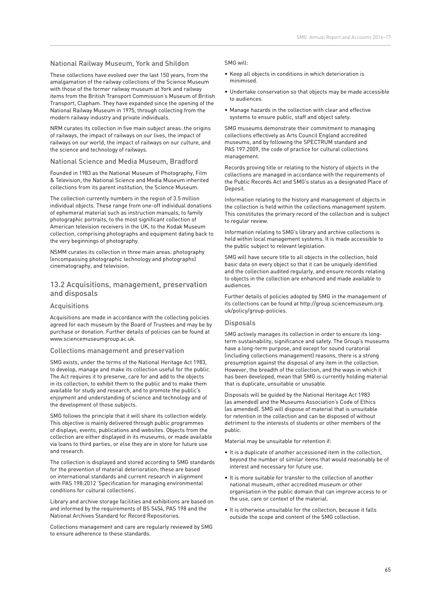#### National Railway Museum, York and Shildon

These collections have evolved over the last 150 years, from the amalgamation of the railway collections of the Science Museum with those of the former railway museum at York and railway items from the British Transport Commission's Museum of British Transport, Clapham. They have expanded since the opening of the National Railway Museum in 1975, through collecting from the modern railway industry and private individuals.

NRM curates its collection in five main subject areas: the origins of railways, the impact of railways on our lives, the impact of railways on our world, the impact of railways on our culture, and the science and technology of railways.

#### National Science and Media Museum, Bradford

Founded in 1983 as the National Museum of Photography, Film & Television, the National Science and Media Museum inherited collections from its parent institution, the Science Museum.

The collection currently numbers in the region of 3.5 million individual objects. These range from one-off individual donations of ephemeral material such as instruction manuals, to family photographic portraits, to the most significant collection of American television receivers in the UK, to the Kodak Museum collection, comprising photographs and equipment dating back to the very beginnings of photography.

NSMM curates its collection in three main areas: photography (encompassing photographic technology and photographs) cinematography, and television.

#### 13.2 Acquisitions, management, preservation and disposals

#### Acquisitions

Acquisitions are made in accordance with the collecting policies agreed for each museum by the Board of Trustees and may be by purchase or donation. Further details of policies can be found at www.sciencemuseumgroup.ac.uk.

#### Collections management and preservation

SMG exists, under the terms of the National Heritage Act 1983, to develop, manage and make its collection useful for the public. The Act requires it to preserve, care for and add to the objects in its collection, to exhibit them to the public and to make them available for study and research, and to promote the public's enjoyment and understanding of science and technology and of the development of those subjects.

SMG follows the principle that it will share its collection widely. This objective is mainly delivered through public programmes of displays, events, publications and websites. Objects from the collection are either displayed in its museums, or made available via loans to third parties, or else they are in store for future use and research.

The collection is displayed and stored according to SMG standards for the prevention of material deterioration; these are based on international standards and current research in alignment with PAS 198:2012 'Specification for managing environmental conditions for cultural collections'.

Library and archive storage facilities and exhibitions are based on and informed by the requirements of BS 5454, PAS 198 and the National Archives Standard for Record Repositories.

Collections management and care are regularly reviewed by SMG to ensure adherence to these standards.

#### SMG will:

- Keep all objects in conditions in which deterioration is minimised.
- Undertake conservation so that objects may be made accessible to audiences.
- Manage hazards in the collection with clear and effective systems to ensure public, staff and object safety.

SMG museums demonstrate their commitment to managing collections effectively as Arts Council England accredited museums, and by following the SPECTRUM standard and PAS 197:2009, the code of practice for cultural collections management.

Records proving title or relating to the history of objects in the collections are managed in accordance with the requirements of the Public Records Act and SMG's status as a designated Place of Deposit.

Information relating to the history and management of objects in the collection is held within the collections management system. This constitutes the primary record of the collection and is subject to regular review.

Information relating to SMG's library and archive collections is held within local management systems. It is made accessible to the public subject to relevant legislation.

SMG will have secure title to all objects in the collection, hold basic data on every object so that it can be uniquely identified and the collection audited regularly, and ensure records relating to objects in the collection are enhanced and made available to audiences.

Further details of policies adopted by SMG in the management of its collections can be found at http://group.sciencemuseum.org. uk/policy/group-policies.

#### **Disposals**

SMG actively manages its collection in order to ensure its longterm sustainability, significance and safety. The Group's museums have a long-term purpose, and except for sound curatorial (including collections management) reasons, there is a strong presumption against the disposal of any item in the collection. However, the breadth of the collection, and the ways in which it has been developed, mean that SMG is currently holding material that is duplicate, unsuitable or unusable.

Disposals will be guided by the National Heritage Act 1983 (as amended) and the Museums Association's Code of Ethics (as amended). SMG will dispose of material that is unsuitable for retention in the collection and can be disposed of without detriment to the interests of students or other members of the public.

Material may be unsuitable for retention if:

- It is a duplicate of another accessioned item in the collection, beyond the number of similar items that would reasonably be of interest and necessary for future use.
- It is more suitable for transfer to the collection of another national museum, other accredited museum or other organisation in the public domain that can improve access to or the use, care or context of the material.
- It is otherwise unsuitable for the collection, because it falls outside the scope and content of the SMG collection.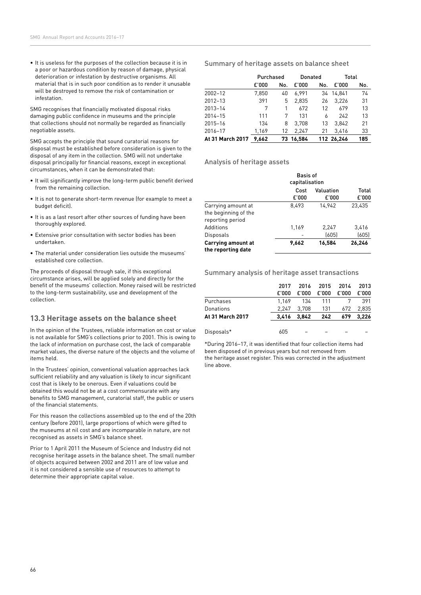• It is useless for the purposes of the collection because it is in a poor or hazardous condition by reason of damage, physical deterioration or infestation by destructive organisms. All material that is in such poor condition as to render it unusable will be destroyed to remove the risk of contamination or infestation.

SMG recognises that financially motivated disposal risks damaging public confidence in museums and the principle that collections should not normally be regarded as financially negotiable assets.

SMG accepts the principle that sound curatorial reasons for disposal must be established before consideration is given to the disposal of any item in the collection. SMG will not undertake disposal principally for financial reasons, except in exceptional circumstances, when it can be demonstrated that:

- It will significantly improve the long-term public benefit derived from the remaining collection.
- It is not to generate short-term revenue (for example to meet a budget deficit).
- It is as a last resort after other sources of funding have been thoroughly explored.
- Extensive prior consultation with sector bodies has been undertaken.
- The material under consideration lies outside the museums' established core collection.

The proceeds of disposal through sale, if this exceptional circumstance arises, will be applied solely and directly for the benefit of the museums' collection. Money raised will be restricted to the long-term sustainability, use and development of the collection.

## **13.3 Heritage assets on the balance sheet**

In the opinion of the Trustees, reliable information on cost or value is not available for SMG's collections prior to 2001. This is owing to the lack of information on purchase cost, the lack of comparable market values, the diverse nature of the objects and the volume of items held.

In the Trustees' opinion, conventional valuation approaches lack sufficient reliability and any valuation is likely to incur significant cost that is likely to be onerous. Even if valuations could be obtained this would not be at a cost commensurate with any benefits to SMG management, curatorial staff, the public or users of the financial statements.

For this reason the collections assembled up to the end of the 20th century (before 2001), large proportions of which were gifted to the museums at nil cost and are incomparable in nature, are not recognised as assets in SMG's balance sheet.

Prior to 1 April 2011 the Museum of Science and Industry did not recognise heritage assets in the balance sheet. The small number of objects acquired between 2002 and 2011 are of low value and it is not considered a sensible use of resources to attempt to determine their appropriate capital value.

#### Summary of heritage assets on balance sheet

|                  | Purchased |     | Donated   |     |            | Total |  |
|------------------|-----------|-----|-----------|-----|------------|-------|--|
|                  | £'000     | No. | £'000     | No. | £'000      | No.   |  |
| $2002 - 12$      | 7,850     | 40  | 6.991     |     | 34 14.841  | 74    |  |
| $2012 - 13$      | 391       | 5   | 2.835     | 26  | 3.226      | 31    |  |
| $2013 - 14$      | 7         |     | 672       | 12  | 679        | 13    |  |
| 2014-15          | 111       | 7   | 131       | 6   | 242        | 13    |  |
| 2015-16          | 134       | 8   | 3.708     | 13  | 3.842      | 21    |  |
| 2016-17          | 1.169     | 12  | 2.247     | 21  | 3.416      | 33    |  |
| At 31 March 2017 | 9.662     |     | 73 16.584 |     | 112 26.246 | 185   |  |

#### Analysis of heritage assets

|                                                                | <b>Basis of</b><br>capitalisation |                    |                |
|----------------------------------------------------------------|-----------------------------------|--------------------|----------------|
|                                                                | Cost<br>£'000                     | Valuation<br>£'000 | Total<br>£'000 |
| Carrying amount at<br>the beginning of the<br>reporting period | 8.493                             | 14.942             | 23.435         |
| Additions                                                      | 1,169                             | 2,247              | 3,416          |
| Disposals                                                      |                                   | (605)              | (605)          |
| <b>Carrying amount at</b><br>the reporting date                | 9.662                             | 16.584             | 26,246         |

#### Summary analysis of heritage asset transactions

|                  | 2017  | 2016  | 2015  | 2014  | 2013  |
|------------------|-------|-------|-------|-------|-------|
|                  | £'000 | £'000 | £'000 | £'000 | £'000 |
| Purchases        | 1.169 | 134   | 111   |       | 391   |
| Donations        | 2.247 | 3.708 | 131   | 672   | 2.835 |
| At 31 March 2017 | 3.416 | 3.842 | 242   | 679   | 3.226 |
|                  |       |       |       |       |       |
| Disposals*       | 605   |       |       |       |       |

\*During 2016–17, it was identified that four collection items had been disposed of in previous years but not removed from the heritage asset register. This was corrected in the adjustment line above.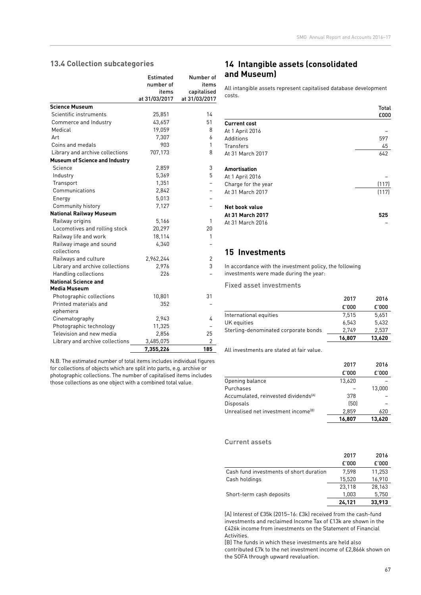### **13.4 Collection subcategories**

|                                        | <b>Estimated</b>       | Number of                    |
|----------------------------------------|------------------------|------------------------------|
|                                        | number of              | items                        |
|                                        | items<br>at 31/03/2017 | capitalised<br>at 31/03/2017 |
| <b>Science Museum</b>                  |                        |                              |
| Scientific instruments                 | 25,851                 | 14                           |
|                                        |                        | 51                           |
| Commerce and Industry<br>Medical       | 43,657                 |                              |
| Art                                    | 19,059                 | 8<br>6                       |
|                                        | 7,307                  | 1                            |
| Coins and medals                       | 903                    |                              |
| Library and archive collections        | 707,173                | 8                            |
| <b>Museum of Science and Industry</b>  |                        |                              |
| Science                                | 2,859                  | 3                            |
| Industry                               | 5,369                  | 5                            |
| Transport                              | 1,351                  |                              |
| Communications                         | 2,842                  |                              |
| Energy                                 | 5,013                  |                              |
| Community history                      | 7,127                  |                              |
| <b>National Railway Museum</b>         |                        |                              |
| Railway origins                        | 5,166                  | 1                            |
| Locomotives and rolling stock          | 20,297                 | 20                           |
| Railway life and work                  | 18,114                 | 1                            |
| Railway image and sound<br>collections | 4,340                  |                              |
| Railways and culture                   | 2,962,244              | 2                            |
| Library and archive collections        | 2.976                  | 3                            |
| Handling collections                   | 226                    |                              |
| <b>National Science and</b>            |                        |                              |
| <b>Media Museum</b>                    |                        |                              |
| Photographic collections               | 10,801                 | 31                           |
| Printed materials and                  | 352                    |                              |
| ephemera                               |                        |                              |
| Cinematography                         | 2,943                  | 4                            |
| Photographic technology                | 11,325                 |                              |
| Television and new media               | 2,856                  | 25                           |
| Library and archive collections        | 3,485,075              | 2                            |
|                                        | 7,355,226              | 185                          |

N.B. The estimated number of total items includes individual figures for collections of objects which are split into parts, e.g. archive or photographic collections. The number of capitalised items includes those collections as one object with a combined total value.

## **14 Intangible assets (consolidated and Museum)**

All intangible assets represent capitalised database development costs.

|                     | Total<br>£000 |
|---------------------|---------------|
| <b>Current cost</b> |               |
| At 1 April 2016     |               |
| Additions           | 597           |
| Transfers           | 45            |
| At 31 March 2017    | 642           |
| Amortisation        |               |
| At 1 April 2016     |               |
| Charge for the year | (117)         |
| At 31 March 2017    | (117)         |
| Net book value      |               |
| At 31 March 2017    | 525           |
| At 31 March 2016    |               |

## **15 Investments**

In accordance with the investment policy, the following investments were made during the year:

Fixed asset investments

|                                      | 2017   | 2016   |
|--------------------------------------|--------|--------|
|                                      | £'000  | £'000  |
| International equities               | 7.515  | 5.651  |
| UK equities                          | 6.543  | 5.432  |
| Sterling-denominated corporate bonds | 2.749  | 2.537  |
|                                      | 16.807 | 13.620 |

All investments are stated at fair value.

|                                                  | 2017   | 2016   |
|--------------------------------------------------|--------|--------|
|                                                  | £'000  | E'000  |
| Opening balance                                  | 13,620 |        |
| Purchases                                        |        | 13.000 |
| Accumulated, reinvested dividends <sup>[A]</sup> | 378    |        |
| <b>Disposals</b>                                 | (50)   |        |
| Unrealised net investment income <sup>(B)</sup>  | 2.859  | 620    |
|                                                  | 16.807 | 13.620 |

#### Current assets

|                                         | 2017   | 2016   |
|-----------------------------------------|--------|--------|
|                                         | £'000  | £'000  |
| Cash fund investments of short duration | 7.598  | 11,253 |
| Cash holdings                           | 15.520 | 16,910 |
|                                         | 23,118 | 28,163 |
| Short-term cash deposits                | 1.003  | 5,750  |
|                                         | 24.121 | 33,913 |

[A] Interest of £35k (2015–16: £3k) received from the cash-fund investments and reclaimed Income Tax of £13k are shown in the £426k income from investments on the Statement of Financial Activities.

[B] The funds in which these investments are held also contributed £7k to the net investment income of £2,866k shown on the SOFA through upward revaluation.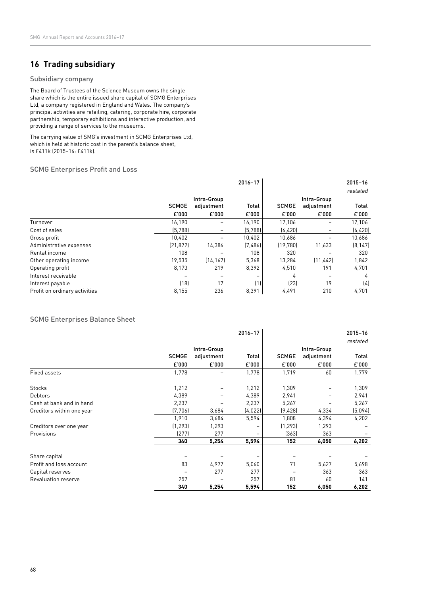## **16 Trading subsidiary**

#### Subsidiary company

The Board of Trustees of the Science Museum owns the single share which is the entire issued share capital of SCMG Enterprises Ltd, a company registered in England and Wales. The company's principal activities are retailing, catering, corporate hire, corporate partnership, temporary exhibitions and interactive production, and providing a range of services to the museums.

The carrying value of SMG's investment in SCMG Enterprises Ltd, which is held at historic cost in the parent's balance sheet, is £411k (2015–16: £411k).

#### SCMG Enterprises Profit and Loss

|                               |              |             | 2016-17  |              |             | 2015-16  |
|-------------------------------|--------------|-------------|----------|--------------|-------------|----------|
|                               |              |             |          |              |             | restated |
|                               |              | Intra-Group |          |              | Intra-Group |          |
|                               | <b>SCMGE</b> | adjustment  | Total    | <b>SCMGE</b> | adjustment  | Total    |
|                               | £'000        | £'000       | £'000    | £'000        | E'000       | £'000    |
| Turnover                      | 16,190       |             | 16,190   | 17,106       |             | 17,106   |
| Cost of sales                 | (5, 788)     |             | (5, 788) | (6, 420)     |             | (6, 420) |
| Gross profit                  | 10.402       |             | 10,402   | 10.686       |             | 10,686   |
| Administrative expenses       | (21, 872)    | 14,386      | (7,486)  | (19, 780)    | 11,633      | [8, 147] |
| Rental income                 | 108          |             | 108      | 320          |             | 320      |
| Other operating income        | 19,535       | (14, 167)   | 5,368    | 13,284       | (11, 442)   | 1,842    |
| Operating profit              | 8,173        | 219         | 8,392    | 4,510        | 191         | 4,701    |
| Interest receivable           |              |             |          | 4            |             | 4        |
| Interest payable              | (18)         | 17          | (1)      | (23)         | 19          | (4)      |
| Profit on ordinary activities | 8,155        | 236         | 8,391    | 4,491        | 210         | 4,701    |

### SCMG Enterprises Balance Sheet

|                           |              |             | 2016-17 |              |             | 2015-16  |
|---------------------------|--------------|-------------|---------|--------------|-------------|----------|
|                           |              |             |         |              |             | restated |
|                           |              | Intra-Group |         |              | Intra-Group |          |
|                           | <b>SCMGE</b> | adjustment  | Total   | <b>SCMGE</b> | adjustment  | Total    |
|                           | £'000        | £'000       | £'000   | £'000        | £'000       | £'000    |
| Fixed assets              | 1,778        |             | 1,778   | 1,719        | 60          | 1,779    |
| <b>Stocks</b>             | 1,212        |             | 1,212   | 1,309        |             | 1,309    |
| <b>Debtors</b>            | 4,389        |             | 4,389   | 2,941        |             | 2,941    |
| Cash at bank and in hand  | 2,237        |             | 2,237   | 5,267        |             | 5,267    |
| Creditors within one year | (7, 706)     | 3,684       | (4,022) | (9,428)      | 4,334       | (5,094)  |
|                           | 1,910        | 3,684       | 5,594   | 1,808        | 4,394       | 6,202    |
| Creditors over one year   | (1, 293)     | 1,293       |         | (1, 293)     | 1,293       |          |
| Provisions                | (277)        | 277         |         | (363)        | 363         |          |
|                           | 340          | 5,254       | 5,594   | 152          | 6,050       | 6,202    |
| Share capital             |              |             |         |              |             |          |
| Profit and loss account   | 83           | 4,977       | 5,060   | 71           | 5,627       | 5,698    |
| Capital reserves          |              | 277         | 277     |              | 363         | 363      |
| Revaluation reserve       | 257          |             | 257     | 81           | 60          | 141      |
|                           | 340          | 5,254       | 5,594   | 152          | 6,050       | 6,202    |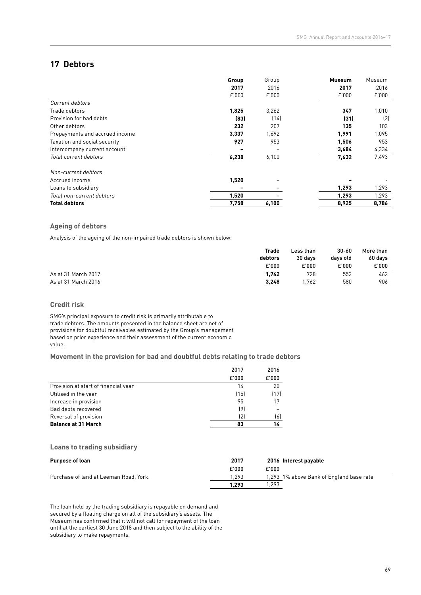## **17 Debtors**

|                                | Group<br>2017 | Group<br>2016 | <b>Museum</b><br>2017 | Museum<br>2016 |
|--------------------------------|---------------|---------------|-----------------------|----------------|
|                                | E'000         | E'000         | £'000                 | £'000          |
| Current debtors                |               |               |                       |                |
| Trade debtors                  | 1,825         | 3,262         | 347                   | 1,010          |
| Provision for bad debts        | [83]          | (14)          | (31)                  | (2)            |
| Other debtors                  | 232           | 207           | 135                   | 103            |
| Prepayments and accrued income | 3,337         | 1,692         | 1,991                 | 1,095          |
| Taxation and social security   | 927           | 953           | 1,506                 | 953            |
| Intercompany current account   | -             |               | 3,684                 | 4,334          |
| Total current debtors          | 6,238         | 6,100         | 7,632                 | 7,493          |
| Non-current debtors            |               |               |                       |                |
| Accrued income                 | 1,520         |               |                       |                |
| Loans to subsidiary            |               |               | 1,293                 | 1,293          |
| Total non-current debtors      | 1,520         |               | 1,293                 | 1,293          |
| <b>Total debtors</b>           | 7,758         | 6,100         | 8,925                 | 8,786          |

### **Ageing of debtors**

Analysis of the ageing of the non-impaired trade debtors is shown below:

|                     | Trade   | Less than | $30 - 60$ | More than<br>60 days |
|---------------------|---------|-----------|-----------|----------------------|
|                     | debtors | 30 days   | davs old  |                      |
|                     | £'000   | £'000     | £'000     | £'000                |
| As at 31 March 2017 | 1,742   | 728       | 552       | 462                  |
| As at 31 March 2016 | 3,248   | .762      | 580       | 906                  |

#### **Credit risk**

SMG's principal exposure to credit risk is primarily attributable to trade debtors. The amounts presented in the balance sheet are net of provisions for doubtful receivables estimated by the Group's management based on prior experience and their assessment of the current economic value.

#### **Movement in the provision for bad and doubtful debts relating to trade debtors**

|                                      | 2017  | 2016  |
|--------------------------------------|-------|-------|
|                                      | £'000 | £'000 |
| Provision at start of financial year | 14    | 20    |
| Utilised in the year                 | (15)  | (17)  |
| Increase in provision                | 95    | 17    |
| Bad debts recovered                  | (9)   |       |
| Reversal of provision                | (2)   | (6)   |
| <b>Balance at 31 March</b>           | 83    | 14    |

#### **Loans to trading subsidiary**

| <b>Purpose of loan</b>                 | 2017  | 2016 Interest payable                    |
|----------------------------------------|-------|------------------------------------------|
|                                        | £'000 | £'000                                    |
| Purchase of land at Leeman Road, York. | 1.293 | 1,293 1% above Bank of England base rate |
|                                        | l.293 | .293                                     |

The loan held by the trading subsidiary is repayable on demand and secured by a floating charge on all of the subsidiary's assets. The Museum has confirmed that it will not call for repayment of the loan until at the earliest 30 June 2018 and then subject to the ability of the subsidiary to make repayments.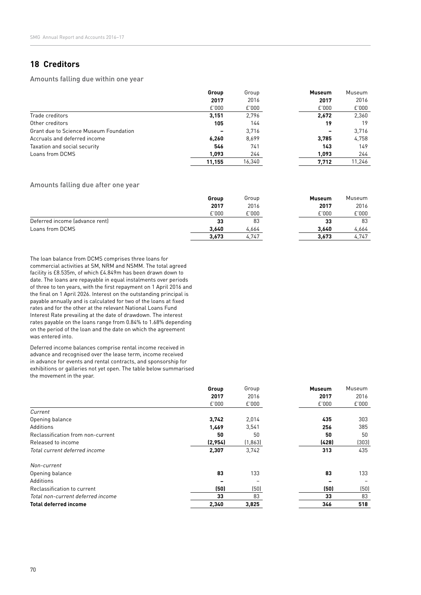## **18 Creditors**

Amounts falling due within one year

|                                               | Group  | Group  | <b>Museum</b> | Museum |
|-----------------------------------------------|--------|--------|---------------|--------|
|                                               | 2017   | 2016   | 2017          | 2016   |
|                                               | E'000  | E'000  | E'000         | E'000  |
| Trade creditors                               | 3,151  | 2.796  | 2.672         | 2,360  |
| Other creditors                               | 105    | 144    | 19            | 19     |
| <b>Grant due to Science Museum Foundation</b> |        | 3.716  |               | 3.716  |
| Accruals and deferred income                  | 6,260  | 8,699  | 3.785         | 4,758  |
| Taxation and social security                  | 546    | 741    | 143           | 149    |
| Loans from DCMS                               | 1.093  | 244    | 1.093         | 244    |
|                                               | 11.155 | 16,340 | 7,712         | 11,246 |

### Amounts falling due after one year

|                                | Group | Group | <b>Museum</b> | Museum |
|--------------------------------|-------|-------|---------------|--------|
|                                | 2017  | 2016  | 2017          | 2016   |
|                                | E'000 | E'000 | E'000         | E'000  |
| Deferred income (advance rent) | 33    | 83    | 33            | 83     |
| Loans from DCMS                | 3.640 | 4,664 | 3.640         | 4.664  |
|                                | 3,673 | 4,747 | 3.673         | 4,747  |

The loan balance from DCMS comprises three loans for commercial activities at SM, NRM and NSMM. The total agreed facility is £8.535m, of which £4.849m has been drawn down to date. The loans are repayable in equal instalments over periods of three to ten years, with the first repayment on 1 April 2016 and the final on 1 April 2026. Interest on the outstanding principal is payable annually and is calculated for two of the loans at fixed rates and for the other at the relevant National Loans Fund Interest Rate prevailing at the date of drawdown. The interest rates payable on the loans range from 0.84% to 1.68% depending on the period of the loan and the date on which the agreement was entered into.

Deferred income balances comprise rental income received in advance and recognised over the lease term, income received in advance for events and rental contracts, and sponsorship for exhibitions or galleries not yet open. The table below summarised the movement in the year.

|                                   | Group   | Group    | <b>Museum</b> | Museum |
|-----------------------------------|---------|----------|---------------|--------|
|                                   | 2017    | 2016     | 2017          | 2016   |
|                                   | E'000   | E'000    | £'000         | E'000  |
| Current                           |         |          |               |        |
| Opening balance                   | 3,742   | 2,014    | 435           | 303    |
| Additions                         | 1,469   | 3,541    | 256           | 385    |
| Reclassification from non-current | 50      | 50       | 50            | 50     |
| Released to income                | (2,954) | (1, 863) | (428)         | (303)  |
| Total current deferred income     | 2,307   | 3,742    | 313           | 435    |
| Non-current                       |         |          |               |        |
| Opening balance                   | 83      | 133      | 83            | 133    |
| Additions                         |         |          |               |        |
| Reclassification to current       | (50)    | (50)     | (50)          | (50)   |
| Total non-current deferred income | 33      | 83       | 33            | 83     |
| <b>Total deferred income</b>      | 2,340   | 3,825    | 346           | 518    |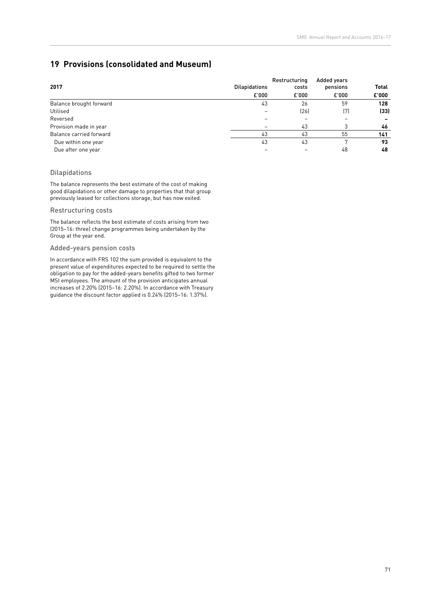# **19 Provisions (consolidated and Museum)**

|                         |                      | Added years |          |              |
|-------------------------|----------------------|-------------|----------|--------------|
| 2017                    | <b>Dilapidations</b> |             | pensions | <b>Total</b> |
|                         | E'000                | £'000       | £'000    | £'000        |
| Balance brought forward | 43                   | 26          | 59       | 128          |
| Utilised                |                      | (26)        | (7)      | (33)         |
| Reversed                |                      | -           |          |              |
| Provision made in year  |                      | 43          |          | 46           |
| Balance carried forward | 43                   | 43          | 55       | 141          |
| Due within one year     | 43                   | 43          |          | 93           |
| Due after one year      |                      |             | 48       | 48           |

### Dilapidations

The balance represents the best estimate of the cost of making good dilapidations or other damage to properties that that group previously leased for collections storage, but has now exited.

### Restructuring costs

The balance reflects the best estimate of costs arising from two (2015–16: three) change programmes being undertaken by the Group at the year end.

### Added-years pension costs

In accordance with FRS 102 the sum provided is equivalent to the present value of expenditures expected to be required to settle the obligation to pay for the added-years benefits gifted to two former MSI employees. The amount of the provision anticipates annual increases of 2.20% (2015–16: 2.20%). In accordance with Treasury guidance the discount factor applied is 0.24% (2015–16: 1.37%).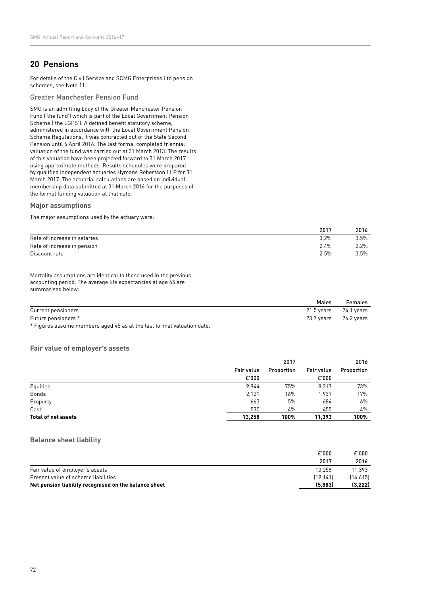## **20 Pensions**

For details of the Civil Service and SCMG Enterprises Ltd pension schemes, see Note 11.

Greater Manchester Pension Fund

SMG is an admitting body of the Greater Manchester Pension Fund ('the fund') which is part of the Local Government Pension Scheme ('the LGPS'). A defined benefit statutory scheme, administered in accordance with the Local Government Pension Scheme Regulations, it was contracted out of the State Second Pension until 6 April 2016. The last formal completed triennial valuation of the fund was carried out at 31 March 2013. The results of this valuation have been projected forward to 31 March 2017 using approximate methods. Results schedules were prepared by qualified independent actuaries Hymans Robertson LLP for 31 March 2017. The actuarial calculations are based on individual membership data submitted at 31 March 2016 for the purposes of the formal funding valuation at that date.

#### **Major assumptions**

The major assumptions used by the actuary were:

|                              | 2017    | 2016    |
|------------------------------|---------|---------|
| Rate of increase in salaries | $3.2\%$ | $3.5\%$ |
| Rate of increase in pension  | $2.4\%$ | 2.2%    |
| Discount rate                | $2.5\%$ | $3.5\%$ |

Mortality assumptions are identical to those used in the previous accounting period. The average life expectancies at age 65 are summarised below:

|                     | Males                     | <b>Females</b> |
|---------------------|---------------------------|----------------|
| Current pensioners  | $21.5$ years $24.1$ years |                |
| Future pensioners * | 23.7 years 26.2 years     |                |
| .                   |                           |                |

\* Figures assume members aged 45 as at the last formal valuation date.

### **Fair value of employer's assets**

|                            |            | 2017       |            |            |
|----------------------------|------------|------------|------------|------------|
|                            | Fair value | Proportion | Fair value | Proportion |
|                            | E'000      |            | £'000      |            |
| Equities                   | 9.944      | 75%        | 8,317      | 73%        |
| <b>Bonds</b>               | 2,121      | 16%        | 1,937      | 17%        |
| Property                   | 663        | 5%         | 684        | 6%         |
| Cash                       | 530        | 4%         | 455        | 4%         |
| <b>Total of net assets</b> | 13.258     | 100%       | 11.393     | 100%       |

### **Balance sheet liability**

|                                                       | E'000    | £'000    |
|-------------------------------------------------------|----------|----------|
|                                                       | 2017     | 2016     |
| Fair value of employer's assets                       | 13.258   | 11.393   |
| Present value of scheme liabilities                   | (19.141) | (14.615) |
| Net pension liability recognised on the balance sheet | (5,883)  | (3,222)  |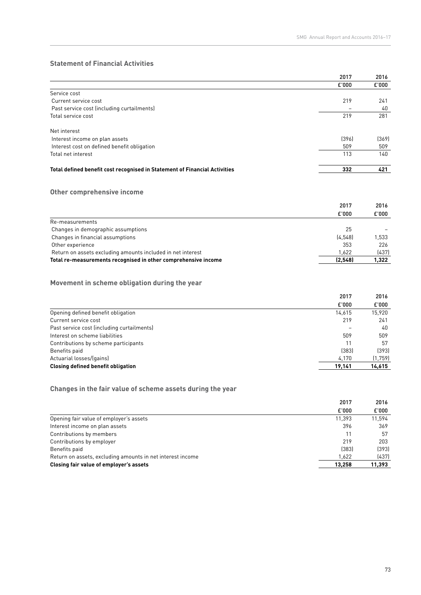## **Statement of Financial Activities**

|                                                                            | 2017  | 2016  |
|----------------------------------------------------------------------------|-------|-------|
|                                                                            | £'000 | £'000 |
| Service cost                                                               |       |       |
| Current service cost                                                       | 219   | 241   |
| Past service cost (including curtailments)                                 |       | 40    |
| Total service cost                                                         | 219   | 281   |
| Net interest                                                               |       |       |
| Interest income on plan assets                                             | [396] | (369) |
| Interest cost on defined benefit obligation                                | 509   | 509   |
| Total net interest                                                         | 113   | 140   |
| Total defined benefit cost recognised in Statement of Financial Activities | 332   | 421   |

# **Other comprehensive income**

|         | 2016  |
|---------|-------|
| £'000   | £'000 |
|         |       |
| 25      |       |
| [4.548] | 1.533 |
| 353     | 226   |
| 1.622   | (437) |
| (2.548) | 1,322 |
|         | 2017  |

## **Movement in scheme obligation during the year**

|                                            | 2017   | 2016     |
|--------------------------------------------|--------|----------|
|                                            | £'000  | E'000    |
| Opening defined benefit obligation         | 14.615 | 15,920   |
| Current service cost                       | 219    | 241      |
| Past service cost (including curtailments) |        | 40       |
| Interest on scheme liabilities             | 509    | 509      |
| Contributions by scheme participants       | 11     | 57       |
| Benefits paid                              | [383]  | [393]    |
| Actuarial losses/(gains)                   | 4.170  | (1, 759) |
| <b>Closing defined benefit obligation</b>  | 19,141 | 14,615   |

# **Changes in the fair value of scheme assets during the year**

|                                                            | 2017   | 2016   |
|------------------------------------------------------------|--------|--------|
|                                                            | £'000  | £'000  |
| Opening fair value of employer's assets                    | 11.393 | 11.594 |
| Interest income on plan assets                             | 396    | 369    |
| Contributions by members                                   | 11     | 57     |
| Contributions by employer                                  | 219    | 203    |
| Benefits paid                                              | [383]  | [393]  |
| Return on assets, excluding amounts in net interest income | 1.622  | (437)  |
| Closing fair value of employer's assets                    | 13.258 | 11,393 |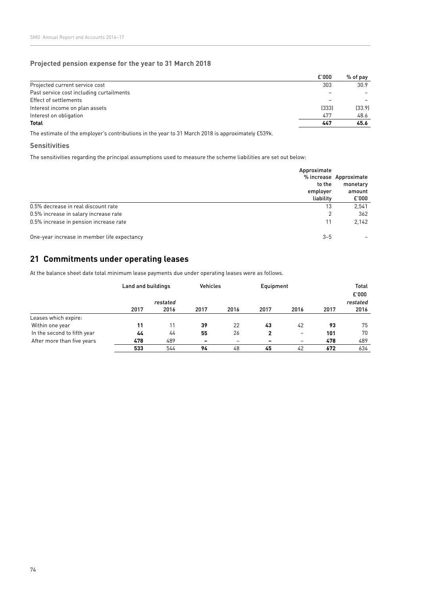### **Projected pension expense for the year to 31 March 2018**

|                                          | £'000 | % of pav |
|------------------------------------------|-------|----------|
| Projected current service cost           | 303   | 30.9     |
| Past service cost including curtailments |       |          |
| Effect of settlements                    |       |          |
| Interest income on plan assets           | (333) | [33.9]   |
| Interest on obligation                   | 477   | 48.6     |
| <b>Total</b>                             | 447   | 45.6     |

The estimate of the employer's contributions in the year to 31 March 2018 is approximately £539k.

### **Sensitivities**

The sensitivities regarding the principal assumptions used to measure the scheme liabilities are set out below:

|                                             | Approximate<br>to the<br>employer | % increase Approximate<br>monetary<br>amount |
|---------------------------------------------|-----------------------------------|----------------------------------------------|
|                                             | liability                         | £'000                                        |
| 0.5% decrease in real discount rate         | 13                                | 2,541                                        |
| 0.5% increase in salary increase rate       | 2                                 | 362                                          |
| 0.5% increase in pension increase rate      | 11                                | 2,142                                        |
| One-year increase in member life expectancy | $3 - 5$                           |                                              |

# **21 Commitments under operating leases**

At the balance sheet date total minimum lease payments due under operating leases were as follows.

|                             | Land and buildings |      | <b>Vehicles</b>          |      | Equipment                |                          | <b>Total</b><br>£'000 |          |
|-----------------------------|--------------------|------|--------------------------|------|--------------------------|--------------------------|-----------------------|----------|
|                             | restated           |      |                          |      |                          |                          |                       | restated |
|                             | 2017               | 2016 | 2017                     | 2016 | 2017                     | 2016                     | 2017                  | 2016     |
| Leases which expire:        |                    |      |                          |      |                          |                          |                       |          |
| Within one year             | 11                 | 11   | 39                       | 22   | 43                       | 42                       | 93                    | 75       |
| In the second to fifth year | 44                 | 44   | 55                       | 26   |                          | -                        | 101                   | 70       |
| After more than five years  | 478                | 489  | $\overline{\phantom{a}}$ | -    | $\overline{\phantom{0}}$ | $\overline{\phantom{0}}$ | 478                   | 489      |
|                             | 533                | 544  | 94                       | 48   | 45                       | 42                       | 672                   | 634      |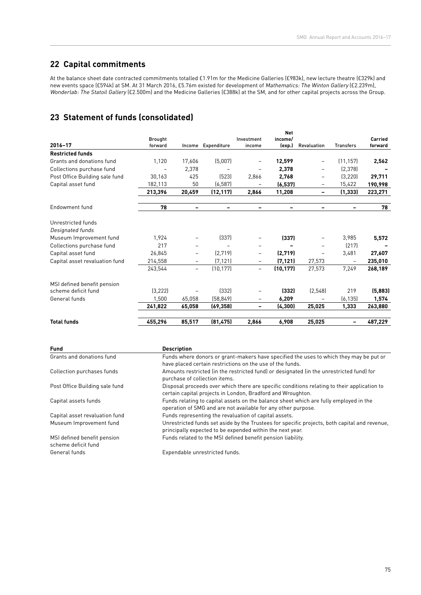# **22 Capital commitments**

At the balance sheet date contracted commitments totalled £1.91m for the Medicine Galleries (£983k), new lecture theatre (£329k) and new events space (£594k) at SM. At 31 March 2016, £5.76m existed for development of Mathematics: The Winton Gallery (£2.239m), Wonderlab: The Statoil Gallery (£2.500m) and the Medicine Galleries (£388k) at the SM, and for other capital projects across the Group.

# **23 Statement of funds (consolidated)**

|                                |                |        |             |            | <b>Net</b> |             |                  |         |
|--------------------------------|----------------|--------|-------------|------------|------------|-------------|------------------|---------|
|                                | <b>Brought</b> |        |             | Investment | income/    |             |                  | Carried |
| 2016-17                        | forward        | Income | Expenditure | income     | (exp.)     | Revaluation | <b>Transfers</b> | forward |
| <b>Restricted funds</b>        |                |        |             |            |            |             |                  |         |
| Grants and donations fund      | 1.120          | 17,606 | (5,007)     |            | 12,599     | -           | (11, 157)        | 2,562   |
| Collections purchase fund      |                | 2,378  |             |            | 2,378      | -           | (2, 378)         |         |
| Post Office Building sale fund | 30,163         | 425    | (523)       | 2,866      | 2,768      | -           | (3, 220)         | 29,711  |
| Capital asset fund             | 182,113        | 50     | (6, 587)    |            | (6, 537)   | -           | 15,422           | 190,998 |
|                                | 213,396        | 20,459 | (12, 117)   | 2,866      | 11,208     | -           | (1, 333)         | 223,271 |
| Endowment fund                 | 78             | -      |             |            | -          | -           |                  | 78      |
| Unrestricted funds             |                |        |             |            |            |             |                  |         |
| Designated funds               |                |        |             |            |            |             |                  |         |
| Museum Improvement fund        | 1,924          |        | (337)       |            | (337)      |             | 3,985            | 5,572   |
| Collections purchase fund      | 217            |        |             |            |            |             | [217]            |         |
| Capital asset fund             | 26,845         |        | (2,719)     | -          | (2,719)    |             | 3,481            | 27,607  |
| Capital asset revaluation fund | 214,558        |        | (7, 121)    |            | (7, 121)   | 27,573      |                  | 235,010 |
|                                | 243,544        | -      | (10, 177)   | Ξ.         | (10, 177)  | 27,573      | 7,249            | 268,189 |
| MSI defined benefit pension    |                |        |             |            |            |             |                  |         |
| scheme deficit fund            | (3, 222)       |        | [332]       |            | (332)      | (2, 548)    | 219              | (5,883) |
| General funds                  | 1,500          | 65,058 | (58, 849)   | -          | 6,209      |             | (6, 135)         | 1,574   |
|                                | 241,822        | 65,058 | (69, 358)   |            | (4, 300)   | 25,025      | 1,333            | 263,880 |
| <b>Total funds</b>             | 455,296        | 85,517 | (81, 475)   | 2,866      | 6,908      | 25,025      |                  | 487,229 |

| <b>Fund</b>                                        | <b>Description</b>                                                                                                                                         |
|----------------------------------------------------|------------------------------------------------------------------------------------------------------------------------------------------------------------|
| Grants and donations fund                          | Funds where donors or grant-makers have specified the uses to which they may be put or<br>have placed certain restrictions on the use of the funds.        |
| Collection purchases funds                         | Amounts restricted (in the restricted fund) or designated (in the unrestricted fund) for<br>purchase of collection items.                                  |
| Post Office Building sale fund                     | Disposal proceeds over which there are specific conditions relating to their application to<br>certain capital projects in London, Bradford and Wroughton. |
| Capital assets funds                               | Funds relating to capital assets on the balance sheet which are fully employed in the<br>operation of SMG and are not available for any other purpose.     |
| Capital asset revaluation fund                     | Funds representing the revaluation of capital assets.                                                                                                      |
| Museum Improvement fund                            | Unrestricted funds set aside by the Trustees for specific projects, both capital and revenue,<br>principally expected to be expended within the next year. |
| MSI defined benefit pension<br>scheme deficit fund | Funds related to the MSI defined benefit pension liability.                                                                                                |

General funds Expendable unrestricted funds.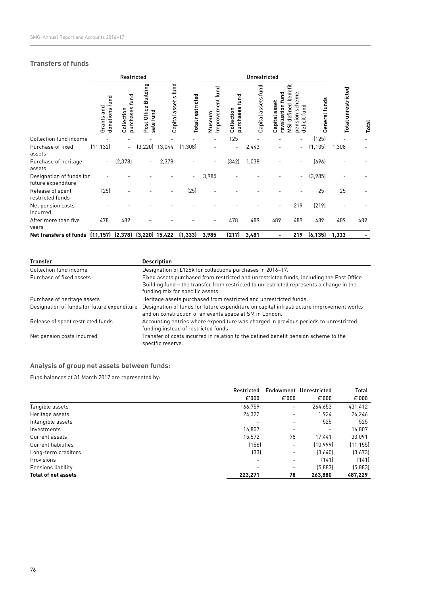## **Transfers of funds**

|                                                        | Restricted                      |                                 |                                      |                         |                         | Unrestricted               |                                 |                     |                                                      |                                                         |               |                           |       |
|--------------------------------------------------------|---------------------------------|---------------------------------|--------------------------------------|-------------------------|-------------------------|----------------------------|---------------------------------|---------------------|------------------------------------------------------|---------------------------------------------------------|---------------|---------------------------|-------|
|                                                        | fund<br>Grants and<br>donations | fund<br>purchases<br>Collection | Building<br>Post Office<br>sale fund | s fund<br>Capital asset | <b>Total restricted</b> | Improvement fund<br>Museum | fund<br>purchases<br>Collection | Capital assets fund | benefit<br>evaluation fund<br>asset<br>Capital<br>ξī | eme<br>šch<br>defined<br>fund<br>sion<br>deficit<br>gen | General funds | <b>Total unrestricted</b> | Total |
| Collection fund income                                 |                                 |                                 |                                      |                         |                         |                            | 125                             |                     |                                                      |                                                         | (125)         |                           |       |
| Purchase of fixed                                      | (11, 132)                       | $\blacksquare$                  | (3, 220)                             | 13,044                  | (1,308)                 |                            | $\overline{a}$                  | 2,443               |                                                      | $\overline{a}$                                          | (1, 135)      | 1,308                     |       |
| assets                                                 |                                 |                                 |                                      |                         |                         |                            |                                 |                     |                                                      |                                                         |               |                           |       |
| Purchase of heritage<br>assets                         | $\overline{\phantom{a}}$        | (2, 378)                        | $\overline{\phantom{a}}$             | 2,378                   |                         | $\overline{\phantom{a}}$   | (342)                           | 1,038               |                                                      |                                                         | (696)         |                           |       |
| Designation of funds for<br>future expenditure         |                                 |                                 |                                      |                         |                         | 3,985                      |                                 |                     |                                                      | $\overline{a}$                                          | (3,985)       |                           |       |
| Release of spent<br>restricted funds                   | (25)                            |                                 |                                      |                         | (25)                    |                            |                                 |                     |                                                      |                                                         | 25            | 25                        |       |
| Net pension costs<br>incurred                          |                                 |                                 |                                      |                         |                         |                            |                                 |                     |                                                      | 219                                                     | (219)         |                           |       |
| After more than five<br>years                          | 478                             | 489                             |                                      |                         |                         |                            | 478                             | 489                 | 489                                                  | 489                                                     | 489           | 489                       | 489   |
| Net transfers of funds (11,157) (2,378) (3,220) 15,422 |                                 |                                 |                                      |                         | (1, 333)                | 3,985                      | (217)                           | 3,481               |                                                      | 219                                                     | (6, 135)      | 1,333                     |       |

| <b>Transfer</b>                             | <b>Description</b>                                                                                                                                                                                                      |
|---------------------------------------------|-------------------------------------------------------------------------------------------------------------------------------------------------------------------------------------------------------------------------|
| Collection fund income                      | Designation of £125k for collections purchases in 2016-17.                                                                                                                                                              |
| Purchase of fixed assets                    | Fixed assets purchased from restricted and unrestricted funds, including the Post Office<br>Building fund – the transfer from restricted to unrestricted represents a change in the<br>funding mix for specific assets. |
| Purchase of heritage assets                 | Heritage assets purchased from restricted and unrestricted funds.                                                                                                                                                       |
| Designation of funds for future expenditure | Designation of funds for future expenditure on capital infrastructure improvement works<br>and on construction of an events space at SM in London.                                                                      |
| Release of spent restricted funds           | Accounting entries where expenditure was charged in previous periods to unrestricted<br>funding instead of restricted funds.                                                                                            |
| Net pension costs incurred                  | Transfer of costs incurred in relation to the defined benefit pension scheme to the<br>specific reserve.                                                                                                                |

# **Analysis of group net assets between funds**:

Fund balances at 31 March 2017 are represented by:

|                            | Restricted |                              | Endowment Unrestricted | Total     |
|----------------------------|------------|------------------------------|------------------------|-----------|
|                            | £'000      | £'000                        | E'000                  | £'000     |
| Tangible assets            | 166,759    | -                            | 264,653                | 431,412   |
| Heritage assets            | 24,322     | $\qquad \qquad \blacksquare$ | 1.924                  | 26,246    |
| Intangible assets          |            |                              | 525                    | 525       |
| Investments                | 16,807     |                              | $\qquad \qquad -$      | 16,807    |
| Current assets             | 15,572     | 78                           | 17,441                 | 33,091    |
| <b>Current liabilities</b> | (156)      | $\overline{\phantom{m}}$     | (10.999)               | (11, 155) |
| Long-term creditors        | (33)       | $\overline{\phantom{m}}$     | (3,640)                | (3,673)   |
| Provisions                 |            | $\qquad \qquad$              | (141)                  | (141)     |
| Pensions liability         | -          | $\overline{\phantom{m}}$     | (5,883)                | (5,883)   |
| <b>Total of net assets</b> | 223,271    | 78                           | 263.880                | 487,229   |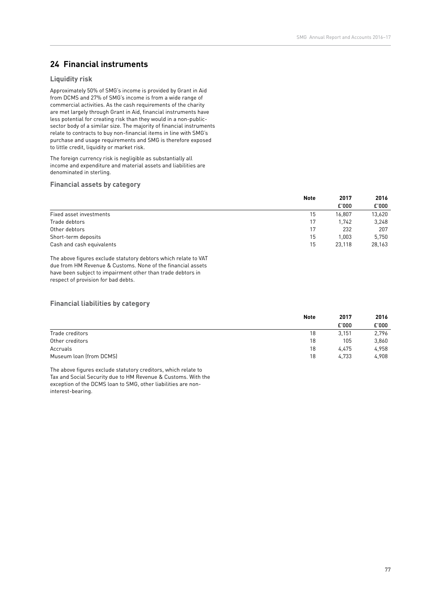# **24 Financial instruments**

### **Liquidity risk**

Approximately 50% of SMG's income is provided by Grant in Aid from DCMS and 27% of SMG's income is from a wide range of commercial activities. As the cash requirements of the charity are met largely through Grant in Aid, financial instruments have less potential for creating risk than they would in a non-publicsector body of a similar size. The majority of financial instruments relate to contracts to buy non-financial items in line with SMG's purchase and usage requirements and SMG is therefore exposed to little credit, liquidity or market risk.

The foreign currency risk is negligible as substantially all income and expenditure and material assets and liabilities are denominated in sterling.

### **Financial assets by category**

|                           | <b>Note</b> | 2017   | 2016   |
|---------------------------|-------------|--------|--------|
|                           |             | £'000  | £'000  |
| Fixed asset investments   | 15          | 16.807 | 13,620 |
| Trade debtors             | 17          | 1.742  | 3,248  |
| Other debtors             | 17          | 232    | 207    |
| Short-term deposits       | 15          | 1.003  | 5.750  |
| Cash and cash equivalents | 15          | 23.118 | 28,163 |

The above figures exclude statutory debtors which relate to VAT due from HM Revenue & Customs. None of the financial assets have been subject to impairment other than trade debtors in respect of provision for bad debts.

#### **Financial liabilities by category**

|                         | <b>Note</b> | 2017  | 2016  |
|-------------------------|-------------|-------|-------|
|                         |             | £'000 | £'000 |
| Trade creditors         | 18          | 3.151 | 2,796 |
| Other creditors         | 18          | 105   | 3,860 |
| Accruals                | 18          | 4.475 | 4,958 |
| Museum loan (from DCMS) | 18          | 4.733 | 4,908 |

The above figures exclude statutory creditors, which relate to Tax and Social Security due to HM Revenue & Customs. With the exception of the DCMS loan to SMG, other liabilities are noninterest-bearing.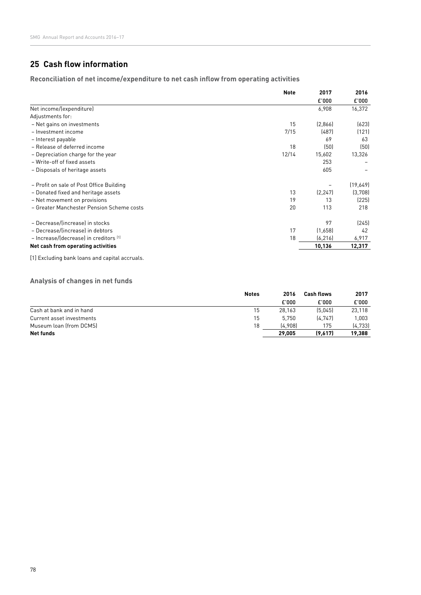# **25 Cash flow information**

**Reconciliation of net income/expenditure to net cash inflow from operating activities**

| <b>Note</b> | 2017     | 2016     |
|-------------|----------|----------|
|             | £'000    | £'000    |
|             | 6,908    | 16,372   |
|             |          |          |
| 15          | [2,866]  | (623)    |
| 7/15        | (487)    | (121)    |
|             | 69       | 63       |
| 18          | (50)     | (50)     |
| 12/14       | 15,602   | 13,326   |
|             | 253      |          |
|             | 605      |          |
|             |          | (19,649) |
| 13          | (2, 247) | (3,708)  |
| 19          | 13       | (225)    |
| 20          | 113      | 218      |
|             | 97       | [245]    |
| 17          | (1,658)  | 42       |
| 18          | (6, 216) | 6,917    |
|             | 10,136   | 12,317   |
|             |          |          |

[1] Excluding bank loans and capital accruals.

### **Analysis of changes in net funds**

|                           | <b>Notes</b> | 2016    | <b>Cash flows</b> | 2017     |
|---------------------------|--------------|---------|-------------------|----------|
|                           |              | £'000   | £'000             | £'000    |
| Cash at bank and in hand  | 15           | 28.163  | (5.045)           | 23.118   |
| Current asset investments | 15           | 5.750   | (4.747)           | 1.003    |
| Museum loan (from DCMS)   | 18           | (4.908) | 175               | [4, 733] |
| Net funds                 |              | 29.005  | (9,617)           | 19,388   |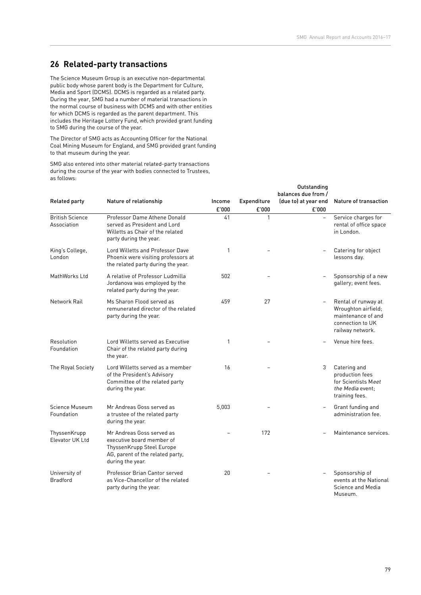## **26 Related-party transactions**

The Science Museum Group is an executive non-departmental public body whose parent body is the Department for Culture, Media and Sport (DCMS). DCMS is regarded as a related party. During the year, SMG had a number of material transactions in the normal course of business with DCMS and with other entities for which DCMS is regarded as the parent department. This includes the Heritage Lottery Fund, which provided grant funding to SMG during the course of the year.

The Director of SMG acts as Accounting Officer for the National Coal Mining Museum for England, and SMG provided grant funding to that museum during the year.

SMG also entered into other material related-party transactions during the course of the year with bodies connected to Trustees, as follows:

| <b>Related party</b>                  | Nature of relationship                                                                                                                      | Income<br>£'000 | <b>Expenditure</b><br>£'000 | Outstanding<br>balances due from /<br>(due to) at year end<br>£'000 | Nature of transaction                                                                                    |
|---------------------------------------|---------------------------------------------------------------------------------------------------------------------------------------------|-----------------|-----------------------------|---------------------------------------------------------------------|----------------------------------------------------------------------------------------------------------|
| <b>British Science</b><br>Association | Professor Dame Athene Donald<br>served as President and Lord<br>Willetts as Chair of the related<br>party during the year.                  | 41              | 1                           |                                                                     | Service charges for<br>rental of office space<br>in London.                                              |
| King's College,<br>London             | Lord Willetts and Professor Dave<br>Phoenix were visiting professors at<br>the related party during the year.                               | 1               |                             |                                                                     | Catering for object<br>lessons day.                                                                      |
| MathWorks Ltd                         | A relative of Professor Ludmilla<br>Jordanova was employed by the<br>related party during the year.                                         | 502             |                             |                                                                     | Sponsorship of a new<br>gallery; event fees.                                                             |
| Network Rail                          | Ms Sharon Flood served as<br>remunerated director of the related<br>party during the year.                                                  | 459             | 27                          | $\overline{\phantom{0}}$                                            | Rental of runway at<br>Wroughton airfield;<br>maintenance of and<br>connection to UK<br>railway network. |
| Resolution<br>Foundation              | Lord Willetts served as Executive<br>Chair of the related party during<br>the year.                                                         | 1               |                             |                                                                     | Venue hire fees.                                                                                         |
| The Royal Society                     | Lord Willetts served as a member<br>of the President's Advisory<br>Committee of the related party<br>during the year.                       | 16              |                             | 3                                                                   | Catering and<br>production fees<br>for Scientists Meet<br>the Media event:<br>training fees.             |
| Science Museum<br>Foundation          | Mr Andreas Goss served as<br>a trustee of the related party<br>during the year.                                                             | 5.003           |                             |                                                                     | Grant funding and<br>administration fee.                                                                 |
| ThyssenKrupp<br>Elevator UK Ltd       | Mr Andreas Goss served as<br>executive board member of<br>ThyssenKrupp Steel Europe<br>AG, parent of the related party,<br>during the year. |                 | 172                         |                                                                     | Maintenance services.                                                                                    |
| University of<br><b>Bradford</b>      | Professor Brian Cantor served<br>as Vice-Chancellor of the related<br>party during the year.                                                | 20              |                             |                                                                     | Sponsorship of<br>events at the National<br>Science and Media<br>Museum                                  |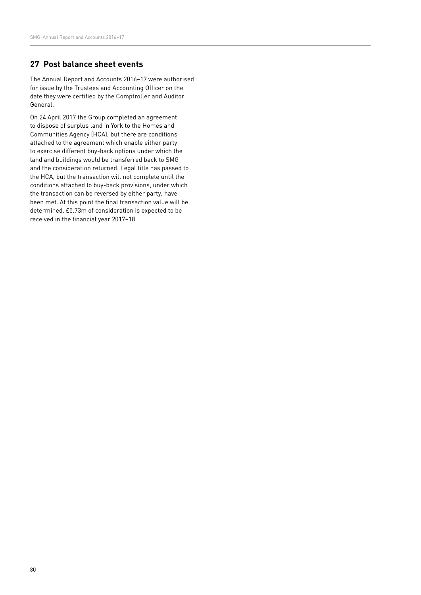# **27 Post balance sheet events**

The Annual Report and Accounts 2016–17 were authorised for issue by the Trustees and Accounting Officer on the date they were certified by the Comptroller and Auditor General.

On 24 April 2017 the Group completed an agreement to dispose of surplus land in York to the Homes and Communities Agency (HCA), but there are conditions attached to the agreement which enable either party to exercise different buy-back options under which the land and buildings would be transferred back to SMG and the consideration returned. Legal title has passed to the HCA, but the transaction will not complete until the conditions attached to buy-back provisions, under which the transaction can be reversed by either party, have been met. At this point the final transaction value will be determined. £5.73m of consideration is expected to be received in the financial year 2017–18.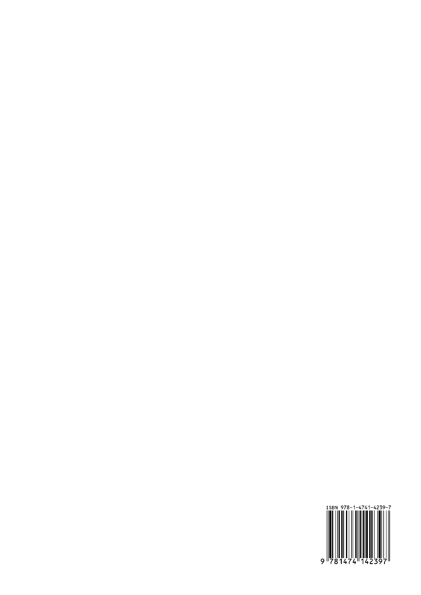